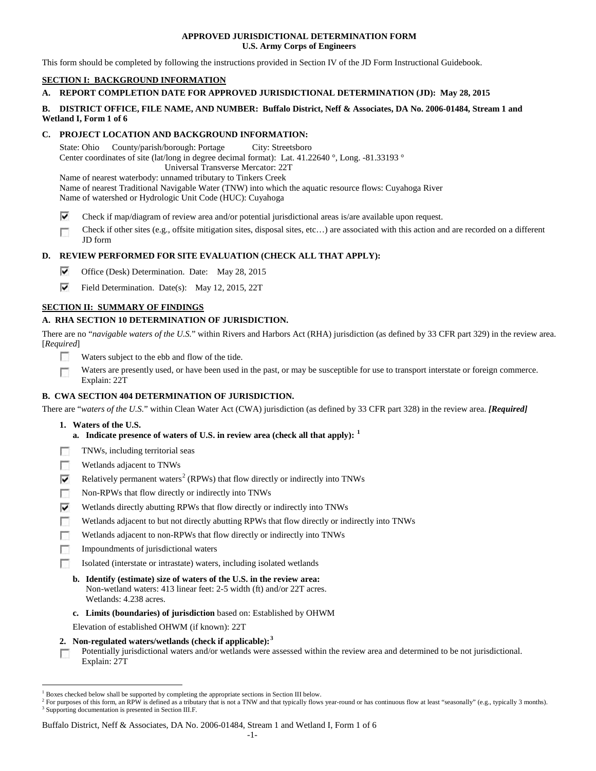## **APPROVED JURISDICTIONAL DETERMINATION FORM U.S. Army Corps of Engineers**

This form should be completed by following the instructions provided in Section IV of the JD Form Instructional Guidebook.

# **SECTION I: BACKGROUND INFORMATION**

# **A. REPORT COMPLETION DATE FOR APPROVED JURISDICTIONAL DETERMINATION (JD): May 28, 2015**

## **B. DISTRICT OFFICE, FILE NAME, AND NUMBER: Buffalo District, Neff & Associates, DA No. 2006-01484, Stream 1 and Wetland I, Form 1 of 6**

# **C. PROJECT LOCATION AND BACKGROUND INFORMATION:**

State: Ohio County/parish/borough: Portage City: Streetsboro Center coordinates of site (lat/long in degree decimal format): Lat. 41.22640 °, Long. -81.33193 ° Universal Transverse Mercator: 22T Name of nearest waterbody: unnamed tributary to Tinkers Creek Name of nearest Traditional Navigable Water (TNW) into which the aquatic resource flows: Cuyahoga River

Name of watershed or Hydrologic Unit Code (HUC): Cuyahoga

- ⊽ Check if map/diagram of review area and/or potential jurisdictional areas is/are available upon request.
- Check if other sites (e.g., offsite mitigation sites, disposal sites, etc…) are associated with this action and are recorded on a different Г JD form

# **D. REVIEW PERFORMED FOR SITE EVALUATION (CHECK ALL THAT APPLY):**

- ⊽ Office (Desk) Determination. Date: May 28, 2015
- ⊽ Field Determination. Date(s): May 12, 2015, 22T

# **SECTION II: SUMMARY OF FINDINGS**

# **A. RHA SECTION 10 DETERMINATION OF JURISDICTION.**

There are no "*navigable waters of the U.S.*" within Rivers and Harbors Act (RHA) jurisdiction (as defined by 33 CFR part 329) in the review area. [*Required*]

- n Waters subject to the ebb and flow of the tide.
- Waters are presently used, or have been used in the past, or may be susceptible for use to transport interstate or foreign commerce. Г Explain: 22T

# **B. CWA SECTION 404 DETERMINATION OF JURISDICTION.**

There are "*waters of the U.S.*" within Clean Water Act (CWA) jurisdiction (as defined by 33 CFR part 328) in the review area. *[Required]*

- **1. Waters of the U.S.**
	- **a. Indicate presence of waters of U.S. in review area (check all that apply): [1](#page-0-0)**
- TNWs, including territorial seas г
- Wetlands adjacent to TNWs п
- ⊽ Relatively permanent waters<sup>[2](#page-0-1)</sup> (RPWs) that flow directly or indirectly into TNWs
- г Non-RPWs that flow directly or indirectly into TNWs
- Wetlands directly abutting RPWs that flow directly or indirectly into TNWs ⊽
- n Wetlands adjacent to but not directly abutting RPWs that flow directly or indirectly into TNWs
- Wetlands adjacent to non-RPWs that flow directly or indirectly into TNWs в
- n Impoundments of jurisdictional waters
- Isolated (interstate or intrastate) waters, including isolated wetlands n.
	- **b. Identify (estimate) size of waters of the U.S. in the review area:** Non-wetland waters: 413 linear feet: 2-5 width (ft) and/or 22T acres. Wetlands: 4.238 acres.
	- **c. Limits (boundaries) of jurisdiction** based on: Established by OHWM
	- Elevation of established OHWM (if known): 22T
- **2. Non-regulated waters/wetlands (check if applicable): [3](#page-0-2)**

Buffalo District, Neff & Associates, DA No. 2006-01484, Stream 1 and Wetland I, Form 1 of 6

Potentially jurisdictional waters and/or wetlands were assessed within the review area and determined to be not jurisdictional.  $\sim$ Explain: 27T

<span id="page-0-0"></span><sup>&</sup>lt;sup>1</sup> Boxes checked below shall be supported by completing the appropriate sections in Section III below.

<span id="page-0-2"></span><span id="page-0-1"></span> $^2$  For purposes of this form, an RPW is defined as a tributary that is not a TNW and that typically flows year-round or has continuous flow at least "seasonally" (e.g., typically 3 months).  $^3$  Supporting documentation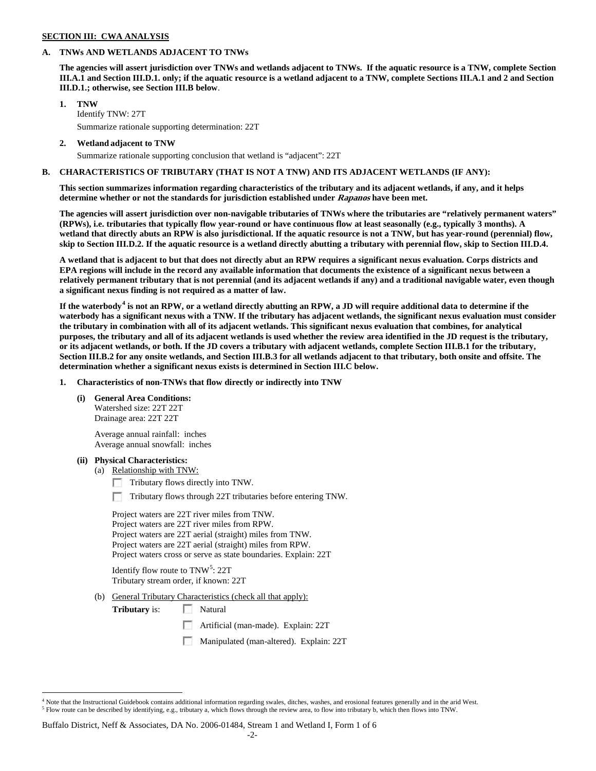### **SECTION III: CWA ANALYSIS**

## **A. TNWs AND WETLANDS ADJACENT TO TNWs**

**The agencies will assert jurisdiction over TNWs and wetlands adjacent to TNWs. If the aquatic resource is a TNW, complete Section III.A.1 and Section III.D.1. only; if the aquatic resource is a wetland adjacent to a TNW, complete Sections III.A.1 and 2 and Section III.D.1.; otherwise, see Section III.B below**.

- **1. TNW**  Identify TNW: 27T Summarize rationale supporting determination: 22T
- **2. Wetland adjacent to TNW** Summarize rationale supporting conclusion that wetland is "adjacent": 22T

### **B. CHARACTERISTICS OF TRIBUTARY (THAT IS NOT A TNW) AND ITS ADJACENT WETLANDS (IF ANY):**

**This section summarizes information regarding characteristics of the tributary and its adjacent wetlands, if any, and it helps determine whether or not the standards for jurisdiction established under Rapanos have been met.** 

**The agencies will assert jurisdiction over non-navigable tributaries of TNWs where the tributaries are "relatively permanent waters" (RPWs), i.e. tributaries that typically flow year-round or have continuous flow at least seasonally (e.g., typically 3 months). A wetland that directly abuts an RPW is also jurisdictional. If the aquatic resource is not a TNW, but has year-round (perennial) flow, skip to Section III.D.2. If the aquatic resource is a wetland directly abutting a tributary with perennial flow, skip to Section III.D.4.**

**A wetland that is adjacent to but that does not directly abut an RPW requires a significant nexus evaluation. Corps districts and EPA regions will include in the record any available information that documents the existence of a significant nexus between a relatively permanent tributary that is not perennial (and its adjacent wetlands if any) and a traditional navigable water, even though a significant nexus finding is not required as a matter of law.**

**If the waterbody[4](#page-1-0) is not an RPW, or a wetland directly abutting an RPW, a JD will require additional data to determine if the waterbody has a significant nexus with a TNW. If the tributary has adjacent wetlands, the significant nexus evaluation must consider the tributary in combination with all of its adjacent wetlands. This significant nexus evaluation that combines, for analytical purposes, the tributary and all of its adjacent wetlands is used whether the review area identified in the JD request is the tributary, or its adjacent wetlands, or both. If the JD covers a tributary with adjacent wetlands, complete Section III.B.1 for the tributary, Section III.B.2 for any onsite wetlands, and Section III.B.3 for all wetlands adjacent to that tributary, both onsite and offsite. The determination whether a significant nexus exists is determined in Section III.C below.**

**1. Characteristics of non-TNWs that flow directly or indirectly into TNW**

**(i) General Area Conditions:**

Watershed size: 22T 22T Drainage area: 22T 22T

Average annual rainfall: inches Average annual snowfall: inches

### **(ii) Physical Characteristics:**

- (a) Relationship with TNW:
	- Tributary flows directly into TNW.
	- n Tributary flows through 22T tributaries before entering TNW.

Project waters are 22T river miles from TNW. Project waters are 22T river miles from RPW. Project waters are 22T aerial (straight) miles from TNW. Project waters are 22T aerial (straight) miles from RPW. Project waters cross or serve as state boundaries. Explain: 22T

Identify flow route to TNW<sup>[5](#page-1-1)</sup>: 22T Tributary stream order, if known: 22T

(b) General Tributary Characteristics (check all that apply):

**Tributary** is: Natural

- $\sim$ Artificial (man-made). Explain: 22T
- Manipulated (man-altered). Explain: 22T

Buffalo District, Neff & Associates, DA No. 2006-01484, Stream 1 and Wetland I, Form 1 of 6

<span id="page-1-1"></span><span id="page-1-0"></span> $4$  Note that the Instructional Guidebook contains additional information regarding swales, ditches, washes, and erosional features generally and in the arid West.<br>  $5$  Flow route can be described by identifying, e.g., tr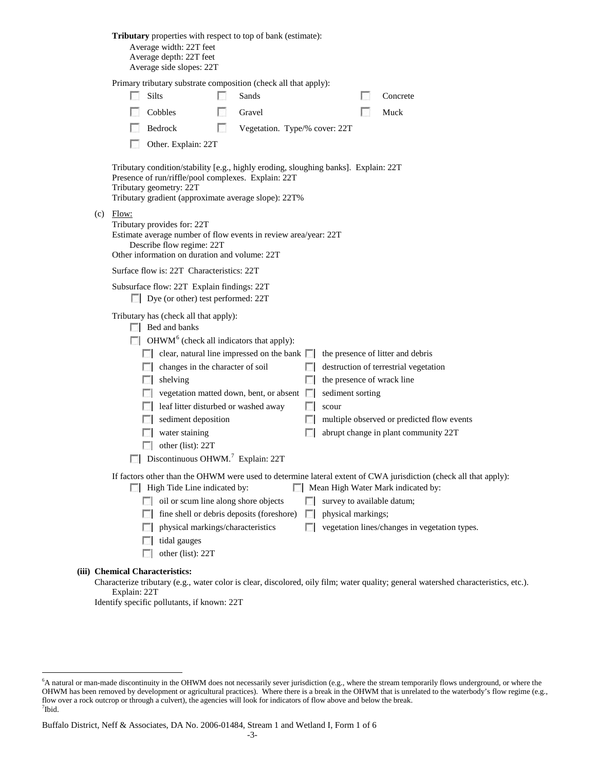|                                                                                                                                                                                             | Average width: 22T feet<br>Average depth: 22T feet<br>Average side slopes: 22T                                                                                                                                                                                                                                                                                          |   | <b>Tributary</b> properties with respect to top of bank (estimate):                                                                         |                |                                                         |  |                                                                                                                                                                                                         |
|---------------------------------------------------------------------------------------------------------------------------------------------------------------------------------------------|-------------------------------------------------------------------------------------------------------------------------------------------------------------------------------------------------------------------------------------------------------------------------------------------------------------------------------------------------------------------------|---|---------------------------------------------------------------------------------------------------------------------------------------------|----------------|---------------------------------------------------------|--|---------------------------------------------------------------------------------------------------------------------------------------------------------------------------------------------------------|
|                                                                                                                                                                                             | Silts                                                                                                                                                                                                                                                                                                                                                                   |   | Primary tributary substrate composition (check all that apply):<br>Sands                                                                    |                |                                                         |  | Concrete                                                                                                                                                                                                |
|                                                                                                                                                                                             | Cobbles                                                                                                                                                                                                                                                                                                                                                                 |   | Gravel                                                                                                                                      |                |                                                         |  | Muck                                                                                                                                                                                                    |
|                                                                                                                                                                                             | Bedrock<br>Other. Explain: 22T                                                                                                                                                                                                                                                                                                                                          | u | Vegetation. Type/% cover: 22T                                                                                                               |                |                                                         |  |                                                                                                                                                                                                         |
|                                                                                                                                                                                             | Presence of run/riffle/pool complexes. Explain: 22T<br>Tributary geometry: 22T                                                                                                                                                                                                                                                                                          |   | Tributary condition/stability [e.g., highly eroding, sloughing banks]. Explain: 22T<br>Tributary gradient (approximate average slope): 22T% |                |                                                         |  |                                                                                                                                                                                                         |
| (c) $Flow:$<br>Tributary provides for: 22T<br>Estimate average number of flow events in review area/year: 22T<br>Describe flow regime: 22T<br>Other information on duration and volume: 22T |                                                                                                                                                                                                                                                                                                                                                                         |   |                                                                                                                                             |                |                                                         |  |                                                                                                                                                                                                         |
|                                                                                                                                                                                             | Surface flow is: 22T Characteristics: 22T                                                                                                                                                                                                                                                                                                                               |   |                                                                                                                                             |                |                                                         |  |                                                                                                                                                                                                         |
|                                                                                                                                                                                             | Subsurface flow: 22T Explain findings: 22T<br>Dye (or other) test performed: 22T                                                                                                                                                                                                                                                                                        |   |                                                                                                                                             |                |                                                         |  |                                                                                                                                                                                                         |
|                                                                                                                                                                                             | Tributary has (check all that apply):<br>$\Box$ Bed and banks<br>$\Box$ OHWM <sup>6</sup> (check all indicators that apply):<br>changes in the character of soil<br>shelving<br><b>In the case of the case</b><br>leaf litter disturbed or washed away<br>sediment deposition<br>water staining<br>other (list): $22T$<br>Discontinuous OHWM. <sup>7</sup> Explain: 22T |   | $\Box$ clear, natural line impressed on the bank $\Box$<br>$\Box$ vegetation matted down, bent, or absent $\Box$                            | L.<br>L.<br>L. | the presence of wrack line<br>sediment sorting<br>scour |  | the presence of litter and debris<br>destruction of terrestrial vegetation<br>multiple observed or predicted flow events<br>abrupt change in plant community 22T                                        |
|                                                                                                                                                                                             | High Tide Line indicated by:<br>oil or scum line along shore objects<br>L.<br>physical markings/characteristics<br>tidal gauges<br>other (list): 22T                                                                                                                                                                                                                    |   | fine shell or debris deposits (foreshore)                                                                                                   |                | survey to available datum;<br>physical markings;        |  | If factors other than the OHWM were used to determine lateral extent of CWA jurisdiction (check all that apply):<br>Mean High Water Mark indicated by:<br>vegetation lines/changes in vegetation types. |
|                                                                                                                                                                                             |                                                                                                                                                                                                                                                                                                                                                                         |   |                                                                                                                                             |                |                                                         |  |                                                                                                                                                                                                         |

# **(iii) Chemical Characteristics:**

Characterize tributary (e.g., water color is clear, discolored, oily film; water quality; general watershed characteristics, etc.). Explain: 22T

Identify specific pollutants, if known: 22T

<span id="page-2-0"></span> <sup>6</sup> <sup>6</sup>A natural or man-made discontinuity in the OHWM does not necessarily sever jurisdiction (e.g., where the stream temporarily flows underground, or where the OHWM has been removed by development or agricultural practices). Where there is a break in the OHWM that is unrelated to the waterbody's flow regime (e.g., flow over a rock outcrop or through a culvert), the agencies will look for indicators of flow above and below the break. 7 Ibid.

<span id="page-2-1"></span>Buffalo District, Neff & Associates, DA No. 2006-01484, Stream 1 and Wetland I, Form 1 of 6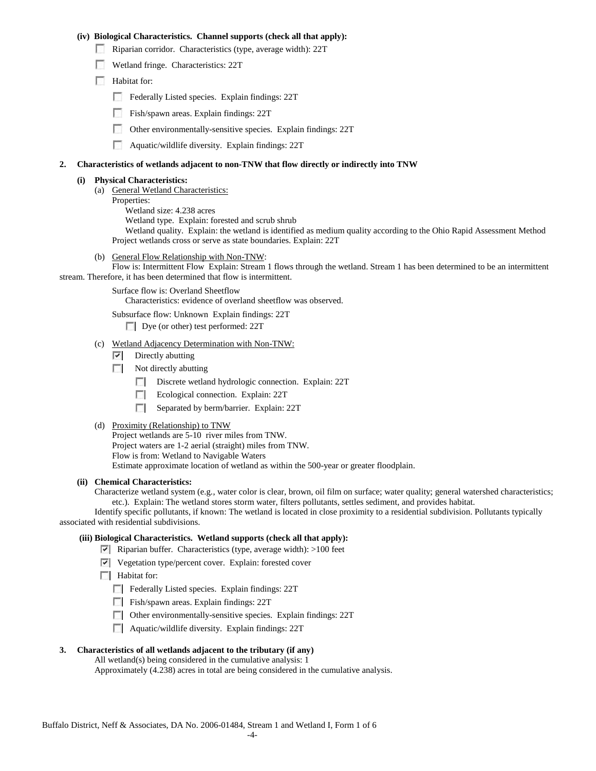### **(iv) Biological Characteristics. Channel supports (check all that apply):**

- Riparian corridor. Characteristics (type, average width): 22T
- Wetland fringe. Characteristics: 22T
- Habitat for:
	- Federally Listed species. Explain findings: 22T
	- **Fish/spawn areas. Explain findings: 22T**
	- Other environmentally-sensitive species. Explain findings: 22T
	- m. Aquatic/wildlife diversity. Explain findings: 22T

### **2. Characteristics of wetlands adjacent to non-TNW that flow directly or indirectly into TNW**

## **(i) Physical Characteristics:**

- (a) General Wetland Characteristics:
	- Properties:
		- Wetland size: 4.238 acres
		- Wetland type. Explain: forested and scrub shrub

Wetland quality. Explain: the wetland is identified as medium quality according to the Ohio Rapid Assessment Method Project wetlands cross or serve as state boundaries. Explain: 22T

(b) General Flow Relationship with Non-TNW: Flow is: Intermittent Flow Explain: Stream 1 flows through the wetland. Stream 1 has been determined to be an intermittent

### stream. Therefore, it has been determined that flow is intermittent.

Surface flow is: Overland Sheetflow

Characteristics: evidence of overland sheetflow was observed.

Subsurface flow: Unknown Explain findings: 22T

Dye (or other) test performed: 22T

- (c) Wetland Adjacency Determination with Non-TNW:
	- $\nabla$  Directly abutting
	- Not directly abutting

Discrete wetland hydrologic connection. Explain: 22T

- Ecological connection. Explain: 22T
- Separated by berm/barrier. Explain: 22T

### (d) Proximity (Relationship) to TNW

Project wetlands are 5-10 river miles from TNW. Project waters are 1-2 aerial (straight) miles from TNW. Flow is from: Wetland to Navigable Waters Estimate approximate location of wetland as within the 500-year or greater floodplain.

# **(ii) Chemical Characteristics:**

Characterize wetland system (e.g., water color is clear, brown, oil film on surface; water quality; general watershed characteristics; etc.). Explain: The wetland stores storm water, filters pollutants, settles sediment, and provides habitat.

Identify specific pollutants, if known: The wetland is located in close proximity to a residential subdivision. Pollutants typically associated with residential subdivisions.

### **(iii) Biological Characteristics. Wetland supports (check all that apply):**

- **Riparian buffer.** Characteristics (type, average width):  $>100$  feet
- Vegetation type/percent cover. Explain: forested cover
- $\Box$  Habitat for:
	- Federally Listed species. Explain findings: 22T
	- Fish/spawn areas. Explain findings: 22T
	- Other environmentally-sensitive species. Explain findings: 22T
	- **Aquatic/wildlife diversity. Explain findings: 22T**

# **3. Characteristics of all wetlands adjacent to the tributary (if any)**

All wetland(s) being considered in the cumulative analysis: 1 Approximately (4.238) acres in total are being considered in the cumulative analysis.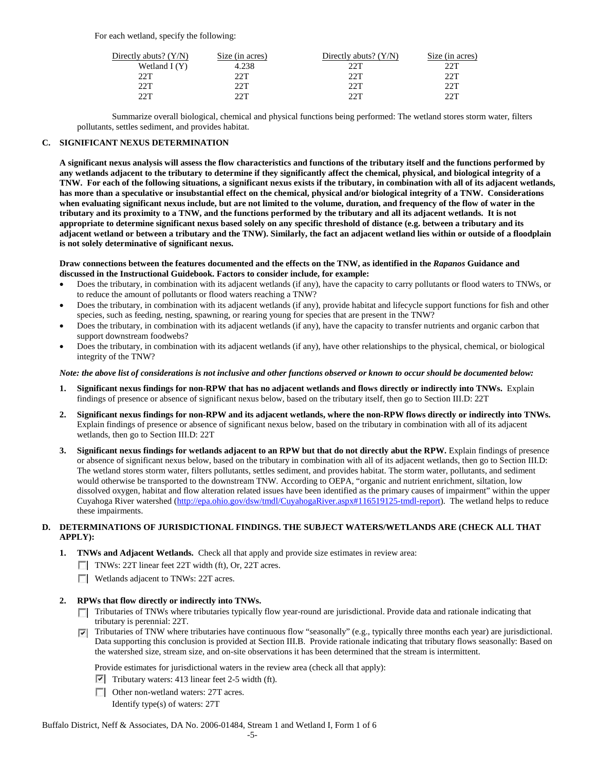For each wetland, specify the following:

| Directly abuts? $(Y/N)$ | Size (in acres) | Directly abuts? $(Y/N)$ | Size (in acres) |
|-------------------------|-----------------|-------------------------|-----------------|
| Wetland I (Y)           | 4.238           | 22T                     | 22T             |
| 22T                     | 22T             | 22T                     | 22T             |
| 22T                     | 22T             | 22T                     | 22T             |
| 22T                     | つつT             | 22T                     | 22T             |

Summarize overall biological, chemical and physical functions being performed: The wetland stores storm water, filters pollutants, settles sediment, and provides habitat.

## **C. SIGNIFICANT NEXUS DETERMINATION**

**A significant nexus analysis will assess the flow characteristics and functions of the tributary itself and the functions performed by any wetlands adjacent to the tributary to determine if they significantly affect the chemical, physical, and biological integrity of a TNW. For each of the following situations, a significant nexus exists if the tributary, in combination with all of its adjacent wetlands, has more than a speculative or insubstantial effect on the chemical, physical and/or biological integrity of a TNW. Considerations when evaluating significant nexus include, but are not limited to the volume, duration, and frequency of the flow of water in the tributary and its proximity to a TNW, and the functions performed by the tributary and all its adjacent wetlands. It is not appropriate to determine significant nexus based solely on any specific threshold of distance (e.g. between a tributary and its adjacent wetland or between a tributary and the TNW). Similarly, the fact an adjacent wetland lies within or outside of a floodplain is not solely determinative of significant nexus.** 

### **Draw connections between the features documented and the effects on the TNW, as identified in the** *Rapanos* **Guidance and discussed in the Instructional Guidebook. Factors to consider include, for example:**

- Does the tributary, in combination with its adjacent wetlands (if any), have the capacity to carry pollutants or flood waters to TNWs, or to reduce the amount of pollutants or flood waters reaching a TNW?
- Does the tributary, in combination with its adjacent wetlands (if any), provide habitat and lifecycle support functions for fish and other species, such as feeding, nesting, spawning, or rearing young for species that are present in the TNW?
- Does the tributary, in combination with its adjacent wetlands (if any), have the capacity to transfer nutrients and organic carbon that support downstream foodwebs?
- Does the tributary, in combination with its adjacent wetlands (if any), have other relationships to the physical, chemical, or biological integrity of the TNW?

## *Note: the above list of considerations is not inclusive and other functions observed or known to occur should be documented below:*

- **1. Significant nexus findings for non-RPW that has no adjacent wetlands and flows directly or indirectly into TNWs.** Explain findings of presence or absence of significant nexus below, based on the tributary itself, then go to Section III.D: 22T
- **2. Significant nexus findings for non-RPW and its adjacent wetlands, where the non-RPW flows directly or indirectly into TNWs.**  Explain findings of presence or absence of significant nexus below, based on the tributary in combination with all of its adjacent wetlands, then go to Section III.D: 22T
- **3. Significant nexus findings for wetlands adjacent to an RPW but that do not directly abut the RPW.** Explain findings of presence or absence of significant nexus below, based on the tributary in combination with all of its adjacent wetlands, then go to Section III.D: The wetland stores storm water, filters pollutants, settles sediment, and provides habitat. The storm water, pollutants, and sediment would otherwise be transported to the downstream TNW. According to OEPA, "organic and nutrient enrichment, siltation, low dissolved oxygen, habitat and flow alteration related issues have been identified as the primary causes of impairment" within the upper Cuyahoga River watershed [\(http://epa.ohio.gov/dsw/tmdl/CuyahogaRiver.aspx#116519125-tmdl-report\)](http://epa.ohio.gov/dsw/tmdl/CuyahogaRiver.aspx%23116519125-tmdl-report). The wetland helps to reduce these impairments.

# **D. DETERMINATIONS OF JURISDICTIONAL FINDINGS. THE SUBJECT WATERS/WETLANDS ARE (CHECK ALL THAT APPLY):**

- **1. TNWs and Adjacent Wetlands.** Check all that apply and provide size estimates in review area:
	- TNWs: 22T linear feet 22T width (ft), Or, 22T acres.
	- **Wetlands adjacent to TNWs: 22T acres.**

# **2. RPWs that flow directly or indirectly into TNWs.**

- Tributaries of TNWs where tributaries typically flow year-round are jurisdictional. Provide data and rationale indicating that tributary is perennial: 22T.
- Tributaries of TNW where tributaries have continuous flow "seasonally" (e.g., typically three months each year) are jurisdictional. Data supporting this conclusion is provided at Section III.B. Provide rationale indicating that tributary flows seasonally: Based on the watershed size, stream size, and on-site observations it has been determined that the stream is intermittent.

Provide estimates for jurisdictional waters in the review area (check all that apply):

- $\triangledown$  Tributary waters: 413 linear feet 2-5 width (ft).
- Other non-wetland waters: 27T acres.

Identify type(s) of waters: 27T

Buffalo District, Neff & Associates, DA No. 2006-01484, Stream 1 and Wetland I, Form 1 of 6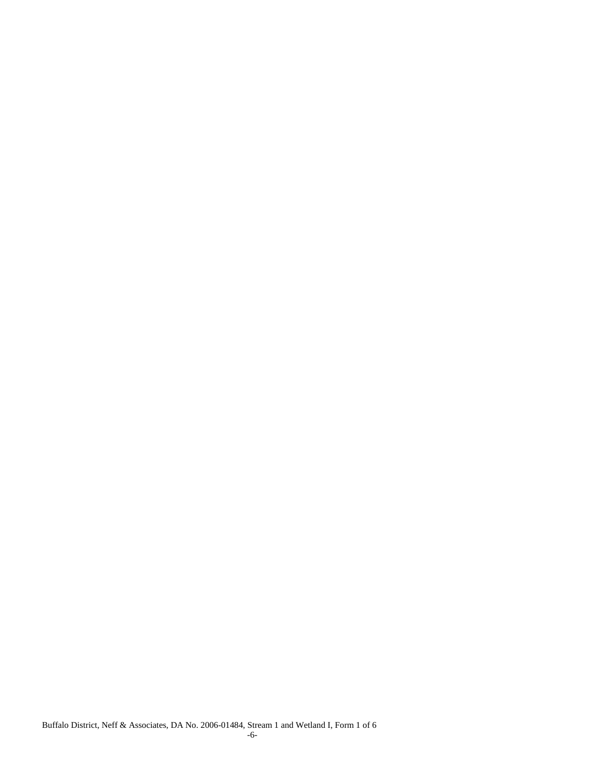Buffalo District, Neff & Associates, DA No. 2006-01484, Stream 1 and Wetland I, Form 1 of 6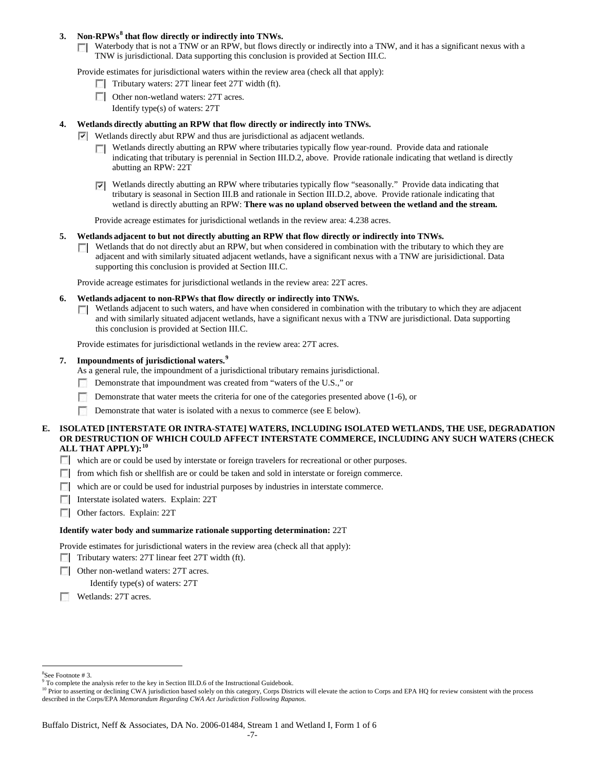# **3. Non-RPWs[8](#page-6-0) that flow directly or indirectly into TNWs.**

Waterbody that is not a TNW or an RPW, but flows directly or indirectly into a TNW, and it has a significant nexus with a TNW is jurisdictional. Data supporting this conclusion is provided at Section III.C.

Provide estimates for jurisdictional waters within the review area (check all that apply):

- $\Box$  Tributary waters: 27T linear feet 27T width (ft).
- Other non-wetland waters: 27T acres.
	- Identify type(s) of waters: 27T

# **4. Wetlands directly abutting an RPW that flow directly or indirectly into TNWs.**

- Wetlands directly abut RPW and thus are jurisdictional as adjacent wetlands.
	- $\Box$  Wetlands directly abutting an RPW where tributaries typically flow year-round. Provide data and rationale indicating that tributary is perennial in Section III.D.2, above. Provide rationale indicating that wetland is directly abutting an RPW: 22T
	- Wetlands directly abutting an RPW where tributaries typically flow "seasonally." Provide data indicating that tributary is seasonal in Section III.B and rationale in Section III.D.2, above. Provide rationale indicating that wetland is directly abutting an RPW: **There was no upland observed between the wetland and the stream.**

Provide acreage estimates for jurisdictional wetlands in the review area: 4.238 acres.

- **5. Wetlands adjacent to but not directly abutting an RPW that flow directly or indirectly into TNWs.**
	- $\Box$  Wetlands that do not directly abut an RPW, but when considered in combination with the tributary to which they are adjacent and with similarly situated adjacent wetlands, have a significant nexus with a TNW are jurisidictional. Data supporting this conclusion is provided at Section III.C.

Provide acreage estimates for jurisdictional wetlands in the review area: 22T acres.

- **6. Wetlands adjacent to non-RPWs that flow directly or indirectly into TNWs.** 
	- Wetlands adjacent to such waters, and have when considered in combination with the tributary to which they are adjacent  $\sim$ and with similarly situated adjacent wetlands, have a significant nexus with a TNW are jurisdictional. Data supporting this conclusion is provided at Section III.C.

Provide estimates for jurisdictional wetlands in the review area: 27T acres.

# **7. Impoundments of jurisdictional waters. [9](#page-6-1)**

As a general rule, the impoundment of a jurisdictional tributary remains jurisdictional.

- Demonstrate that impoundment was created from "waters of the U.S.," or
- Demonstrate that water meets the criteria for one of the categories presented above (1-6), or
- n Demonstrate that water is isolated with a nexus to commerce (see E below).

# **E. ISOLATED [INTERSTATE OR INTRA-STATE] WATERS, INCLUDING ISOLATED WETLANDS, THE USE, DEGRADATION OR DESTRUCTION OF WHICH COULD AFFECT INTERSTATE COMMERCE, INCLUDING ANY SUCH WATERS (CHECK ALL THAT APPLY):[10](#page-6-2)**

which are or could be used by interstate or foreign travelers for recreational or other purposes.

- from which fish or shellfish are or could be taken and sold in interstate or foreign commerce.
- which are or could be used for industrial purposes by industries in interstate commerce.
- **Interstate isolated waters. Explain: 22T**
- Other factors.Explain: 22T

### **Identify water body and summarize rationale supporting determination:** 22T

Provide estimates for jurisdictional waters in the review area (check all that apply):

- Tributary waters: 27T linear feet 27T width (ft).
- Other non-wetland waters: 27T acres.

Identify type(s) of waters: 27T

Wetlands: 27T acres.

 $\frac{1}{8}$ See Footnote # 3.

<span id="page-6-1"></span><span id="page-6-0"></span><sup>&</sup>lt;sup>9</sup> To complete the analysis refer to the key in Section III.D.6 of the Instructional Guidebook.

<span id="page-6-2"></span><sup>&</sup>lt;sup>10</sup> Prior to asserting or declining CWA jurisdiction based solely on this category, Corps Districts will elevate the action to Corps and EPA HQ for review consistent with the process described in the Corps/EPA *Memorandum Regarding CWA Act Jurisdiction Following Rapanos.*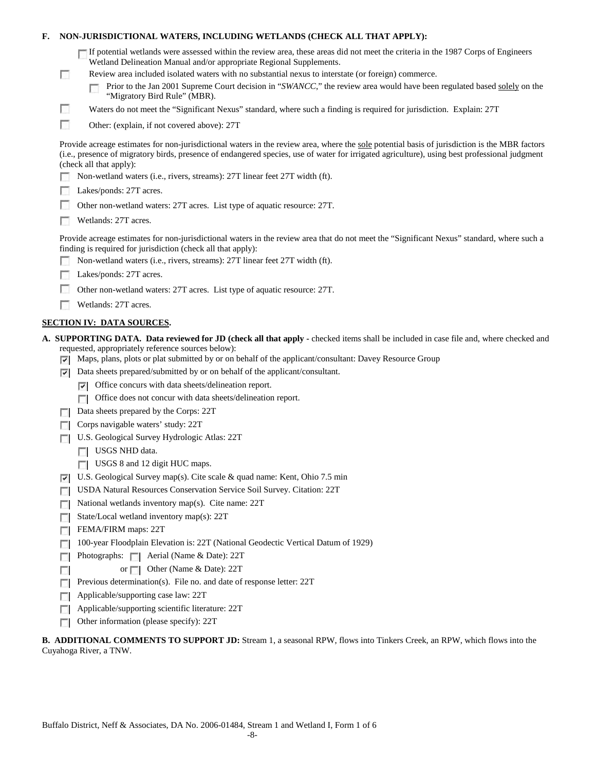| F. |   | NON-JURISDICTIONAL WATERS, INCLUDING WETLANDS (CHECK ALL THAT APPLY):                                                                                                                                                                                                                                                     |
|----|---|---------------------------------------------------------------------------------------------------------------------------------------------------------------------------------------------------------------------------------------------------------------------------------------------------------------------------|
|    |   | If potential wetlands were assessed within the review area, these areas did not meet the criteria in the 1987 Corps of Engineers<br>Wetland Delineation Manual and/or appropriate Regional Supplements.                                                                                                                   |
|    | D | Review area included isolated waters with no substantial nexus to interstate (or foreign) commerce.                                                                                                                                                                                                                       |
|    |   | Prior to the Jan 2001 Supreme Court decision in "SWANCC," the review area would have been regulated based solely on the<br>"Migratory Bird Rule" (MBR).                                                                                                                                                                   |
|    | u | Waters do not meet the "Significant Nexus" standard, where such a finding is required for jurisdiction. Explain: 27T                                                                                                                                                                                                      |
|    | п | Other: (explain, if not covered above): 27T                                                                                                                                                                                                                                                                               |
|    |   | Provide acreage estimates for non-jurisdictional waters in the review area, where the sole potential basis of jurisdiction is the MBR factors<br>(i.e., presence of migratory birds, presence of endangered species, use of water for irrigated agriculture), using best professional judgment<br>(check all that apply): |
|    |   | Non-wetland waters (i.e., rivers, streams): 27T linear feet 27T width (ft).                                                                                                                                                                                                                                               |
|    |   | Lakes/ponds: 27T acres.                                                                                                                                                                                                                                                                                                   |
|    |   | Other non-wetland waters: 27T acres. List type of aquatic resource: 27T.                                                                                                                                                                                                                                                  |
|    |   | Wetlands: 27T acres.                                                                                                                                                                                                                                                                                                      |
|    |   | Provide acreage estimates for non-jurisdictional waters in the review area that do not meet the "Significant Nexus" standard, where such a<br>finding is required for jurisdiction (check all that apply):                                                                                                                |
|    |   | Non-wetland waters (i.e., rivers, streams): 27T linear feet 27T width (ft).                                                                                                                                                                                                                                               |
|    |   | Lakes/ponds: 27T acres.                                                                                                                                                                                                                                                                                                   |
|    |   | Other non-wetland waters: 27T acres. List type of aquatic resource: 27T.                                                                                                                                                                                                                                                  |
|    |   | Wetlands: 27T acres.                                                                                                                                                                                                                                                                                                      |
|    |   | <b>SECTION IV: DATA SOURCES.</b>                                                                                                                                                                                                                                                                                          |
|    |   | A. SUPPORTING DATA. Data reviewed for JD (check all that apply - checked items shall be included in case file and, where checked and<br>requested, appropriately reference sources below):<br>$\triangledown$ Maps, plans, plots or plat submitted by or on behalf of the applicant/consultant: Davey Resource Group      |
|    | ▿ | Data sheets prepared/submitted by or on behalf of the applicant/consultant.                                                                                                                                                                                                                                               |
|    |   | Office concurs with data sheets/delineation report.<br>$\overline{\phantom{a}}$                                                                                                                                                                                                                                           |
|    |   | Office does not concur with data sheets/delineation report.                                                                                                                                                                                                                                                               |
|    |   | Data sheets prepared by the Corps: 22T                                                                                                                                                                                                                                                                                    |
|    |   | Corps navigable waters' study: 22T                                                                                                                                                                                                                                                                                        |
|    |   | U.S. Geological Survey Hydrologic Atlas: 22T                                                                                                                                                                                                                                                                              |
|    |   | USGS NHD data.                                                                                                                                                                                                                                                                                                            |
|    |   | USGS 8 and 12 digit HUC maps.                                                                                                                                                                                                                                                                                             |
|    | ⊽ | U.S. Geological Survey map(s). Cite scale & quad name: Kent, Ohio 7.5 min                                                                                                                                                                                                                                                 |
|    |   | USDA Natural Resources Conservation Service Soil Survey. Citation: 22T                                                                                                                                                                                                                                                    |
|    |   | National wetlands inventory map(s). Cite name: 22T                                                                                                                                                                                                                                                                        |
|    | г | State/Local wetland inventory map(s): 22T                                                                                                                                                                                                                                                                                 |
|    |   | FEMA/FIRM maps: 22T                                                                                                                                                                                                                                                                                                       |
|    |   | 100-year Floodplain Elevation is: 22T (National Geodectic Vertical Datum of 1929)                                                                                                                                                                                                                                         |
|    |   | Photographs:     Aerial (Name & Date): 22T                                                                                                                                                                                                                                                                                |
|    |   | Other (Name & Date): 22T<br>or $\Box$                                                                                                                                                                                                                                                                                     |
|    | г | Previous determination(s). File no. and date of response letter: 22T                                                                                                                                                                                                                                                      |
|    |   | Applicable/supporting case law: 22T                                                                                                                                                                                                                                                                                       |
|    |   | Applicable/supporting scientific literature: 22T                                                                                                                                                                                                                                                                          |
|    |   | Other information (please specify): 22T                                                                                                                                                                                                                                                                                   |

# **B. ADDITIONAL COMMENTS TO SUPPORT JD:** Stream 1, a seasonal RPW, flows into Tinkers Creek, an RPW, which flows into the Cuyahoga River, a TNW.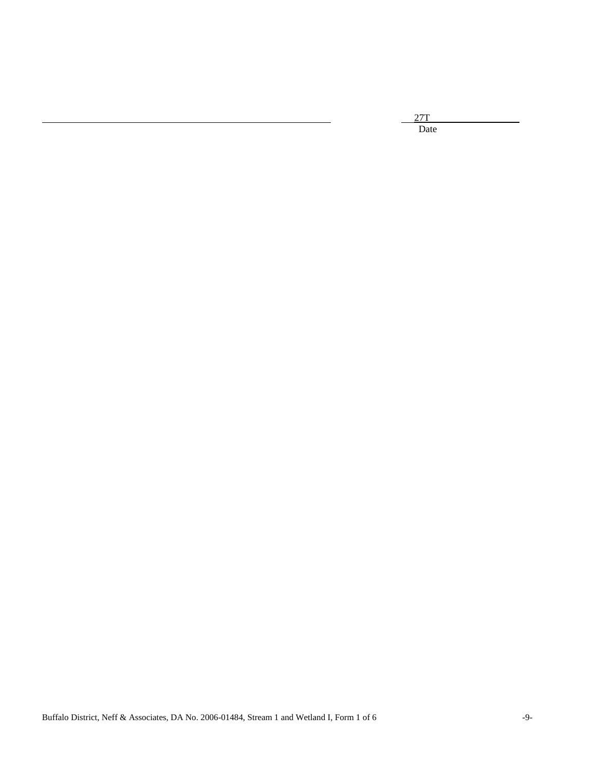27T Date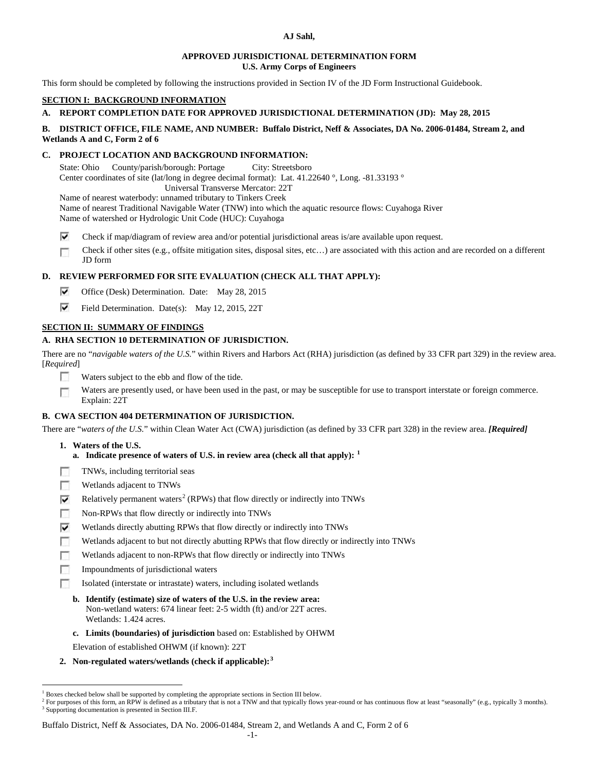# **AJ Sahl,**

### **APPROVED JURISDICTIONAL DETERMINATION FORM U.S. Army Corps of Engineers**

This form should be completed by following the instructions provided in Section IV of the JD Form Instructional Guidebook.

## **SECTION I: BACKGROUND INFORMATION**

### **A. REPORT COMPLETION DATE FOR APPROVED JURISDICTIONAL DETERMINATION (JD): May 28, 2015**

# **B. DISTRICT OFFICE, FILE NAME, AND NUMBER: Buffalo District, Neff & Associates, DA No. 2006-01484, Stream 2, and Wetlands A and C, Form 2 of 6**

# **C. PROJECT LOCATION AND BACKGROUND INFORMATION:**

State: Ohio County/parish/borough: Portage City: Streetsboro Center coordinates of site (lat/long in degree decimal format): Lat. 41.22640 °, Long. -81.33193 ° Universal Transverse Mercator: 22T

Name of nearest waterbody: unnamed tributary to Tinkers Creek

Name of nearest Traditional Navigable Water (TNW) into which the aquatic resource flows: Cuyahoga River Name of watershed or Hydrologic Unit Code (HUC): Cuyahoga

⊽ Check if map/diagram of review area and/or potential jurisdictional areas is/are available upon request.

Check if other sites (e.g., offsite mitigation sites, disposal sites, etc…) are associated with this action and are recorded on a different Г JD form

# **D. REVIEW PERFORMED FOR SITE EVALUATION (CHECK ALL THAT APPLY):**

- ⊽ Office (Desk) Determination. Date: May 28, 2015
- ⊽ Field Determination. Date(s): May 12, 2015, 22T

# **SECTION II: SUMMARY OF FINDINGS**

# **A. RHA SECTION 10 DETERMINATION OF JURISDICTION.**

There are no "*navigable waters of the U.S.*" within Rivers and Harbors Act (RHA) jurisdiction (as defined by 33 CFR part 329) in the review area. [*Required*]

- Waters subject to the ebb and flow of the tide. n
- Waters are presently used, or have been used in the past, or may be susceptible for use to transport interstate or foreign commerce. г Explain: 22T

# **B. CWA SECTION 404 DETERMINATION OF JURISDICTION.**

There are "*waters of the U.S.*" within Clean Water Act (CWA) jurisdiction (as defined by 33 CFR part 328) in the review area. *[Required]*

- **1. Waters of the U.S.**
	- **a. Indicate presence of waters of U.S. in review area (check all that apply): [1](#page-9-0)**
- п TNWs, including territorial seas
- n Wetlands adjacent to TNWs
- ⊽ Relatively permanent waters<sup>[2](#page-9-1)</sup> (RPWs) that flow directly or indirectly into TNWs
- г Non-RPWs that flow directly or indirectly into TNWs
- ⊽ Wetlands directly abutting RPWs that flow directly or indirectly into TNWs
- Wetlands adjacent to but not directly abutting RPWs that flow directly or indirectly into TNWs г
- Wetlands adjacent to non-RPWs that flow directly or indirectly into TNWs
- п Impoundments of jurisdictional waters
- Isolated (interstate or intrastate) waters, including isolated wetlands п
	- **b. Identify (estimate) size of waters of the U.S. in the review area:** Non-wetland waters: 674 linear feet: 2-5 width (ft) and/or 22T acres. Wetlands: 1.424 acres.
	- **c. Limits (boundaries) of jurisdiction** based on: Established by OHWM

Elevation of established OHWM (if known): 22T

**2. Non-regulated waters/wetlands (check if applicable): [3](#page-9-2)**

Buffalo District, Neff & Associates, DA No. 2006-01484, Stream 2, and Wetlands A and C, Form 2 of 6

<span id="page-9-0"></span><sup>&</sup>lt;sup>1</sup> Boxes checked below shall be supported by completing the appropriate sections in Section III below.

<span id="page-9-2"></span><span id="page-9-1"></span> $^2$  For purposes of this form, an RPW is defined as a tributary that is not a TNW and that typically flows year-round or has continuous flow at least "seasonally" (e.g., typically 3 months).  $^3$  Supporting documentation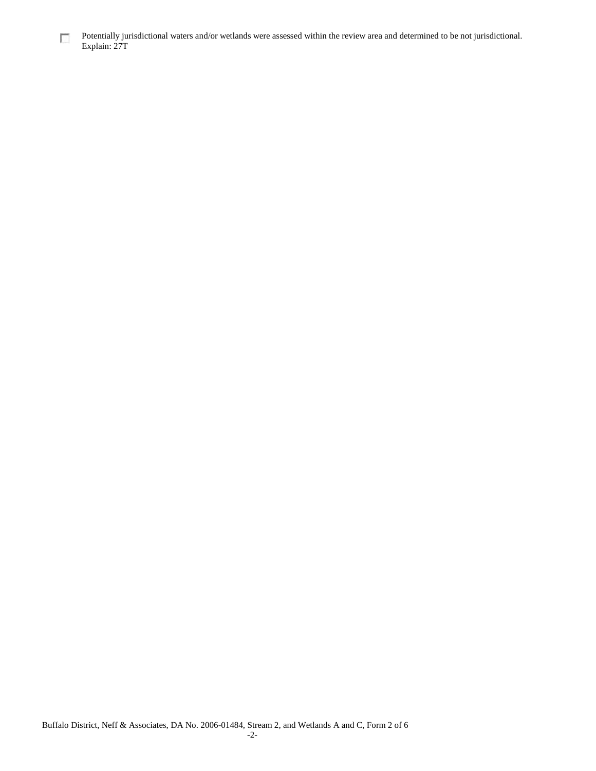Potentially jurisdictional waters and/or wetlands were assessed within the review area and determined to be not jurisdictional.  $\sim$ Explain: 27T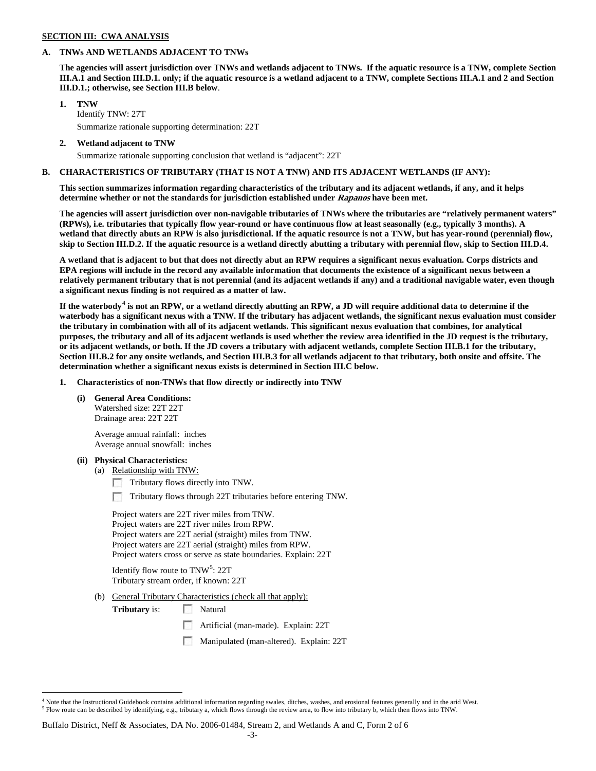### **SECTION III: CWA ANALYSIS**

## **A. TNWs AND WETLANDS ADJACENT TO TNWs**

**The agencies will assert jurisdiction over TNWs and wetlands adjacent to TNWs. If the aquatic resource is a TNW, complete Section III.A.1 and Section III.D.1. only; if the aquatic resource is a wetland adjacent to a TNW, complete Sections III.A.1 and 2 and Section III.D.1.; otherwise, see Section III.B below**.

- **1. TNW**  Identify TNW: 27T Summarize rationale supporting determination: 22T
- **2. Wetland adjacent to TNW** Summarize rationale supporting conclusion that wetland is "adjacent": 22T

### **B. CHARACTERISTICS OF TRIBUTARY (THAT IS NOT A TNW) AND ITS ADJACENT WETLANDS (IF ANY):**

**This section summarizes information regarding characteristics of the tributary and its adjacent wetlands, if any, and it helps determine whether or not the standards for jurisdiction established under Rapanos have been met.** 

**The agencies will assert jurisdiction over non-navigable tributaries of TNWs where the tributaries are "relatively permanent waters" (RPWs), i.e. tributaries that typically flow year-round or have continuous flow at least seasonally (e.g., typically 3 months). A wetland that directly abuts an RPW is also jurisdictional. If the aquatic resource is not a TNW, but has year-round (perennial) flow, skip to Section III.D.2. If the aquatic resource is a wetland directly abutting a tributary with perennial flow, skip to Section III.D.4.**

**A wetland that is adjacent to but that does not directly abut an RPW requires a significant nexus evaluation. Corps districts and EPA regions will include in the record any available information that documents the existence of a significant nexus between a relatively permanent tributary that is not perennial (and its adjacent wetlands if any) and a traditional navigable water, even though a significant nexus finding is not required as a matter of law.**

**If the waterbody[4](#page-11-0) is not an RPW, or a wetland directly abutting an RPW, a JD will require additional data to determine if the waterbody has a significant nexus with a TNW. If the tributary has adjacent wetlands, the significant nexus evaluation must consider the tributary in combination with all of its adjacent wetlands. This significant nexus evaluation that combines, for analytical purposes, the tributary and all of its adjacent wetlands is used whether the review area identified in the JD request is the tributary, or its adjacent wetlands, or both. If the JD covers a tributary with adjacent wetlands, complete Section III.B.1 for the tributary, Section III.B.2 for any onsite wetlands, and Section III.B.3 for all wetlands adjacent to that tributary, both onsite and offsite. The determination whether a significant nexus exists is determined in Section III.C below.**

**1. Characteristics of non-TNWs that flow directly or indirectly into TNW**

**(i) General Area Conditions:**

Watershed size: 22T 22T Drainage area: 22T 22T

Average annual rainfall: inches Average annual snowfall: inches

### **(ii) Physical Characteristics:**

- (a) Relationship with TNW:
	- Tributary flows directly into TNW.
	- n Tributary flows through 22T tributaries before entering TNW.

Project waters are 22T river miles from TNW. Project waters are 22T river miles from RPW. Project waters are 22T aerial (straight) miles from TNW. Project waters are 22T aerial (straight) miles from RPW. Project waters cross or serve as state boundaries. Explain: 22T

Identify flow route to TNW<sup>[5](#page-11-1)</sup>: 22T Tributary stream order, if known: 22T

(b) General Tributary Characteristics (check all that apply):

**Tributary** is: Natural

- $\sim$ Artificial (man-made). Explain: 22T
- Manipulated (man-altered). Explain: 22T

Buffalo District, Neff & Associates, DA No. 2006-01484, Stream 2, and Wetlands A and C, Form 2 of 6

<span id="page-11-1"></span><span id="page-11-0"></span> $4$  Note that the Instructional Guidebook contains additional information regarding swales, ditches, washes, and erosional features generally and in the arid West.<br>  $5$  Flow route can be described by identifying, e.g., tr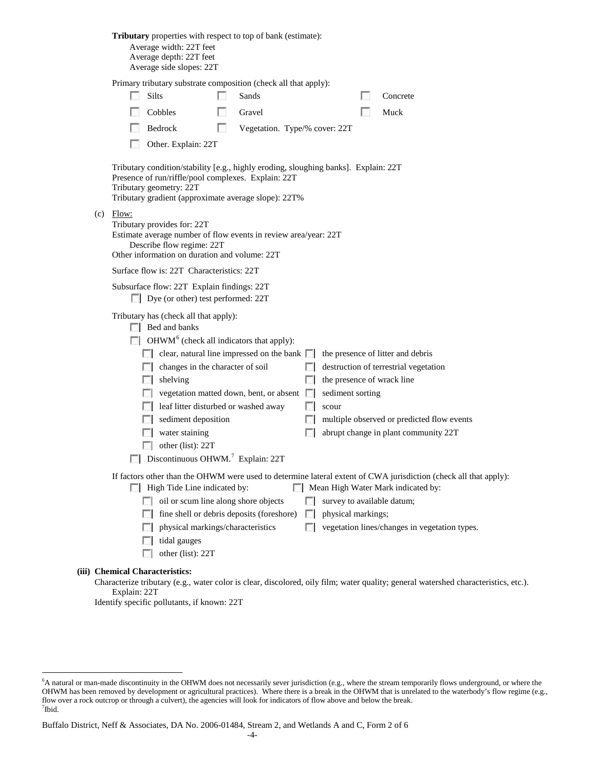|                                                                                                                                                                                             | Average width: 22T feet<br>Average depth: 22T feet<br>Average side slopes: 22T                                                                                                                                                                                                                                                                                          |   | <b>Tributary</b> properties with respect to top of bank (estimate):                                                                         |                |                                                         |  |                                                                                                                                                                                                         |
|---------------------------------------------------------------------------------------------------------------------------------------------------------------------------------------------|-------------------------------------------------------------------------------------------------------------------------------------------------------------------------------------------------------------------------------------------------------------------------------------------------------------------------------------------------------------------------|---|---------------------------------------------------------------------------------------------------------------------------------------------|----------------|---------------------------------------------------------|--|---------------------------------------------------------------------------------------------------------------------------------------------------------------------------------------------------------|
|                                                                                                                                                                                             | Silts                                                                                                                                                                                                                                                                                                                                                                   |   | Primary tributary substrate composition (check all that apply):<br>Sands                                                                    |                |                                                         |  | Concrete                                                                                                                                                                                                |
|                                                                                                                                                                                             | Cobbles                                                                                                                                                                                                                                                                                                                                                                 |   | Gravel                                                                                                                                      |                |                                                         |  | Muck                                                                                                                                                                                                    |
|                                                                                                                                                                                             | Bedrock<br>Other. Explain: 22T                                                                                                                                                                                                                                                                                                                                          | u | Vegetation. Type/% cover: 22T                                                                                                               |                |                                                         |  |                                                                                                                                                                                                         |
|                                                                                                                                                                                             | Presence of run/riffle/pool complexes. Explain: 22T<br>Tributary geometry: 22T                                                                                                                                                                                                                                                                                          |   | Tributary condition/stability [e.g., highly eroding, sloughing banks]. Explain: 22T<br>Tributary gradient (approximate average slope): 22T% |                |                                                         |  |                                                                                                                                                                                                         |
| (c) $Flow:$<br>Tributary provides for: 22T<br>Estimate average number of flow events in review area/year: 22T<br>Describe flow regime: 22T<br>Other information on duration and volume: 22T |                                                                                                                                                                                                                                                                                                                                                                         |   |                                                                                                                                             |                |                                                         |  |                                                                                                                                                                                                         |
|                                                                                                                                                                                             | Surface flow is: 22T Characteristics: 22T                                                                                                                                                                                                                                                                                                                               |   |                                                                                                                                             |                |                                                         |  |                                                                                                                                                                                                         |
|                                                                                                                                                                                             | Subsurface flow: 22T Explain findings: 22T<br>Dye (or other) test performed: 22T                                                                                                                                                                                                                                                                                        |   |                                                                                                                                             |                |                                                         |  |                                                                                                                                                                                                         |
|                                                                                                                                                                                             | Tributary has (check all that apply):<br>$\Box$ Bed and banks<br>$\Box$ OHWM <sup>6</sup> (check all indicators that apply):<br>changes in the character of soil<br>shelving<br><b>In the case of the case</b><br>leaf litter disturbed or washed away<br>sediment deposition<br>water staining<br>other (list): $22T$<br>Discontinuous OHWM. <sup>7</sup> Explain: 22T |   | $\Box$ clear, natural line impressed on the bank $\Box$<br>$\Box$ vegetation matted down, bent, or absent $\Box$                            | L.<br>L.<br>L. | the presence of wrack line<br>sediment sorting<br>scour |  | the presence of litter and debris<br>destruction of terrestrial vegetation<br>multiple observed or predicted flow events<br>abrupt change in plant community 22T                                        |
|                                                                                                                                                                                             | High Tide Line indicated by:<br>oil or scum line along shore objects<br>L.<br>physical markings/characteristics<br>tidal gauges<br>other (list): 22T                                                                                                                                                                                                                    |   | fine shell or debris deposits (foreshore)                                                                                                   |                | survey to available datum;<br>physical markings;        |  | If factors other than the OHWM were used to determine lateral extent of CWA jurisdiction (check all that apply):<br>Mean High Water Mark indicated by:<br>vegetation lines/changes in vegetation types. |
|                                                                                                                                                                                             |                                                                                                                                                                                                                                                                                                                                                                         |   |                                                                                                                                             |                |                                                         |  |                                                                                                                                                                                                         |

# **(iii) Chemical Characteristics:**

Characterize tributary (e.g., water color is clear, discolored, oily film; water quality; general watershed characteristics, etc.). Explain: 22T

Identify specific pollutants, if known: 22T

<span id="page-12-1"></span><span id="page-12-0"></span> <sup>6</sup> <sup>6</sup>A natural or man-made discontinuity in the OHWM does not necessarily sever jurisdiction (e.g., where the stream temporarily flows underground, or where the OHWM has been removed by development or agricultural practices). Where there is a break in the OHWM that is unrelated to the waterbody's flow regime (e.g., flow over a rock outcrop or through a culvert), the agencies will look for indicators of flow above and below the break. 7 Ibid.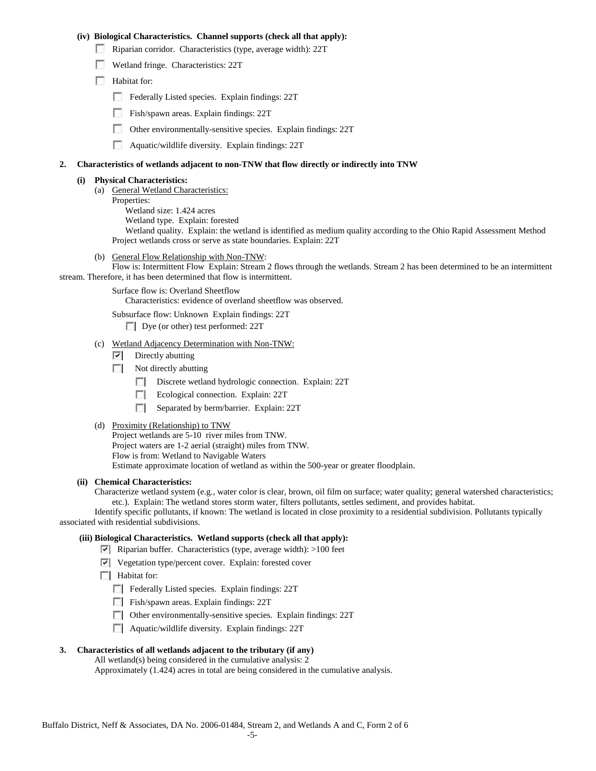### **(iv) Biological Characteristics. Channel supports (check all that apply):**

- Riparian corridor. Characteristics (type, average width): 22T
- Wetland fringe. Characteristics: 22T
- Habitat for:
	- Federally Listed species. Explain findings: 22T
	- **Fish/spawn areas. Explain findings: 22T**
	- Other environmentally-sensitive species. Explain findings: 22T
	- m. Aquatic/wildlife diversity. Explain findings: 22T

### **2. Characteristics of wetlands adjacent to non-TNW that flow directly or indirectly into TNW**

## **(i) Physical Characteristics:**

- (a) General Wetland Characteristics:
	- Properties:
		- Wetland size: 1.424 acres
		- Wetland type. Explain: forested

Wetland quality. Explain: the wetland is identified as medium quality according to the Ohio Rapid Assessment Method Project wetlands cross or serve as state boundaries. Explain: 22T

(b) General Flow Relationship with Non-TNW: Flow is: Intermittent Flow Explain: Stream 2 flows through the wetlands. Stream 2 has been determined to be an intermittent

stream. Therefore, it has been determined that flow is intermittent.

Surface flow is: Overland Sheetflow

Characteristics: evidence of overland sheetflow was observed.

Subsurface flow: Unknown Explain findings: 22T

Dye (or other) test performed: 22T

- (c) Wetland Adjacency Determination with Non-TNW:
	- $\nabla$  Directly abutting
	- Not directly abutting

Discrete wetland hydrologic connection. Explain: 22T

- Ecological connection. Explain: 22T
- Separated by berm/barrier. Explain: 22T
- (d) Proximity (Relationship) to TNW

Project wetlands are 5-10 river miles from TNW. Project waters are 1-2 aerial (straight) miles from TNW. Flow is from: Wetland to Navigable Waters Estimate approximate location of wetland as within the 500-year or greater floodplain.

# **(ii) Chemical Characteristics:**

Characterize wetland system (e.g., water color is clear, brown, oil film on surface; water quality; general watershed characteristics; etc.). Explain: The wetland stores storm water, filters pollutants, settles sediment, and provides habitat.

Identify specific pollutants, if known: The wetland is located in close proximity to a residential subdivision. Pollutants typically associated with residential subdivisions.

### **(iii) Biological Characteristics. Wetland supports (check all that apply):**

- **Riparian buffer.** Characteristics (type, average width):  $>100$  feet
- Vegetation type/percent cover. Explain: forested cover
- $\Box$  Habitat for:
	- Federally Listed species. Explain findings: 22T
	- Fish/spawn areas. Explain findings: 22T
	- Other environmentally-sensitive species. Explain findings: 22T
	- **Aquatic/wildlife diversity. Explain findings: 22T**

# **3. Characteristics of all wetlands adjacent to the tributary (if any)**

All wetland(s) being considered in the cumulative analysis: 2 Approximately (1.424) acres in total are being considered in the cumulative analysis.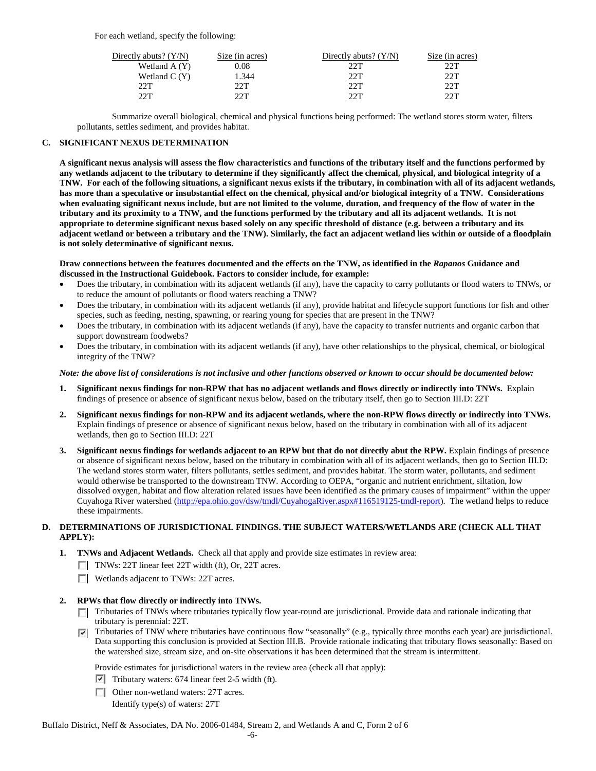For each wetland, specify the following:

| Directly abuts? $(Y/N)$ | Size (in acres) | Directly abuts? $(Y/N)$ | Size (in acres) |
|-------------------------|-----------------|-------------------------|-----------------|
| Wetland $A(Y)$          | 0.08            | 22T                     | 22T             |
| Wetland $C(Y)$          | .344            | 22T                     | 22T             |
| 22T                     | 22T             | 22T                     | 22T             |
| 22T                     | 22T             | 22T                     | 22T             |

Summarize overall biological, chemical and physical functions being performed: The wetland stores storm water, filters pollutants, settles sediment, and provides habitat.

# **C. SIGNIFICANT NEXUS DETERMINATION**

**A significant nexus analysis will assess the flow characteristics and functions of the tributary itself and the functions performed by any wetlands adjacent to the tributary to determine if they significantly affect the chemical, physical, and biological integrity of a TNW. For each of the following situations, a significant nexus exists if the tributary, in combination with all of its adjacent wetlands, has more than a speculative or insubstantial effect on the chemical, physical and/or biological integrity of a TNW. Considerations when evaluating significant nexus include, but are not limited to the volume, duration, and frequency of the flow of water in the tributary and its proximity to a TNW, and the functions performed by the tributary and all its adjacent wetlands. It is not appropriate to determine significant nexus based solely on any specific threshold of distance (e.g. between a tributary and its adjacent wetland or between a tributary and the TNW). Similarly, the fact an adjacent wetland lies within or outside of a floodplain is not solely determinative of significant nexus.** 

### **Draw connections between the features documented and the effects on the TNW, as identified in the** *Rapanos* **Guidance and discussed in the Instructional Guidebook. Factors to consider include, for example:**

- Does the tributary, in combination with its adjacent wetlands (if any), have the capacity to carry pollutants or flood waters to TNWs, or to reduce the amount of pollutants or flood waters reaching a TNW?
- Does the tributary, in combination with its adjacent wetlands (if any), provide habitat and lifecycle support functions for fish and other species, such as feeding, nesting, spawning, or rearing young for species that are present in the TNW?
- Does the tributary, in combination with its adjacent wetlands (if any), have the capacity to transfer nutrients and organic carbon that support downstream foodwebs?
- Does the tributary, in combination with its adjacent wetlands (if any), have other relationships to the physical, chemical, or biological integrity of the TNW?

## *Note: the above list of considerations is not inclusive and other functions observed or known to occur should be documented below:*

- **1. Significant nexus findings for non-RPW that has no adjacent wetlands and flows directly or indirectly into TNWs.** Explain findings of presence or absence of significant nexus below, based on the tributary itself, then go to Section III.D: 22T
- **2. Significant nexus findings for non-RPW and its adjacent wetlands, where the non-RPW flows directly or indirectly into TNWs.**  Explain findings of presence or absence of significant nexus below, based on the tributary in combination with all of its adjacent wetlands, then go to Section III.D: 22T
- **3. Significant nexus findings for wetlands adjacent to an RPW but that do not directly abut the RPW.** Explain findings of presence or absence of significant nexus below, based on the tributary in combination with all of its adjacent wetlands, then go to Section III.D: The wetland stores storm water, filters pollutants, settles sediment, and provides habitat. The storm water, pollutants, and sediment would otherwise be transported to the downstream TNW. According to OEPA, "organic and nutrient enrichment, siltation, low dissolved oxygen, habitat and flow alteration related issues have been identified as the primary causes of impairment" within the upper Cuyahoga River watershed [\(http://epa.ohio.gov/dsw/tmdl/CuyahogaRiver.aspx#116519125-tmdl-report\)](http://epa.ohio.gov/dsw/tmdl/CuyahogaRiver.aspx%23116519125-tmdl-report). The wetland helps to reduce these impairments.

# **D. DETERMINATIONS OF JURISDICTIONAL FINDINGS. THE SUBJECT WATERS/WETLANDS ARE (CHECK ALL THAT APPLY):**

- **1. TNWs and Adjacent Wetlands.** Check all that apply and provide size estimates in review area:
	- TNWs: 22T linear feet 22T width (ft), Or, 22T acres.
	- **Wetlands adjacent to TNWs: 22T acres.**

# **2. RPWs that flow directly or indirectly into TNWs.**

- Tributaries of TNWs where tributaries typically flow year-round are jurisdictional. Provide data and rationale indicating that tributary is perennial: 22T.
- Tributaries of TNW where tributaries have continuous flow "seasonally" (e.g., typically three months each year) are jurisdictional. Data supporting this conclusion is provided at Section III.B. Provide rationale indicating that tributary flows seasonally: Based on the watershed size, stream size, and on-site observations it has been determined that the stream is intermittent.

Provide estimates for jurisdictional waters in the review area (check all that apply):

- $\triangledown$  Tributary waters: 674 linear feet 2-5 width (ft).
- Other non-wetland waters: 27T acres. Identify type(s) of waters: 27T

Buffalo District, Neff & Associates, DA No. 2006-01484, Stream 2, and Wetlands A and C, Form 2 of 6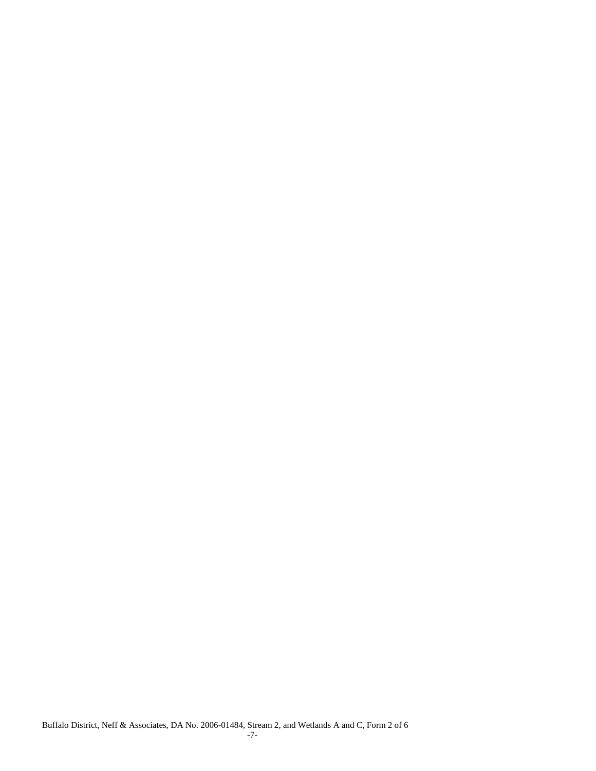Buffalo District, Neff & Associates, DA No. 2006-01484, Stream 2, and Wetlands A and C, Form 2 of 6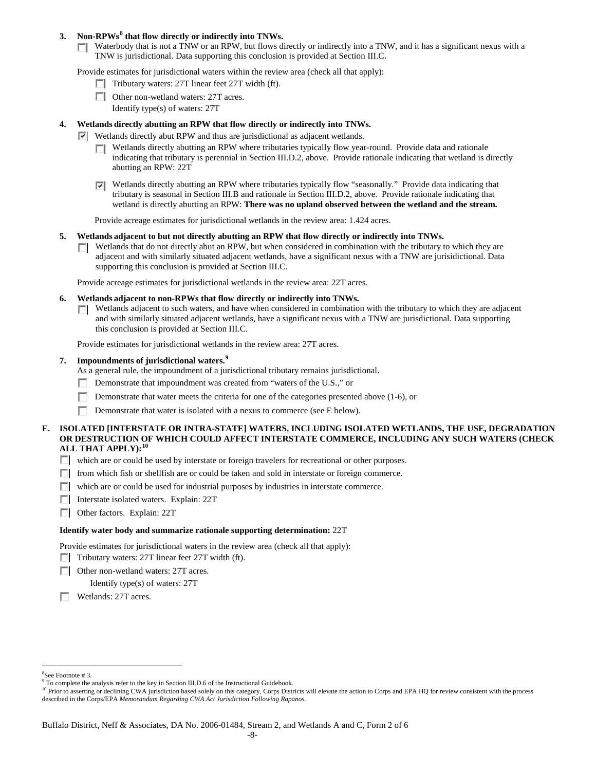# **3. Non-RPWs[8](#page-16-0) that flow directly or indirectly into TNWs.**

Waterbody that is not a TNW or an RPW, but flows directly or indirectly into a TNW, and it has a significant nexus with a TNW is jurisdictional. Data supporting this conclusion is provided at Section III.C.

Provide estimates for jurisdictional waters within the review area (check all that apply):

- $\Box$  Tributary waters: 27T linear feet 27T width (ft).
- Other non-wetland waters: 27T acres.
	- Identify type(s) of waters: 27T

# **4. Wetlands directly abutting an RPW that flow directly or indirectly into TNWs.**

- Wetlands directly abut RPW and thus are jurisdictional as adjacent wetlands.
	- $\Box$  Wetlands directly abutting an RPW where tributaries typically flow year-round. Provide data and rationale indicating that tributary is perennial in Section III.D.2, above. Provide rationale indicating that wetland is directly abutting an RPW: 22T
	- Wetlands directly abutting an RPW where tributaries typically flow "seasonally." Provide data indicating that tributary is seasonal in Section III.B and rationale in Section III.D.2, above. Provide rationale indicating that wetland is directly abutting an RPW: **There was no upland observed between the wetland and the stream.**

Provide acreage estimates for jurisdictional wetlands in the review area: 1.424 acres.

- **5. Wetlands adjacent to but not directly abutting an RPW that flow directly or indirectly into TNWs.**
	- $\Box$  Wetlands that do not directly abut an RPW, but when considered in combination with the tributary to which they are adjacent and with similarly situated adjacent wetlands, have a significant nexus with a TNW are jurisidictional. Data supporting this conclusion is provided at Section III.C.

Provide acreage estimates for jurisdictional wetlands in the review area: 22T acres.

- **6. Wetlands adjacent to non-RPWs that flow directly or indirectly into TNWs.** 
	- Wetlands adjacent to such waters, and have when considered in combination with the tributary to which they are adjacent  $\sim$ and with similarly situated adjacent wetlands, have a significant nexus with a TNW are jurisdictional. Data supporting this conclusion is provided at Section III.C.

Provide estimates for jurisdictional wetlands in the review area: 27T acres.

# **7. Impoundments of jurisdictional waters. [9](#page-16-1)**

As a general rule, the impoundment of a jurisdictional tributary remains jurisdictional.

- Demonstrate that impoundment was created from "waters of the U.S.," or
- Demonstrate that water meets the criteria for one of the categories presented above (1-6), or
- n Demonstrate that water is isolated with a nexus to commerce (see E below).

# **E. ISOLATED [INTERSTATE OR INTRA-STATE] WATERS, INCLUDING ISOLATED WETLANDS, THE USE, DEGRADATION OR DESTRUCTION OF WHICH COULD AFFECT INTERSTATE COMMERCE, INCLUDING ANY SUCH WATERS (CHECK ALL THAT APPLY):[10](#page-16-2)**

which are or could be used by interstate or foreign travelers for recreational or other purposes.

- from which fish or shellfish are or could be taken and sold in interstate or foreign commerce.
- which are or could be used for industrial purposes by industries in interstate commerce.
- **Interstate isolated waters. Explain: 22T**
- Other factors.Explain: 22T

### **Identify water body and summarize rationale supporting determination:** 22T

Provide estimates for jurisdictional waters in the review area (check all that apply):

- Tributary waters: 27T linear feet 27T width (ft).
- Other non-wetland waters: 27T acres.

Identify type(s) of waters: 27T

Wetlands: 27T acres.

 $\frac{1}{8}$ See Footnote # 3.

<span id="page-16-1"></span><span id="page-16-0"></span><sup>&</sup>lt;sup>9</sup> To complete the analysis refer to the key in Section III.D.6 of the Instructional Guidebook.

<span id="page-16-2"></span><sup>&</sup>lt;sup>10</sup> Prior to asserting or declining CWA jurisdiction based solely on this category, Corps Districts will elevate the action to Corps and EPA HQ for review consistent with the process described in the Corps/EPA *Memorandum Regarding CWA Act Jurisdiction Following Rapanos.*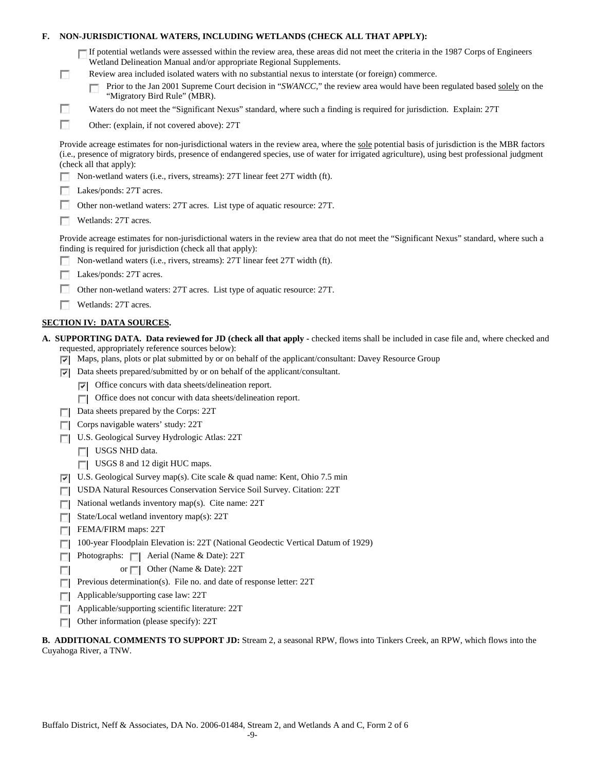| F. |          | NON-JURISDICTIONAL WATERS, INCLUDING WETLANDS (CHECK ALL THAT APPLY):                                                                                                                                                                                                                                                     |
|----|----------|---------------------------------------------------------------------------------------------------------------------------------------------------------------------------------------------------------------------------------------------------------------------------------------------------------------------------|
|    | п        | If potential wetlands were assessed within the review area, these areas did not meet the criteria in the 1987 Corps of Engineers<br>Wetland Delineation Manual and/or appropriate Regional Supplements.<br>Review area included isolated waters with no substantial nexus to interstate (or foreign) commerce.            |
|    |          | Prior to the Jan 2001 Supreme Court decision in "SWANCC," the review area would have been regulated based solely on the<br>"Migratory Bird Rule" (MBR).                                                                                                                                                                   |
|    | $\sim$   | Waters do not meet the "Significant Nexus" standard, where such a finding is required for jurisdiction. Explain: 27T                                                                                                                                                                                                      |
|    | П        | Other: (explain, if not covered above): 27T                                                                                                                                                                                                                                                                               |
|    |          | Provide acreage estimates for non-jurisdictional waters in the review area, where the sole potential basis of jurisdiction is the MBR factors<br>(i.e., presence of migratory birds, presence of endangered species, use of water for irrigated agriculture), using best professional judgment<br>(check all that apply): |
|    |          | Non-wetland waters (i.e., rivers, streams): 27T linear feet 27T width (ft).                                                                                                                                                                                                                                               |
|    |          | Lakes/ponds: 27T acres.                                                                                                                                                                                                                                                                                                   |
|    |          | Other non-wetland waters: 27T acres. List type of aquatic resource: 27T.                                                                                                                                                                                                                                                  |
|    |          | Wetlands: 27T acres.                                                                                                                                                                                                                                                                                                      |
|    |          | Provide acreage estimates for non-jurisdictional waters in the review area that do not meet the "Significant Nexus" standard, where such a<br>finding is required for jurisdiction (check all that apply):<br>Non-wetland waters (i.e., rivers, streams): 27T linear feet 27T width (ft).                                 |
|    |          | Lakes/ponds: 27T acres.                                                                                                                                                                                                                                                                                                   |
|    |          | Other non-wetland waters: 27T acres. List type of aquatic resource: 27T.                                                                                                                                                                                                                                                  |
|    |          | Wetlands: 27T acres.                                                                                                                                                                                                                                                                                                      |
|    |          | <b>SECTION IV: DATA SOURCES.</b>                                                                                                                                                                                                                                                                                          |
|    |          | A. SUPPORTING DATA. Data reviewed for JD (check all that apply - checked items shall be included in case file and, where checked and<br>requested, appropriately reference sources below):                                                                                                                                |
|    |          | Maps, plans, plots or plat submitted by or on behalf of the applicant/consultant: Davey Resource Group<br>Data sheets prepared/submitted by or on behalf of the applicant/consultant.                                                                                                                                     |
|    | 罓        | Office concurs with data sheets/delineation report.<br>⊡                                                                                                                                                                                                                                                                  |
|    |          | Office does not concur with data sheets/delineation report.                                                                                                                                                                                                                                                               |
|    |          | Data sheets prepared by the Corps: 22T                                                                                                                                                                                                                                                                                    |
|    |          | Corps navigable waters' study: 22T                                                                                                                                                                                                                                                                                        |
|    |          | U.S. Geological Survey Hydrologic Atlas: 22T                                                                                                                                                                                                                                                                              |
|    |          | USGS NHD data.                                                                                                                                                                                                                                                                                                            |
|    |          | <b>USGS 8</b> and 12 digit HUC maps.                                                                                                                                                                                                                                                                                      |
|    | ⊽        | U.S. Geological Survey map(s). Cite scale & quad name: Kent, Ohio 7.5 min                                                                                                                                                                                                                                                 |
|    |          | USDA Natural Resources Conservation Service Soil Survey. Citation: 22T                                                                                                                                                                                                                                                    |
|    | D        | National wetlands inventory map(s). Cite name: 22T                                                                                                                                                                                                                                                                        |
|    | <b>I</b> | State/Local wetland inventory map(s): 22T                                                                                                                                                                                                                                                                                 |
|    |          | FEMA/FIRM maps: 22T                                                                                                                                                                                                                                                                                                       |
|    |          | 100-year Floodplain Elevation is: 22T (National Geodectic Vertical Datum of 1929)                                                                                                                                                                                                                                         |
|    |          | Photographs:     Aerial (Name & Date): 22T                                                                                                                                                                                                                                                                                |
|    |          | Other (Name & Date): 22T<br>or $\Box$                                                                                                                                                                                                                                                                                     |
|    |          | Previous determination(s). File no. and date of response letter: 22T                                                                                                                                                                                                                                                      |
|    |          | Applicable/supporting case law: 22T                                                                                                                                                                                                                                                                                       |
|    | D        | Applicable/supporting scientific literature: 22T                                                                                                                                                                                                                                                                          |
|    |          | Other information (please specify): 22T                                                                                                                                                                                                                                                                                   |

# **B. ADDITIONAL COMMENTS TO SUPPORT JD:** Stream 2, a seasonal RPW, flows into Tinkers Creek, an RPW, which flows into the Cuyahoga River, a TNW.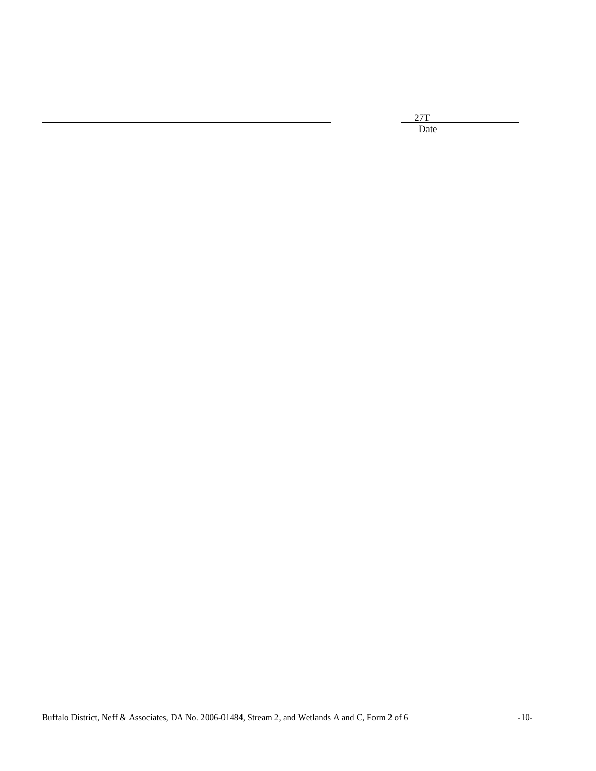27T Date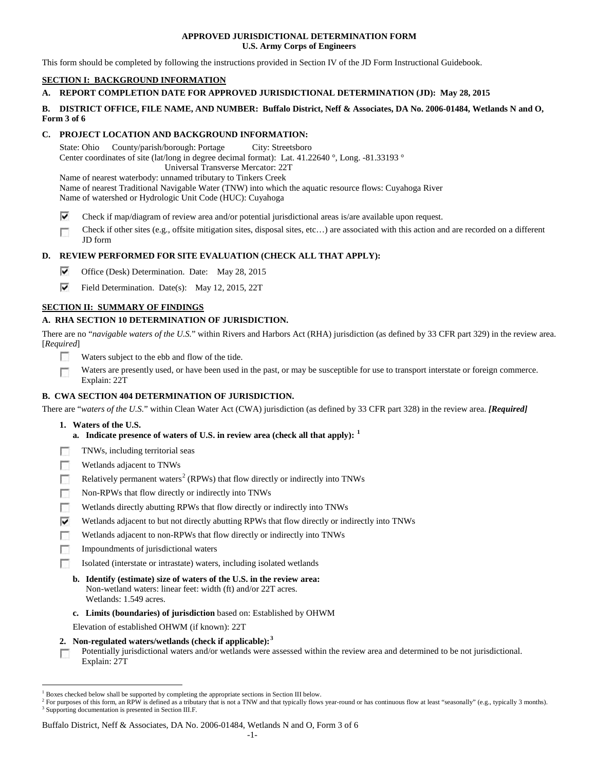## **APPROVED JURISDICTIONAL DETERMINATION FORM U.S. Army Corps of Engineers**

This form should be completed by following the instructions provided in Section IV of the JD Form Instructional Guidebook.

# **SECTION I: BACKGROUND INFORMATION**

# **A. REPORT COMPLETION DATE FOR APPROVED JURISDICTIONAL DETERMINATION (JD): May 28, 2015**

## **B. DISTRICT OFFICE, FILE NAME, AND NUMBER: Buffalo District, Neff & Associates, DA No. 2006-01484, Wetlands N and O, Form 3 of 6**

# **C. PROJECT LOCATION AND BACKGROUND INFORMATION:**

State: Ohio County/parish/borough: Portage City: Streetsboro Center coordinates of site (lat/long in degree decimal format): Lat. 41.22640 °, Long. -81.33193 ° Universal Transverse Mercator: 22T Name of nearest waterbody: unnamed tributary to Tinkers Creek Name of nearest Traditional Navigable Water (TNW) into which the aquatic resource flows: Cuyahoga River

Name of watershed or Hydrologic Unit Code (HUC): Cuyahoga

- ⊽ Check if map/diagram of review area and/or potential jurisdictional areas is/are available upon request.
- Check if other sites (e.g., offsite mitigation sites, disposal sites, etc…) are associated with this action and are recorded on a different Г JD form

# **D. REVIEW PERFORMED FOR SITE EVALUATION (CHECK ALL THAT APPLY):**

- ⊽ Office (Desk) Determination. Date: May 28, 2015
- ⊽ Field Determination. Date(s): May 12, 2015, 22T

# **SECTION II: SUMMARY OF FINDINGS**

# **A. RHA SECTION 10 DETERMINATION OF JURISDICTION.**

There are no "*navigable waters of the U.S.*" within Rivers and Harbors Act (RHA) jurisdiction (as defined by 33 CFR part 329) in the review area. [*Required*]

- n Waters subject to the ebb and flow of the tide.
- Waters are presently used, or have been used in the past, or may be susceptible for use to transport interstate or foreign commerce. Г Explain: 22T

# **B. CWA SECTION 404 DETERMINATION OF JURISDICTION.**

There are "*waters of the U.S.*" within Clean Water Act (CWA) jurisdiction (as defined by 33 CFR part 328) in the review area. *[Required]*

- **1. Waters of the U.S.**
	- **a. Indicate presence of waters of U.S. in review area (check all that apply): [1](#page-19-0)**
- TNWs, including territorial seas Е
- Wetlands adjacent to TNWs п
- Relatively permanent waters<sup>[2](#page-19-1)</sup> (RPWs) that flow directly or indirectly into TNWs n
- п Non-RPWs that flow directly or indirectly into TNWs
- Wetlands directly abutting RPWs that flow directly or indirectly into TNWs п
- ⊽ Wetlands adjacent to but not directly abutting RPWs that flow directly or indirectly into TNWs
- г Wetlands adjacent to non-RPWs that flow directly or indirectly into TNWs
- n Impoundments of jurisdictional waters
- Isolated (interstate or intrastate) waters, including isolated wetlands n.
	- **b. Identify (estimate) size of waters of the U.S. in the review area:** Non-wetland waters: linear feet: width (ft) and/or 22T acres. Wetlands: 1.549 acres.
	- **c. Limits (boundaries) of jurisdiction** based on: Established by OHWM
	- Elevation of established OHWM (if known): 22T
- **2. Non-regulated waters/wetlands (check if applicable): [3](#page-19-2)**

### Buffalo District, Neff & Associates, DA No. 2006-01484, Wetlands N and O, Form 3 of 6

Potentially jurisdictional waters and/or wetlands were assessed within the review area and determined to be not jurisdictional.  $\sim$ Explain: 27T

<span id="page-19-0"></span><sup>&</sup>lt;sup>1</sup> Boxes checked below shall be supported by completing the appropriate sections in Section III below.

<span id="page-19-2"></span><span id="page-19-1"></span> $^2$  For purposes of this form, an RPW is defined as a tributary that is not a TNW and that typically flows year-round or has continuous flow at least "seasonally" (e.g., typically 3 months).  $^3$  Supporting documentation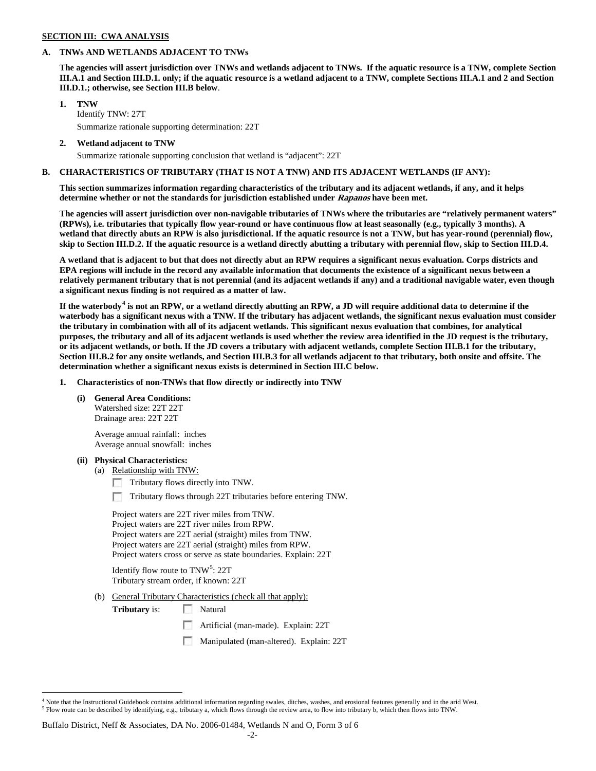### **SECTION III: CWA ANALYSIS**

## **A. TNWs AND WETLANDS ADJACENT TO TNWs**

**The agencies will assert jurisdiction over TNWs and wetlands adjacent to TNWs. If the aquatic resource is a TNW, complete Section III.A.1 and Section III.D.1. only; if the aquatic resource is a wetland adjacent to a TNW, complete Sections III.A.1 and 2 and Section III.D.1.; otherwise, see Section III.B below**.

- **1. TNW**  Identify TNW: 27T Summarize rationale supporting determination: 22T
- **2. Wetland adjacent to TNW** Summarize rationale supporting conclusion that wetland is "adjacent": 22T

### **B. CHARACTERISTICS OF TRIBUTARY (THAT IS NOT A TNW) AND ITS ADJACENT WETLANDS (IF ANY):**

**This section summarizes information regarding characteristics of the tributary and its adjacent wetlands, if any, and it helps determine whether or not the standards for jurisdiction established under Rapanos have been met.** 

**The agencies will assert jurisdiction over non-navigable tributaries of TNWs where the tributaries are "relatively permanent waters" (RPWs), i.e. tributaries that typically flow year-round or have continuous flow at least seasonally (e.g., typically 3 months). A wetland that directly abuts an RPW is also jurisdictional. If the aquatic resource is not a TNW, but has year-round (perennial) flow, skip to Section III.D.2. If the aquatic resource is a wetland directly abutting a tributary with perennial flow, skip to Section III.D.4.**

**A wetland that is adjacent to but that does not directly abut an RPW requires a significant nexus evaluation. Corps districts and EPA regions will include in the record any available information that documents the existence of a significant nexus between a relatively permanent tributary that is not perennial (and its adjacent wetlands if any) and a traditional navigable water, even though a significant nexus finding is not required as a matter of law.**

**If the waterbody[4](#page-20-0) is not an RPW, or a wetland directly abutting an RPW, a JD will require additional data to determine if the waterbody has a significant nexus with a TNW. If the tributary has adjacent wetlands, the significant nexus evaluation must consider the tributary in combination with all of its adjacent wetlands. This significant nexus evaluation that combines, for analytical purposes, the tributary and all of its adjacent wetlands is used whether the review area identified in the JD request is the tributary, or its adjacent wetlands, or both. If the JD covers a tributary with adjacent wetlands, complete Section III.B.1 for the tributary, Section III.B.2 for any onsite wetlands, and Section III.B.3 for all wetlands adjacent to that tributary, both onsite and offsite. The determination whether a significant nexus exists is determined in Section III.C below.**

**1. Characteristics of non-TNWs that flow directly or indirectly into TNW**

**(i) General Area Conditions:**

Watershed size: 22T 22T Drainage area: 22T 22T

Average annual rainfall: inches Average annual snowfall: inches

### **(ii) Physical Characteristics:**

- (a) Relationship with TNW:
	- Tributary flows directly into TNW.
	- n Tributary flows through 22T tributaries before entering TNW.

Project waters are 22T river miles from TNW. Project waters are 22T river miles from RPW. Project waters are 22T aerial (straight) miles from TNW. Project waters are 22T aerial (straight) miles from RPW. Project waters cross or serve as state boundaries. Explain: 22T

Identify flow route to TNW<sup>[5](#page-20-1)</sup>: 22T Tributary stream order, if known: 22T

(b) General Tributary Characteristics (check all that apply):

**Tributary** is: Natural

- $\sim$ Artificial (man-made). Explain: 22T
- Manipulated (man-altered). Explain: 22T

<span id="page-20-1"></span><span id="page-20-0"></span> $4$  Note that the Instructional Guidebook contains additional information regarding swales, ditches, washes, and erosional features generally and in the arid West.<br>  $5$  Flow route can be described by identifying, e.g., tr

Buffalo District, Neff & Associates, DA No. 2006-01484, Wetlands N and O, Form 3 of 6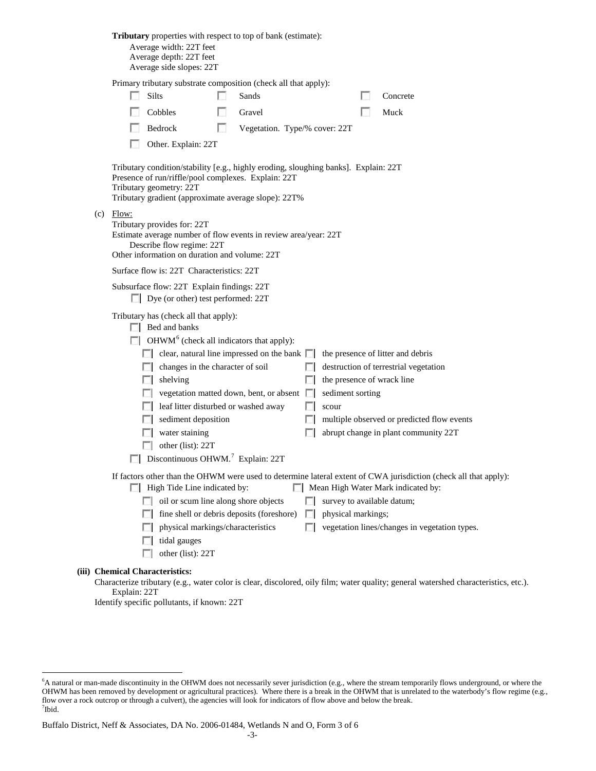|                                                                                                                                                                                             | Average width: 22T feet<br>Average depth: 22T feet<br>Average side slopes: 22T                                                                                                                                                                                                                                                        |   | <b>Tributary</b> properties with respect to top of bank (estimate):                                                                         |                |                                                         |  |                                                                                                                                                                                                         |
|---------------------------------------------------------------------------------------------------------------------------------------------------------------------------------------------|---------------------------------------------------------------------------------------------------------------------------------------------------------------------------------------------------------------------------------------------------------------------------------------------------------------------------------------|---|---------------------------------------------------------------------------------------------------------------------------------------------|----------------|---------------------------------------------------------|--|---------------------------------------------------------------------------------------------------------------------------------------------------------------------------------------------------------|
|                                                                                                                                                                                             | Silts                                                                                                                                                                                                                                                                                                                                 |   | Primary tributary substrate composition (check all that apply):<br>Sands                                                                    |                |                                                         |  | Concrete                                                                                                                                                                                                |
|                                                                                                                                                                                             | Cobbles                                                                                                                                                                                                                                                                                                                               |   | Gravel                                                                                                                                      |                |                                                         |  | Muck                                                                                                                                                                                                    |
|                                                                                                                                                                                             | Bedrock                                                                                                                                                                                                                                                                                                                               | u | Vegetation. Type/% cover: 22T                                                                                                               |                |                                                         |  |                                                                                                                                                                                                         |
|                                                                                                                                                                                             | Other. Explain: 22T                                                                                                                                                                                                                                                                                                                   |   |                                                                                                                                             |                |                                                         |  |                                                                                                                                                                                                         |
|                                                                                                                                                                                             | Presence of run/riffle/pool complexes. Explain: 22T<br>Tributary geometry: 22T                                                                                                                                                                                                                                                        |   | Tributary condition/stability [e.g., highly eroding, sloughing banks]. Explain: 22T<br>Tributary gradient (approximate average slope): 22T% |                |                                                         |  |                                                                                                                                                                                                         |
| (c) $Flow:$<br>Tributary provides for: 22T<br>Estimate average number of flow events in review area/year: 22T<br>Describe flow regime: 22T<br>Other information on duration and volume: 22T |                                                                                                                                                                                                                                                                                                                                       |   |                                                                                                                                             |                |                                                         |  |                                                                                                                                                                                                         |
|                                                                                                                                                                                             | Surface flow is: 22T Characteristics: 22T                                                                                                                                                                                                                                                                                             |   |                                                                                                                                             |                |                                                         |  |                                                                                                                                                                                                         |
|                                                                                                                                                                                             | Subsurface flow: 22T Explain findings: 22T<br>Dye (or other) test performed: 22T                                                                                                                                                                                                                                                      |   |                                                                                                                                             |                |                                                         |  |                                                                                                                                                                                                         |
| <b>ISBN</b>                                                                                                                                                                                 | Tributary has (check all that apply):<br>$\Box$ Bed and banks<br>$\Box$ OHWM <sup>6</sup> (check all indicators that apply):<br>changes in the character of soil<br>shelving<br>leaf litter disturbed or washed away<br>sediment deposition<br>water staining<br>other (list): $22T$<br>Discontinuous OHWM. <sup>7</sup> Explain: 22T |   | $\Box$ clear, natural line impressed on the bank $\Box$<br>$\Box$ vegetation matted down, bent, or absent $\Box$                            | L.<br>L.<br>L. | the presence of wrack line<br>sediment sorting<br>scour |  | the presence of litter and debris<br>destruction of terrestrial vegetation<br>multiple observed or predicted flow events<br>abrupt change in plant community 22T                                        |
| L.                                                                                                                                                                                          | High Tide Line indicated by:<br>oil or scum line along shore objects<br>physical markings/characteristics<br>tidal gauges<br>other (list): 22T                                                                                                                                                                                        |   | fine shell or debris deposits (foreshore)                                                                                                   |                | survey to available datum;<br>physical markings;        |  | If factors other than the OHWM were used to determine lateral extent of CWA jurisdiction (check all that apply):<br>Mean High Water Mark indicated by:<br>vegetation lines/changes in vegetation types. |
|                                                                                                                                                                                             |                                                                                                                                                                                                                                                                                                                                       |   |                                                                                                                                             |                |                                                         |  |                                                                                                                                                                                                         |

# **(iii) Chemical Characteristics:**

Characterize tributary (e.g., water color is clear, discolored, oily film; water quality; general watershed characteristics, etc.). Explain: 22T

Identify specific pollutants, if known: 22T

<span id="page-21-0"></span> <sup>6</sup> <sup>6</sup>A natural or man-made discontinuity in the OHWM does not necessarily sever jurisdiction (e.g., where the stream temporarily flows underground, or where the OHWM has been removed by development or agricultural practices). Where there is a break in the OHWM that is unrelated to the waterbody's flow regime (e.g., flow over a rock outcrop or through a culvert), the agencies will look for indicators of flow above and below the break. 7 Ibid.

<span id="page-21-1"></span>Buffalo District, Neff & Associates, DA No. 2006-01484, Wetlands N and O, Form 3 of 6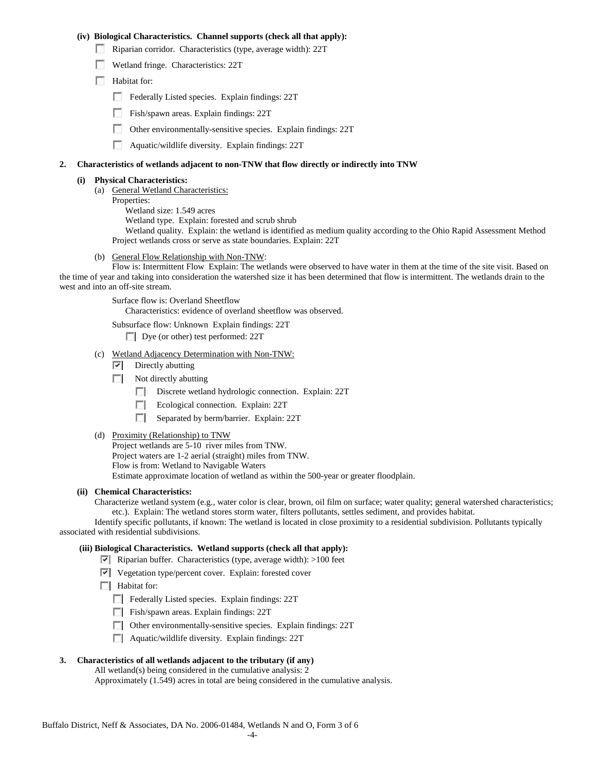### **(iv) Biological Characteristics. Channel supports (check all that apply):**

- Riparian corridor. Characteristics (type, average width): 22T
- Wetland fringe. Characteristics: 22T
- Habitat for:
	- Federally Listed species. Explain findings: 22T
	- Fish/spawn areas. Explain findings: 22T
	- Other environmentally-sensitive species. Explain findings: 22T
	- Aquatic/wildlife diversity. Explain findings: 22T

### **2. Characteristics of wetlands adjacent to non-TNW that flow directly or indirectly into TNW**

### **(i) Physical Characteristics:**

- (a) General Wetland Characteristics:
	- Properties:
		- Wetland size: 1.549 acres

Wetland type. Explain: forested and scrub shrub

Wetland quality. Explain: the wetland is identified as medium quality according to the Ohio Rapid Assessment Method Project wetlands cross or serve as state boundaries. Explain: 22T

(b) General Flow Relationship with Non-TNW:

Flow is: Intermittent Flow Explain: The wetlands were observed to have water in them at the time of the site visit. Based on the time of year and taking into consideration the watershed size it has been determined that flow is intermittent. The wetlands drain to the west and into an off-site stream.

Surface flow is: Overland Sheetflow

Characteristics: evidence of overland sheetflow was observed.

Subsurface flow: Unknown Explain findings: 22T

Dye (or other) test performed: 22T

- (c) Wetland Adjacency Determination with Non-TNW:
	- $\nabla$  Directly abutting
	- Not directly abutting
		- Discrete wetland hydrologic connection. Explain: 22T
		- 100 Ecological connection. Explain: 22T
		- $\overline{\phantom{a}}$ Separated by berm/barrier. Explain: 22T
- (d) Proximity (Relationship) to TNW

Project wetlands are 5-10 river miles from TNW. Project waters are 1-2 aerial (straight) miles from TNW. Flow is from: Wetland to Navigable Waters Estimate approximate location of wetland as within the 500-year or greater floodplain.

### **(ii) Chemical Characteristics:**

Characterize wetland system (e.g., water color is clear, brown, oil film on surface; water quality; general watershed characteristics; etc.). Explain: The wetland stores storm water, filters pollutants, settles sediment, and provides habitat.

Identify specific pollutants, if known: The wetland is located in close proximity to a residential subdivision. Pollutants typically associated with residential subdivisions.

# **(iii) Biological Characteristics. Wetland supports (check all that apply):**

- **Riparian buffer.** Characteristics (type, average width):  $>100$  feet
- $\triangledown$  Vegetation type/percent cover. Explain: forested cover
- **Habitat for:** 
	- $\Box$  Federally Listed species. Explain findings: 22T
	- Fish/spawn areas. Explain findings: 22T
	- Other environmentally-sensitive species. Explain findings: 22T
	- Aquatic/wildlife diversity. Explain findings: 22T

# **3. Characteristics of all wetlands adjacent to the tributary (if any)**

All wetland(s) being considered in the cumulative analysis: 2

Approximately (1.549) acres in total are being considered in the cumulative analysis.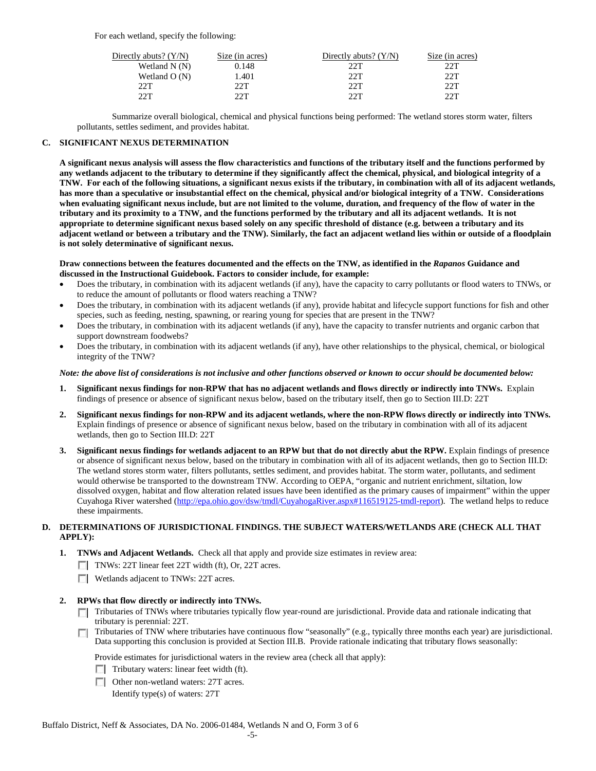For each wetland, specify the following:

| Directly abuts? $(Y/N)$ | Size (in acres) | Directly abuts? $(Y/N)$ | Size (in acres) |
|-------------------------|-----------------|-------------------------|-----------------|
| Wetland $N(N)$          | 0.148           | 22T                     | 22T             |
| Wetland $O(N)$          | .401            | 22T                     | 22T             |
| 22T                     | 22T             | 22T                     | 22T             |
| 22T                     | 22T             | 22T                     | 22T             |

Summarize overall biological, chemical and physical functions being performed: The wetland stores storm water, filters pollutants, settles sediment, and provides habitat.

# **C. SIGNIFICANT NEXUS DETERMINATION**

**A significant nexus analysis will assess the flow characteristics and functions of the tributary itself and the functions performed by any wetlands adjacent to the tributary to determine if they significantly affect the chemical, physical, and biological integrity of a TNW. For each of the following situations, a significant nexus exists if the tributary, in combination with all of its adjacent wetlands, has more than a speculative or insubstantial effect on the chemical, physical and/or biological integrity of a TNW. Considerations when evaluating significant nexus include, but are not limited to the volume, duration, and frequency of the flow of water in the tributary and its proximity to a TNW, and the functions performed by the tributary and all its adjacent wetlands. It is not appropriate to determine significant nexus based solely on any specific threshold of distance (e.g. between a tributary and its adjacent wetland or between a tributary and the TNW). Similarly, the fact an adjacent wetland lies within or outside of a floodplain is not solely determinative of significant nexus.** 

### **Draw connections between the features documented and the effects on the TNW, as identified in the** *Rapanos* **Guidance and discussed in the Instructional Guidebook. Factors to consider include, for example:**

- Does the tributary, in combination with its adjacent wetlands (if any), have the capacity to carry pollutants or flood waters to TNWs, or to reduce the amount of pollutants or flood waters reaching a TNW?
- Does the tributary, in combination with its adjacent wetlands (if any), provide habitat and lifecycle support functions for fish and other species, such as feeding, nesting, spawning, or rearing young for species that are present in the TNW?
- Does the tributary, in combination with its adjacent wetlands (if any), have the capacity to transfer nutrients and organic carbon that support downstream foodwebs?
- Does the tributary, in combination with its adjacent wetlands (if any), have other relationships to the physical, chemical, or biological integrity of the TNW?

## *Note: the above list of considerations is not inclusive and other functions observed or known to occur should be documented below:*

- **1. Significant nexus findings for non-RPW that has no adjacent wetlands and flows directly or indirectly into TNWs.** Explain findings of presence or absence of significant nexus below, based on the tributary itself, then go to Section III.D: 22T
- **2. Significant nexus findings for non-RPW and its adjacent wetlands, where the non-RPW flows directly or indirectly into TNWs.**  Explain findings of presence or absence of significant nexus below, based on the tributary in combination with all of its adjacent wetlands, then go to Section III.D: 22T
- **3. Significant nexus findings for wetlands adjacent to an RPW but that do not directly abut the RPW.** Explain findings of presence or absence of significant nexus below, based on the tributary in combination with all of its adjacent wetlands, then go to Section III.D: The wetland stores storm water, filters pollutants, settles sediment, and provides habitat. The storm water, pollutants, and sediment would otherwise be transported to the downstream TNW. According to OEPA, "organic and nutrient enrichment, siltation, low dissolved oxygen, habitat and flow alteration related issues have been identified as the primary causes of impairment" within the upper Cuyahoga River watershed [\(http://epa.ohio.gov/dsw/tmdl/CuyahogaRiver.aspx#116519125-tmdl-report\)](http://epa.ohio.gov/dsw/tmdl/CuyahogaRiver.aspx%23116519125-tmdl-report). The wetland helps to reduce these impairments.

# **D. DETERMINATIONS OF JURISDICTIONAL FINDINGS. THE SUBJECT WATERS/WETLANDS ARE (CHECK ALL THAT APPLY):**

- **1. TNWs and Adjacent Wetlands.** Check all that apply and provide size estimates in review area:
	- TNWs: 22T linear feet 22T width (ft), Or, 22T acres.
	- **Wetlands adjacent to TNWs: 22T acres.**

# **2. RPWs that flow directly or indirectly into TNWs.**

- Tributaries of TNWs where tributaries typically flow year-round are jurisdictional. Provide data and rationale indicating that tributary is perennial: 22T.
- Tributaries of TNW where tributaries have continuous flow "seasonally" (e.g., typically three months each year) are jurisdictional. Data supporting this conclusion is provided at Section III.B. Provide rationale indicating that tributary flows seasonally:

Provide estimates for jurisdictional waters in the review area (check all that apply):

- $\Box$  Tributary waters: linear feet width (ft).
- □ Other non-wetland waters: 27T acres.

Identify type(s) of waters: 27T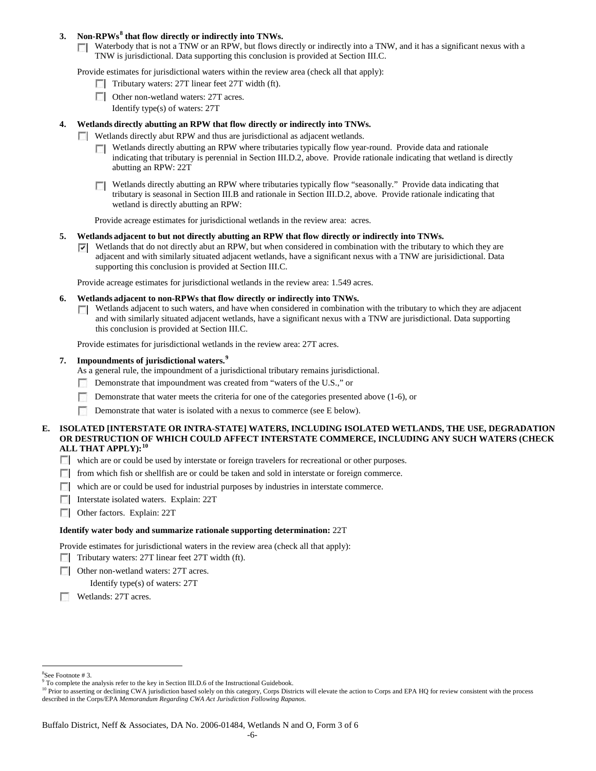# **3. Non-RPWs[8](#page-24-0) that flow directly or indirectly into TNWs.**

Waterbody that is not a TNW or an RPW, but flows directly or indirectly into a TNW, and it has a significant nexus with a TNW is jurisdictional. Data supporting this conclusion is provided at Section III.C.

Provide estimates for jurisdictional waters within the review area (check all that apply):

- $\Box$  Tributary waters: 27T linear feet 27T width (ft).
- Other non-wetland waters: 27T acres.
	- Identify type(s) of waters: 27T

# **4. Wetlands directly abutting an RPW that flow directly or indirectly into TNWs.**

- **Wetlands directly abut RPW and thus are jurisdictional as adjacent wetlands.** 
	- $\Box$  Wetlands directly abutting an RPW where tributaries typically flow year-round. Provide data and rationale indicating that tributary is perennial in Section III.D.2, above. Provide rationale indicating that wetland is directly abutting an RPW: 22T
	- Wetlands directly abutting an RPW where tributaries typically flow "seasonally." Provide data indicating that tributary is seasonal in Section III.B and rationale in Section III.D.2, above. Provide rationale indicating that wetland is directly abutting an RPW:

Provide acreage estimates for jurisdictional wetlands in the review area: acres.

- **5. Wetlands adjacent to but not directly abutting an RPW that flow directly or indirectly into TNWs.**
	- $\blacktriangleright$  Wetlands that do not directly abut an RPW, but when considered in combination with the tributary to which they are adjacent and with similarly situated adjacent wetlands, have a significant nexus with a TNW are jurisidictional. Data supporting this conclusion is provided at Section III.C.

Provide acreage estimates for jurisdictional wetlands in the review area: 1.549 acres.

- **6. Wetlands adjacent to non-RPWs that flow directly or indirectly into TNWs.** 
	- Wetlands adjacent to such waters, and have when considered in combination with the tributary to which they are adjacent  $\sim$ and with similarly situated adjacent wetlands, have a significant nexus with a TNW are jurisdictional. Data supporting this conclusion is provided at Section III.C.

Provide estimates for jurisdictional wetlands in the review area: 27T acres.

# **7. Impoundments of jurisdictional waters. [9](#page-24-1)**

As a general rule, the impoundment of a jurisdictional tributary remains jurisdictional.

- Demonstrate that impoundment was created from "waters of the U.S.," or
- Demonstrate that water meets the criteria for one of the categories presented above (1-6), or
- n Demonstrate that water is isolated with a nexus to commerce (see E below).
- **E. ISOLATED [INTERSTATE OR INTRA-STATE] WATERS, INCLUDING ISOLATED WETLANDS, THE USE, DEGRADATION OR DESTRUCTION OF WHICH COULD AFFECT INTERSTATE COMMERCE, INCLUDING ANY SUCH WATERS (CHECK ALL THAT APPLY):[10](#page-24-2)**
	- which are or could be used by interstate or foreign travelers for recreational or other purposes.
	- from which fish or shellfish are or could be taken and sold in interstate or foreign commerce.
	- which are or could be used for industrial purposes by industries in interstate commerce.
	- **Interstate isolated waters. Explain: 22T**
	- Other factors.Explain: 22T

### **Identify water body and summarize rationale supporting determination:** 22T

Provide estimates for jurisdictional waters in the review area (check all that apply):

- Tributary waters: 27T linear feet 27T width (ft).
- Other non-wetland waters: 27T acres.

Identify type(s) of waters: 27T

Wetlands: 27T acres.

 $\frac{1}{8}$ See Footnote # 3.

<span id="page-24-1"></span><span id="page-24-0"></span><sup>&</sup>lt;sup>9</sup> To complete the analysis refer to the key in Section III.D.6 of the Instructional Guidebook.

<span id="page-24-2"></span><sup>&</sup>lt;sup>10</sup> Prior to asserting or declining CWA jurisdiction based solely on this category, Corps Districts will elevate the action to Corps and EPA HQ for review consistent with the process described in the Corps/EPA *Memorandum Regarding CWA Act Jurisdiction Following Rapanos.*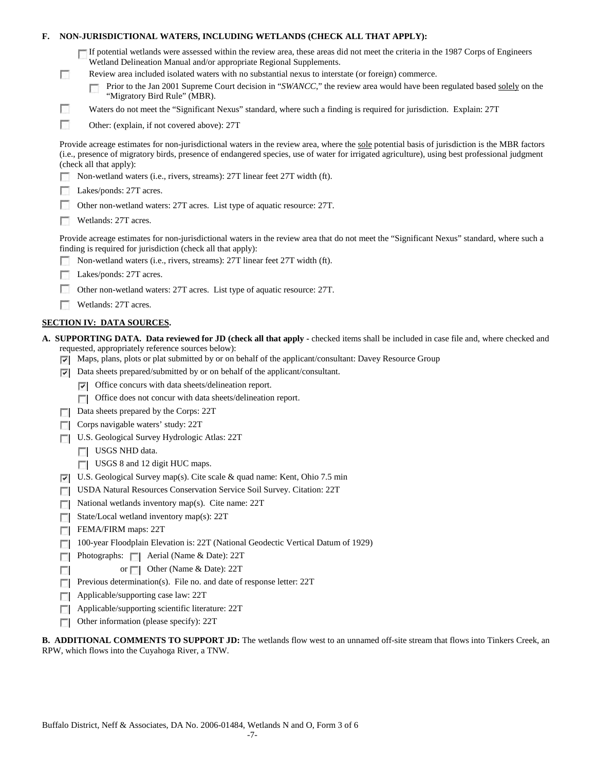| F. |   | NON-JURISDICTIONAL WATERS, INCLUDING WETLANDS (CHECK ALL THAT APPLY):                                                                                                                                                                                                                                                     |
|----|---|---------------------------------------------------------------------------------------------------------------------------------------------------------------------------------------------------------------------------------------------------------------------------------------------------------------------------|
|    |   | If potential wetlands were assessed within the review area, these areas did not meet the criteria in the 1987 Corps of Engineers<br>Wetland Delineation Manual and/or appropriate Regional Supplements.                                                                                                                   |
|    | D | Review area included isolated waters with no substantial nexus to interstate (or foreign) commerce.                                                                                                                                                                                                                       |
|    |   | Prior to the Jan 2001 Supreme Court decision in "SWANCC," the review area would have been regulated based solely on the<br>"Migratory Bird Rule" (MBR).                                                                                                                                                                   |
|    | u | Waters do not meet the "Significant Nexus" standard, where such a finding is required for jurisdiction. Explain: 27T                                                                                                                                                                                                      |
|    | п | Other: (explain, if not covered above): 27T                                                                                                                                                                                                                                                                               |
|    |   | Provide acreage estimates for non-jurisdictional waters in the review area, where the sole potential basis of jurisdiction is the MBR factors<br>(i.e., presence of migratory birds, presence of endangered species, use of water for irrigated agriculture), using best professional judgment<br>(check all that apply): |
|    |   | Non-wetland waters (i.e., rivers, streams): 27T linear feet 27T width (ft).                                                                                                                                                                                                                                               |
|    |   | Lakes/ponds: 27T acres.                                                                                                                                                                                                                                                                                                   |
|    |   | Other non-wetland waters: 27T acres. List type of aquatic resource: 27T.                                                                                                                                                                                                                                                  |
|    |   | Wetlands: 27T acres.                                                                                                                                                                                                                                                                                                      |
|    |   | Provide acreage estimates for non-jurisdictional waters in the review area that do not meet the "Significant Nexus" standard, where such a<br>finding is required for jurisdiction (check all that apply):                                                                                                                |
|    |   | Non-wetland waters (i.e., rivers, streams): 27T linear feet 27T width (ft).                                                                                                                                                                                                                                               |
|    |   | Lakes/ponds: 27T acres.                                                                                                                                                                                                                                                                                                   |
|    |   | Other non-wetland waters: 27T acres. List type of aquatic resource: 27T.                                                                                                                                                                                                                                                  |
|    |   | Wetlands: 27T acres.                                                                                                                                                                                                                                                                                                      |
|    |   | <b>SECTION IV: DATA SOURCES.</b>                                                                                                                                                                                                                                                                                          |
|    |   | A. SUPPORTING DATA. Data reviewed for JD (check all that apply - checked items shall be included in case file and, where checked and<br>requested, appropriately reference sources below):<br>$\triangledown$ Maps, plans, plots or plat submitted by or on behalf of the applicant/consultant: Davey Resource Group      |
|    | ▿ | Data sheets prepared/submitted by or on behalf of the applicant/consultant.                                                                                                                                                                                                                                               |
|    |   | Office concurs with data sheets/delineation report.<br>$\overline{\phantom{a}}$                                                                                                                                                                                                                                           |
|    |   | Office does not concur with data sheets/delineation report.                                                                                                                                                                                                                                                               |
|    |   | Data sheets prepared by the Corps: 22T                                                                                                                                                                                                                                                                                    |
|    |   | Corps navigable waters' study: 22T                                                                                                                                                                                                                                                                                        |
|    |   | U.S. Geological Survey Hydrologic Atlas: 22T                                                                                                                                                                                                                                                                              |
|    |   | USGS NHD data.                                                                                                                                                                                                                                                                                                            |
|    |   | USGS 8 and 12 digit HUC maps.                                                                                                                                                                                                                                                                                             |
|    | ⊽ | U.S. Geological Survey map(s). Cite scale & quad name: Kent, Ohio 7.5 min                                                                                                                                                                                                                                                 |
|    |   | USDA Natural Resources Conservation Service Soil Survey. Citation: 22T                                                                                                                                                                                                                                                    |
|    |   | National wetlands inventory map(s). Cite name: 22T                                                                                                                                                                                                                                                                        |
|    | г | State/Local wetland inventory map(s): 22T                                                                                                                                                                                                                                                                                 |
|    |   | FEMA/FIRM maps: 22T                                                                                                                                                                                                                                                                                                       |
|    |   | 100-year Floodplain Elevation is: 22T (National Geodectic Vertical Datum of 1929)                                                                                                                                                                                                                                         |
|    |   | Photographs:     Aerial (Name & Date): 22T                                                                                                                                                                                                                                                                                |
|    |   | Other (Name & Date): 22T<br>or $\Box$                                                                                                                                                                                                                                                                                     |
|    | г | Previous determination(s). File no. and date of response letter: 22T                                                                                                                                                                                                                                                      |
|    |   | Applicable/supporting case law: 22T                                                                                                                                                                                                                                                                                       |
|    |   | Applicable/supporting scientific literature: 22T                                                                                                                                                                                                                                                                          |
|    |   | Other information (please specify): 22T                                                                                                                                                                                                                                                                                   |

**B. ADDITIONAL COMMENTS TO SUPPORT JD:** The wetlands flow west to an unnamed off-site stream that flows into Tinkers Creek, an RPW, which flows into the Cuyahoga River, a TNW.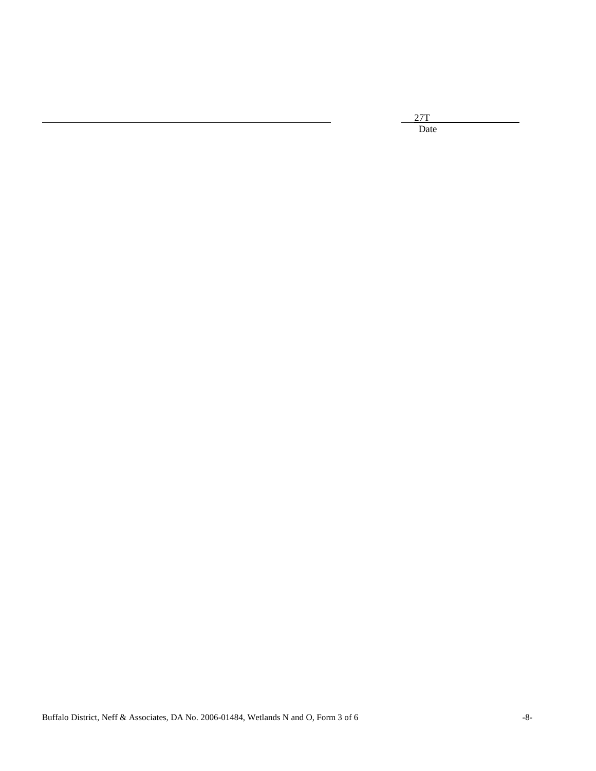27T Date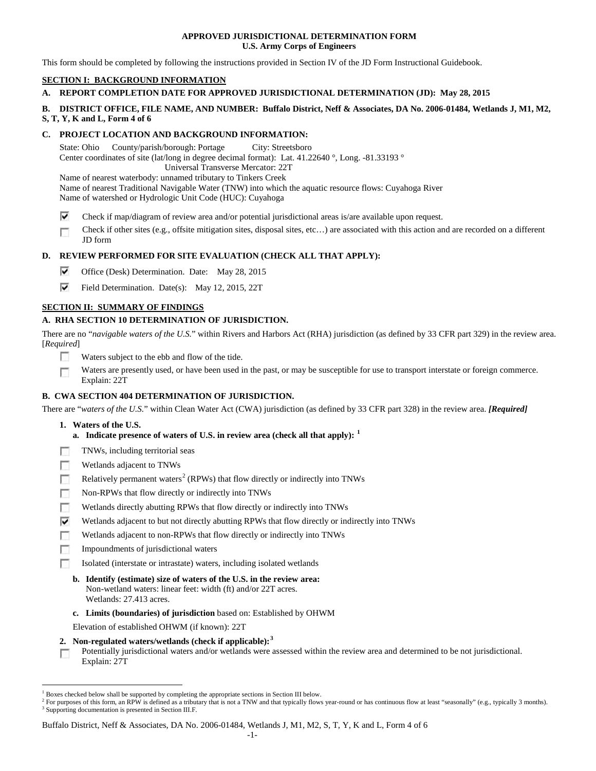## **APPROVED JURISDICTIONAL DETERMINATION FORM U.S. Army Corps of Engineers**

This form should be completed by following the instructions provided in Section IV of the JD Form Instructional Guidebook.

# **SECTION I: BACKGROUND INFORMATION**

# **A. REPORT COMPLETION DATE FOR APPROVED JURISDICTIONAL DETERMINATION (JD): May 28, 2015**

# **B. DISTRICT OFFICE, FILE NAME, AND NUMBER: Buffalo District, Neff & Associates, DA No. 2006-01484, Wetlands J, M1, M2, S, T, Y, K and L, Form 4 of 6**

### **C. PROJECT LOCATION AND BACKGROUND INFORMATION:**

State: Ohio County/parish/borough: Portage City: Streetsboro Center coordinates of site (lat/long in degree decimal format): Lat. 41.22640 °, Long. -81.33193 ° Universal Transverse Mercator: 22T Name of nearest waterbody: unnamed tributary to Tinkers Creek Name of nearest Traditional Navigable Water (TNW) into which the aquatic resource flows: Cuyahoga River

Name of watershed or Hydrologic Unit Code (HUC): Cuyahoga

- ⊽ Check if map/diagram of review area and/or potential jurisdictional areas is/are available upon request.
- Check if other sites (e.g., offsite mitigation sites, disposal sites, etc…) are associated with this action and are recorded on a different Г JD form

# **D. REVIEW PERFORMED FOR SITE EVALUATION (CHECK ALL THAT APPLY):**

- ⊽ Office (Desk) Determination. Date: May 28, 2015
- ⊽ Field Determination. Date(s): May 12, 2015, 22T

# **SECTION II: SUMMARY OF FINDINGS**

# **A. RHA SECTION 10 DETERMINATION OF JURISDICTION.**

There are no "*navigable waters of the U.S.*" within Rivers and Harbors Act (RHA) jurisdiction (as defined by 33 CFR part 329) in the review area. [*Required*]

- n Waters subject to the ebb and flow of the tide.
- Waters are presently used, or have been used in the past, or may be susceptible for use to transport interstate or foreign commerce. Г Explain: 22T

# **B. CWA SECTION 404 DETERMINATION OF JURISDICTION.**

There are "*waters of the U.S.*" within Clean Water Act (CWA) jurisdiction (as defined by 33 CFR part 328) in the review area. *[Required]*

- **1. Waters of the U.S.**
	- **a. Indicate presence of waters of U.S. in review area (check all that apply): [1](#page-27-0)**
- TNWs, including territorial seas Е
- Wetlands adjacent to TNWs п
- Relatively permanent waters<sup>[2](#page-27-1)</sup> (RPWs) that flow directly or indirectly into TNWs п
- п Non-RPWs that flow directly or indirectly into TNWs
- Wetlands directly abutting RPWs that flow directly or indirectly into TNWs п
- ⊽ Wetlands adjacent to but not directly abutting RPWs that flow directly or indirectly into TNWs
- Wetlands adjacent to non-RPWs that flow directly or indirectly into TNWs г
- п Impoundments of jurisdictional waters
- Isolated (interstate or intrastate) waters, including isolated wetlands n.
	- **b. Identify (estimate) size of waters of the U.S. in the review area:** Non-wetland waters: linear feet: width (ft) and/or 22T acres. Wetlands: 27.413 acres.
	- **c. Limits (boundaries) of jurisdiction** based on: Established by OHWM
	- Elevation of established OHWM (if known): 22T
- **2. Non-regulated waters/wetlands (check if applicable): [3](#page-27-2)**

Potentially jurisdictional waters and/or wetlands were assessed within the review area and determined to be not jurisdictional. T. Explain: 27T

Buffalo District, Neff & Associates, DA No. 2006-01484, Wetlands J, M1, M2, S, T, Y, K and L, Form 4 of 6

<span id="page-27-0"></span><sup>&</sup>lt;sup>1</sup> Boxes checked below shall be supported by completing the appropriate sections in Section III below.

<span id="page-27-2"></span><span id="page-27-1"></span> $^2$  For purposes of this form, an RPW is defined as a tributary that is not a TNW and that typically flows year-round or has continuous flow at least "seasonally" (e.g., typically 3 months). 3 Supporting documentation is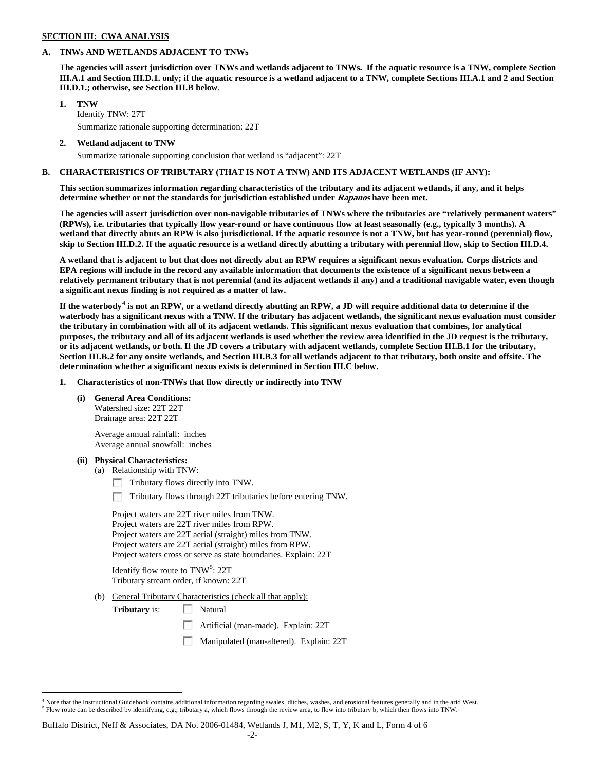### **SECTION III: CWA ANALYSIS**

#### **A. TNWs AND WETLANDS ADJACENT TO TNWs**

**The agencies will assert jurisdiction over TNWs and wetlands adjacent to TNWs. If the aquatic resource is a TNW, complete Section III.A.1 and Section III.D.1. only; if the aquatic resource is a wetland adjacent to a TNW, complete Sections III.A.1 and 2 and Section III.D.1.; otherwise, see Section III.B below**.

- **1. TNW**  Identify TNW: 27T Summarize rationale supporting determination: 22T
- **2. Wetland adjacent to TNW** Summarize rationale supporting conclusion that wetland is "adjacent": 22T

### **B. CHARACTERISTICS OF TRIBUTARY (THAT IS NOT A TNW) AND ITS ADJACENT WETLANDS (IF ANY):**

**This section summarizes information regarding characteristics of the tributary and its adjacent wetlands, if any, and it helps determine whether or not the standards for jurisdiction established under Rapanos have been met.** 

**The agencies will assert jurisdiction over non-navigable tributaries of TNWs where the tributaries are "relatively permanent waters" (RPWs), i.e. tributaries that typically flow year-round or have continuous flow at least seasonally (e.g., typically 3 months). A wetland that directly abuts an RPW is also jurisdictional. If the aquatic resource is not a TNW, but has year-round (perennial) flow, skip to Section III.D.2. If the aquatic resource is a wetland directly abutting a tributary with perennial flow, skip to Section III.D.4.**

**A wetland that is adjacent to but that does not directly abut an RPW requires a significant nexus evaluation. Corps districts and EPA regions will include in the record any available information that documents the existence of a significant nexus between a relatively permanent tributary that is not perennial (and its adjacent wetlands if any) and a traditional navigable water, even though a significant nexus finding is not required as a matter of law.**

**If the waterbody[4](#page-28-0) is not an RPW, or a wetland directly abutting an RPW, a JD will require additional data to determine if the waterbody has a significant nexus with a TNW. If the tributary has adjacent wetlands, the significant nexus evaluation must consider the tributary in combination with all of its adjacent wetlands. This significant nexus evaluation that combines, for analytical purposes, the tributary and all of its adjacent wetlands is used whether the review area identified in the JD request is the tributary, or its adjacent wetlands, or both. If the JD covers a tributary with adjacent wetlands, complete Section III.B.1 for the tributary, Section III.B.2 for any onsite wetlands, and Section III.B.3 for all wetlands adjacent to that tributary, both onsite and offsite. The determination whether a significant nexus exists is determined in Section III.C below.**

**1. Characteristics of non-TNWs that flow directly or indirectly into TNW**

**(i) General Area Conditions:**

Watershed size: 22T 22T Drainage area: 22T 22T

Average annual rainfall: inches Average annual snowfall: inches

### **(ii) Physical Characteristics:**

- (a) Relationship with TNW:
	- Tributary flows directly into TNW.
	- n Tributary flows through 22T tributaries before entering TNW.

Project waters are 22T river miles from TNW. Project waters are 22T river miles from RPW. Project waters are 22T aerial (straight) miles from TNW. Project waters are 22T aerial (straight) miles from RPW. Project waters cross or serve as state boundaries. Explain: 22T

Identify flow route to TNW<sup>[5](#page-28-1)</sup>: 22T Tributary stream order, if known: 22T

(b) General Tributary Characteristics (check all that apply):

**Tributary** is: Natural

- $\sim$ Artificial (man-made). Explain: 22T
- Manipulated (man-altered). Explain: 22T

<span id="page-28-1"></span><span id="page-28-0"></span> $4$  Note that the Instructional Guidebook contains additional information regarding swales, ditches, washes, and erosional features generally and in the arid West.<br>  $5$  Flow route can be described by identifying, e.g., tr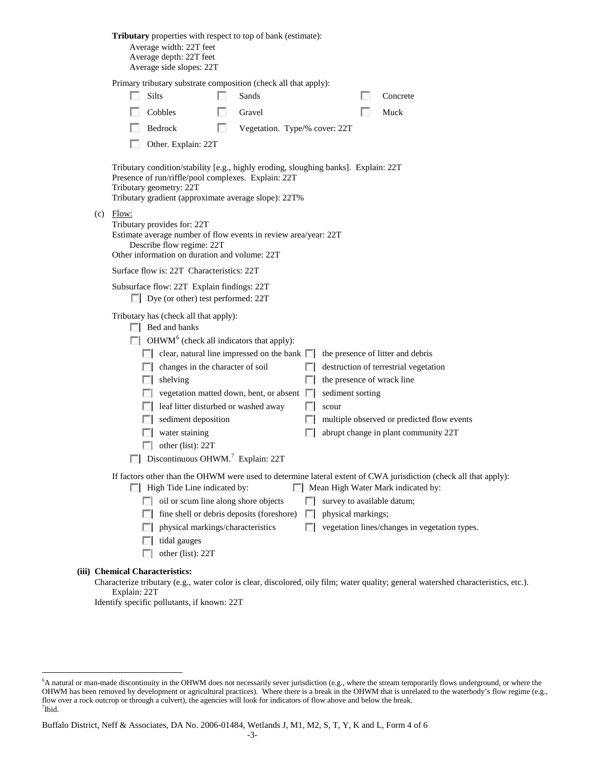|                                                                                                                                                                                             | Average width: 22T feet<br>Average depth: 22T feet<br>Average side slopes: 22T                                                                                                                                                                                                                                                      |   | <b>Tributary</b> properties with respect to top of bank (estimate):                                                                                                                                |                |                                                         |  |                                                                                                                                                                                                         |
|---------------------------------------------------------------------------------------------------------------------------------------------------------------------------------------------|-------------------------------------------------------------------------------------------------------------------------------------------------------------------------------------------------------------------------------------------------------------------------------------------------------------------------------------|---|----------------------------------------------------------------------------------------------------------------------------------------------------------------------------------------------------|----------------|---------------------------------------------------------|--|---------------------------------------------------------------------------------------------------------------------------------------------------------------------------------------------------------|
|                                                                                                                                                                                             | Silts                                                                                                                                                                                                                                                                                                                               |   | Primary tributary substrate composition (check all that apply):<br>Sands                                                                                                                           |                |                                                         |  | Concrete                                                                                                                                                                                                |
|                                                                                                                                                                                             | Cobbles                                                                                                                                                                                                                                                                                                                             |   | Gravel                                                                                                                                                                                             |                |                                                         |  | Muck                                                                                                                                                                                                    |
|                                                                                                                                                                                             | Bedrock                                                                                                                                                                                                                                                                                                                             | u | Vegetation. Type/% cover: 22T                                                                                                                                                                      |                |                                                         |  |                                                                                                                                                                                                         |
|                                                                                                                                                                                             | Other. Explain: 22T                                                                                                                                                                                                                                                                                                                 |   |                                                                                                                                                                                                    |                |                                                         |  |                                                                                                                                                                                                         |
|                                                                                                                                                                                             | Tributary geometry: 22T                                                                                                                                                                                                                                                                                                             |   | Tributary condition/stability [e.g., highly eroding, sloughing banks]. Explain: 22T<br>Presence of run/riffle/pool complexes. Explain: 22T<br>Tributary gradient (approximate average slope): 22T% |                |                                                         |  |                                                                                                                                                                                                         |
| $(c)$ Flow:<br>Tributary provides for: 22T<br>Estimate average number of flow events in review area/year: 22T<br>Describe flow regime: 22T<br>Other information on duration and volume: 22T |                                                                                                                                                                                                                                                                                                                                     |   |                                                                                                                                                                                                    |                |                                                         |  |                                                                                                                                                                                                         |
|                                                                                                                                                                                             | Surface flow is: 22T Characteristics: 22T                                                                                                                                                                                                                                                                                           |   |                                                                                                                                                                                                    |                |                                                         |  |                                                                                                                                                                                                         |
|                                                                                                                                                                                             | Subsurface flow: 22T Explain findings: 22T<br>$\Box$ Dye (or other) test performed: 22T                                                                                                                                                                                                                                             |   |                                                                                                                                                                                                    |                |                                                         |  |                                                                                                                                                                                                         |
| <b>ISBN</b>                                                                                                                                                                                 | Tributary has (check all that apply):<br>$\Box$ Bed and banks<br>$\Box$ OHWM <sup>6</sup> (check all indicators that apply):<br>changes in the character of soil<br>shelving<br>leaf litter disturbed or washed away<br>sediment deposition<br>water staining<br>other (list): 22T<br>Discontinuous OHWM. <sup>7</sup> Explain: 22T |   | clear, natural line impressed on the bank $\Box$<br>$\Box$ vegetation matted down, bent, or absent $\Box$                                                                                          | L.<br>L.<br>L. | the presence of wrack line<br>sediment sorting<br>scour |  | the presence of litter and debris<br>destruction of terrestrial vegetation<br>multiple observed or predicted flow events<br>abrupt change in plant community 22T                                        |
| L.                                                                                                                                                                                          | High Tide Line indicated by:<br>oil or scum line along shore objects<br>physical markings/characteristics<br>tidal gauges<br>other (list): 22T                                                                                                                                                                                      |   | fine shell or debris deposits (foreshore)                                                                                                                                                          |                | survey to available datum;<br>physical markings;        |  | If factors other than the OHWM were used to determine lateral extent of CWA jurisdiction (check all that apply):<br>Mean High Water Mark indicated by:<br>vegetation lines/changes in vegetation types. |
|                                                                                                                                                                                             |                                                                                                                                                                                                                                                                                                                                     |   |                                                                                                                                                                                                    |                |                                                         |  |                                                                                                                                                                                                         |

# **(iii) Chemical Characteristics:**

Characterize tributary (e.g., water color is clear, discolored, oily film; water quality; general watershed characteristics, etc.). Explain: 22T

Identify specific pollutants, if known: 22T

<span id="page-29-1"></span><span id="page-29-0"></span> <sup>6</sup> <sup>6</sup>A natural or man-made discontinuity in the OHWM does not necessarily sever jurisdiction (e.g., where the stream temporarily flows underground, or where the OHWM has been removed by development or agricultural practices). Where there is a break in the OHWM that is unrelated to the waterbody's flow regime (e.g., flow over a rock outcrop or through a culvert), the agencies will look for indicators of flow above and below the break. 7 Ibid.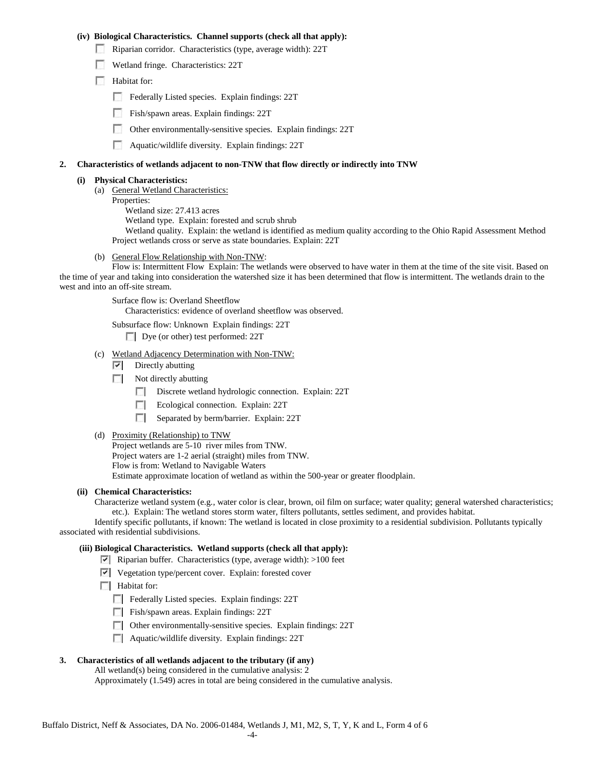### **(iv) Biological Characteristics. Channel supports (check all that apply):**

- Riparian corridor. Characteristics (type, average width): 22T
- Wetland fringe. Characteristics: 22T
- Habitat for:
	- Federally Listed species. Explain findings: 22T
	- Fish/spawn areas. Explain findings: 22T
	- Other environmentally-sensitive species. Explain findings: 22T
	- Aquatic/wildlife diversity. Explain findings: 22T

### **2. Characteristics of wetlands adjacent to non-TNW that flow directly or indirectly into TNW**

### **(i) Physical Characteristics:**

- (a) General Wetland Characteristics:
	- Properties:
		- Wetland size: 27.413 acres

Wetland type. Explain: forested and scrub shrub

Wetland quality. Explain: the wetland is identified as medium quality according to the Ohio Rapid Assessment Method Project wetlands cross or serve as state boundaries. Explain: 22T

(b) General Flow Relationship with Non-TNW:

Flow is: Intermittent Flow Explain: The wetlands were observed to have water in them at the time of the site visit. Based on the time of year and taking into consideration the watershed size it has been determined that flow is intermittent. The wetlands drain to the west and into an off-site stream.

Surface flow is: Overland Sheetflow

Characteristics: evidence of overland sheetflow was observed.

Subsurface flow: Unknown Explain findings: 22T

Dye (or other) test performed: 22T

- (c) Wetland Adjacency Determination with Non-TNW:
	- $\nabla$  Directly abutting
	- Not directly abutting
		- Discrete wetland hydrologic connection. Explain: 22T
		- **Explain: 22T** Ecological connection. Explain: 22T
		- $\sim$ Separated by berm/barrier. Explain: 22T
- (d) Proximity (Relationship) to TNW

Project wetlands are 5-10 river miles from TNW. Project waters are 1-2 aerial (straight) miles from TNW. Flow is from: Wetland to Navigable Waters Estimate approximate location of wetland as within the 500-year or greater floodplain.

### **(ii) Chemical Characteristics:**

Characterize wetland system (e.g., water color is clear, brown, oil film on surface; water quality; general watershed characteristics; etc.). Explain: The wetland stores storm water, filters pollutants, settles sediment, and provides habitat.

Identify specific pollutants, if known: The wetland is located in close proximity to a residential subdivision. Pollutants typically associated with residential subdivisions.

# **(iii) Biological Characteristics. Wetland supports (check all that apply):**

- **Riparian buffer.** Characteristics (type, average width):  $>100$  feet
- $\triangledown$  Vegetation type/percent cover. Explain: forested cover
- **Habitat for:** 
	- $\Box$  Federally Listed species. Explain findings: 22T
	- Fish/spawn areas. Explain findings: 22T
	- Other environmentally-sensitive species. Explain findings: 22T
	- Aquatic/wildlife diversity. Explain findings: 22T

# **3. Characteristics of all wetlands adjacent to the tributary (if any)**

All wetland(s) being considered in the cumulative analysis: 2

Approximately (1.549) acres in total are being considered in the cumulative analysis.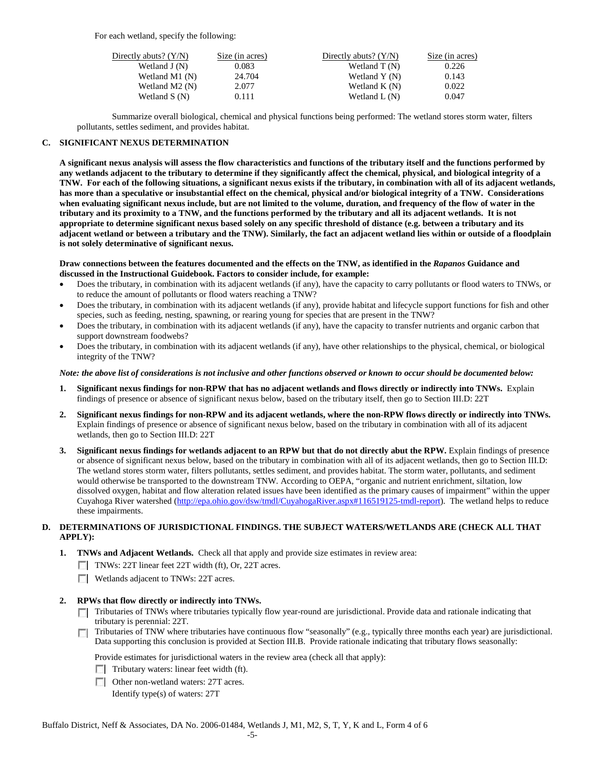For each wetland, specify the following:

| Directly abuts? $(Y/N)$ | Size (in acres) | Directly abuts? $(Y/N)$ | Size (in acres) |
|-------------------------|-----------------|-------------------------|-----------------|
| Wetland $J(N)$          | 0.083           | Wetland $T(N)$          | 0.226           |
| Wetland $M1(N)$         | 24.704          | Wetland $Y(N)$          | 0.143           |
| Wetland $M2(N)$         | 2.077           | Wetland $K(N)$          | 0.022           |
| Wetland S (N)           | 0.111           | Wetland $L(N)$          | 0.047           |
|                         |                 |                         |                 |

Summarize overall biological, chemical and physical functions being performed: The wetland stores storm water, filters pollutants, settles sediment, and provides habitat.

### **C. SIGNIFICANT NEXUS DETERMINATION**

**A significant nexus analysis will assess the flow characteristics and functions of the tributary itself and the functions performed by any wetlands adjacent to the tributary to determine if they significantly affect the chemical, physical, and biological integrity of a TNW. For each of the following situations, a significant nexus exists if the tributary, in combination with all of its adjacent wetlands, has more than a speculative or insubstantial effect on the chemical, physical and/or biological integrity of a TNW. Considerations when evaluating significant nexus include, but are not limited to the volume, duration, and frequency of the flow of water in the tributary and its proximity to a TNW, and the functions performed by the tributary and all its adjacent wetlands. It is not appropriate to determine significant nexus based solely on any specific threshold of distance (e.g. between a tributary and its adjacent wetland or between a tributary and the TNW). Similarly, the fact an adjacent wetland lies within or outside of a floodplain is not solely determinative of significant nexus.** 

### **Draw connections between the features documented and the effects on the TNW, as identified in the** *Rapanos* **Guidance and discussed in the Instructional Guidebook. Factors to consider include, for example:**

- Does the tributary, in combination with its adjacent wetlands (if any), have the capacity to carry pollutants or flood waters to TNWs, or to reduce the amount of pollutants or flood waters reaching a TNW?
- Does the tributary, in combination with its adjacent wetlands (if any), provide habitat and lifecycle support functions for fish and other species, such as feeding, nesting, spawning, or rearing young for species that are present in the TNW?
- Does the tributary, in combination with its adjacent wetlands (if any), have the capacity to transfer nutrients and organic carbon that support downstream foodwebs?
- Does the tributary, in combination with its adjacent wetlands (if any), have other relationships to the physical, chemical, or biological integrity of the TNW?

## *Note: the above list of considerations is not inclusive and other functions observed or known to occur should be documented below:*

- **1. Significant nexus findings for non-RPW that has no adjacent wetlands and flows directly or indirectly into TNWs.** Explain findings of presence or absence of significant nexus below, based on the tributary itself, then go to Section III.D: 22T
- **2. Significant nexus findings for non-RPW and its adjacent wetlands, where the non-RPW flows directly or indirectly into TNWs.**  Explain findings of presence or absence of significant nexus below, based on the tributary in combination with all of its adjacent wetlands, then go to Section III.D: 22T
- **3. Significant nexus findings for wetlands adjacent to an RPW but that do not directly abut the RPW.** Explain findings of presence or absence of significant nexus below, based on the tributary in combination with all of its adjacent wetlands, then go to Section III.D: The wetland stores storm water, filters pollutants, settles sediment, and provides habitat. The storm water, pollutants, and sediment would otherwise be transported to the downstream TNW. According to OEPA, "organic and nutrient enrichment, siltation, low dissolved oxygen, habitat and flow alteration related issues have been identified as the primary causes of impairment" within the upper Cuyahoga River watershed [\(http://epa.ohio.gov/dsw/tmdl/CuyahogaRiver.aspx#116519125-tmdl-report\)](http://epa.ohio.gov/dsw/tmdl/CuyahogaRiver.aspx%23116519125-tmdl-report). The wetland helps to reduce these impairments.

# **D. DETERMINATIONS OF JURISDICTIONAL FINDINGS. THE SUBJECT WATERS/WETLANDS ARE (CHECK ALL THAT APPLY):**

- **1. TNWs and Adjacent Wetlands.** Check all that apply and provide size estimates in review area:
	- TNWs: 22T linear feet 22T width (ft), Or, 22T acres.
	- **Wetlands adjacent to TNWs: 22T acres.**

# **2. RPWs that flow directly or indirectly into TNWs.**

- Tributaries of TNWs where tributaries typically flow year-round are jurisdictional. Provide data and rationale indicating that tributary is perennial: 22T.
- Tributaries of TNW where tributaries have continuous flow "seasonally" (e.g., typically three months each year) are jurisdictional. Data supporting this conclusion is provided at Section III.B. Provide rationale indicating that tributary flows seasonally:

Provide estimates for jurisdictional waters in the review area (check all that apply):

- $\Box$  Tributary waters: linear feet width (ft).
- Other non-wetland waters: 27T acres.

Identify type(s) of waters: 27T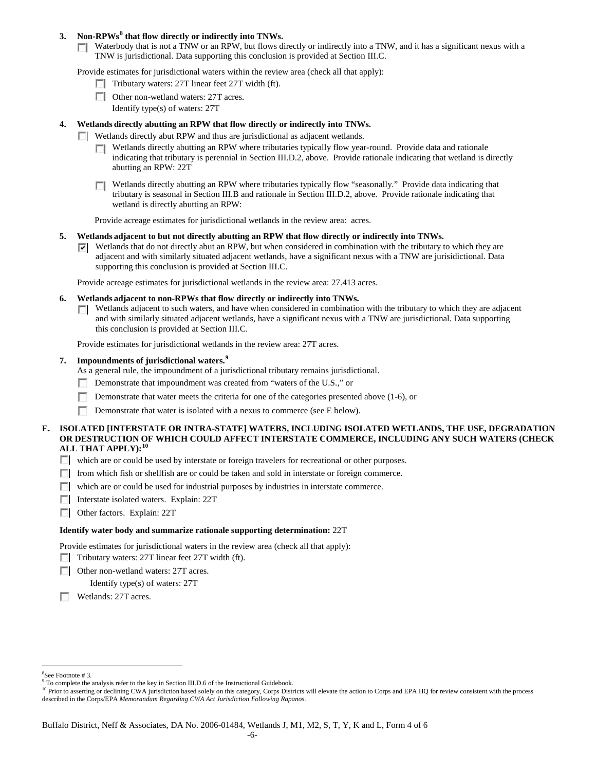# **3. Non-RPWs[8](#page-32-0) that flow directly or indirectly into TNWs.**

Waterbody that is not a TNW or an RPW, but flows directly or indirectly into a TNW, and it has a significant nexus with a TNW is jurisdictional. Data supporting this conclusion is provided at Section III.C.

Provide estimates for jurisdictional waters within the review area (check all that apply):

- $\Box$  Tributary waters: 27T linear feet 27T width (ft).
- Other non-wetland waters: 27T acres.
	- Identify type(s) of waters: 27T

# **4. Wetlands directly abutting an RPW that flow directly or indirectly into TNWs.**

- **Wetlands directly abut RPW and thus are jurisdictional as adjacent wetlands.** 
	- $\Box$  Wetlands directly abutting an RPW where tributaries typically flow year-round. Provide data and rationale indicating that tributary is perennial in Section III.D.2, above. Provide rationale indicating that wetland is directly abutting an RPW: 22T
	- Wetlands directly abutting an RPW where tributaries typically flow "seasonally." Provide data indicating that tributary is seasonal in Section III.B and rationale in Section III.D.2, above. Provide rationale indicating that wetland is directly abutting an RPW:

Provide acreage estimates for jurisdictional wetlands in the review area: acres.

- **5. Wetlands adjacent to but not directly abutting an RPW that flow directly or indirectly into TNWs.**
	- $\blacktriangleright$  Wetlands that do not directly abut an RPW, but when considered in combination with the tributary to which they are adjacent and with similarly situated adjacent wetlands, have a significant nexus with a TNW are jurisidictional. Data supporting this conclusion is provided at Section III.C.

Provide acreage estimates for jurisdictional wetlands in the review area: 27.413 acres.

- **6. Wetlands adjacent to non-RPWs that flow directly or indirectly into TNWs.** 
	- Wetlands adjacent to such waters, and have when considered in combination with the tributary to which they are adjacent  $\sim$ and with similarly situated adjacent wetlands, have a significant nexus with a TNW are jurisdictional. Data supporting this conclusion is provided at Section III.C.

Provide estimates for jurisdictional wetlands in the review area: 27T acres.

# **7. Impoundments of jurisdictional waters. [9](#page-32-1)**

As a general rule, the impoundment of a jurisdictional tributary remains jurisdictional.

- Demonstrate that impoundment was created from "waters of the U.S.," or
- Demonstrate that water meets the criteria for one of the categories presented above (1-6), or
- n Demonstrate that water is isolated with a nexus to commerce (see E below).
- **E. ISOLATED [INTERSTATE OR INTRA-STATE] WATERS, INCLUDING ISOLATED WETLANDS, THE USE, DEGRADATION OR DESTRUCTION OF WHICH COULD AFFECT INTERSTATE COMMERCE, INCLUDING ANY SUCH WATERS (CHECK ALL THAT APPLY):[10](#page-32-2)**
	- which are or could be used by interstate or foreign travelers for recreational or other purposes.
	- from which fish or shellfish are or could be taken and sold in interstate or foreign commerce.
	- which are or could be used for industrial purposes by industries in interstate commerce.
	- **Interstate isolated waters. Explain: 22T**
	- Other factors.Explain: 22T

### **Identify water body and summarize rationale supporting determination:** 22T

Provide estimates for jurisdictional waters in the review area (check all that apply):

- Tributary waters: 27T linear feet 27T width (ft).
- Other non-wetland waters: 27T acres.

Identify type(s) of waters: 27T

Wetlands: 27T acres.

 $\frac{1}{8}$ See Footnote # 3.

<span id="page-32-1"></span><span id="page-32-0"></span><sup>&</sup>lt;sup>9</sup> To complete the analysis refer to the key in Section III.D.6 of the Instructional Guidebook.

<span id="page-32-2"></span><sup>&</sup>lt;sup>10</sup> Prior to asserting or declining CWA jurisdiction based solely on this category, Corps Districts will elevate the action to Corps and EPA HQ for review consistent with the process described in the Corps/EPA *Memorandum Regarding CWA Act Jurisdiction Following Rapanos.*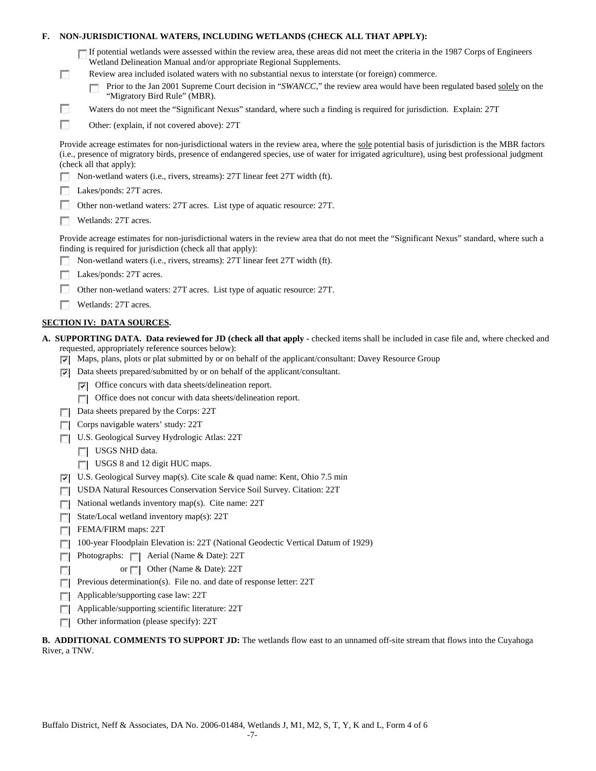| F. |   | NON-JURISDICTIONAL WATERS, INCLUDING WETLANDS (CHECK ALL THAT APPLY):                                                                                                                                                                                                                                                     |
|----|---|---------------------------------------------------------------------------------------------------------------------------------------------------------------------------------------------------------------------------------------------------------------------------------------------------------------------------|
|    |   | If potential wetlands were assessed within the review area, these areas did not meet the criteria in the 1987 Corps of Engineers<br>Wetland Delineation Manual and/or appropriate Regional Supplements.                                                                                                                   |
|    | D | Review area included isolated waters with no substantial nexus to interstate (or foreign) commerce.                                                                                                                                                                                                                       |
|    |   | Prior to the Jan 2001 Supreme Court decision in "SWANCC," the review area would have been regulated based solely on the<br>"Migratory Bird Rule" (MBR).                                                                                                                                                                   |
|    | u | Waters do not meet the "Significant Nexus" standard, where such a finding is required for jurisdiction. Explain: 27T                                                                                                                                                                                                      |
|    | п | Other: (explain, if not covered above): 27T                                                                                                                                                                                                                                                                               |
|    |   | Provide acreage estimates for non-jurisdictional waters in the review area, where the sole potential basis of jurisdiction is the MBR factors<br>(i.e., presence of migratory birds, presence of endangered species, use of water for irrigated agriculture), using best professional judgment<br>(check all that apply): |
|    |   | Non-wetland waters (i.e., rivers, streams): 27T linear feet 27T width (ft).                                                                                                                                                                                                                                               |
|    |   | Lakes/ponds: 27T acres.                                                                                                                                                                                                                                                                                                   |
|    |   | Other non-wetland waters: 27T acres. List type of aquatic resource: 27T.                                                                                                                                                                                                                                                  |
|    |   | Wetlands: 27T acres.                                                                                                                                                                                                                                                                                                      |
|    |   | Provide acreage estimates for non-jurisdictional waters in the review area that do not meet the "Significant Nexus" standard, where such a<br>finding is required for jurisdiction (check all that apply):                                                                                                                |
|    |   | Non-wetland waters (i.e., rivers, streams): 27T linear feet 27T width (ft).                                                                                                                                                                                                                                               |
|    |   | Lakes/ponds: 27T acres.                                                                                                                                                                                                                                                                                                   |
|    |   | Other non-wetland waters: 27T acres. List type of aquatic resource: 27T.                                                                                                                                                                                                                                                  |
|    |   | Wetlands: 27T acres.                                                                                                                                                                                                                                                                                                      |
|    |   | <b>SECTION IV: DATA SOURCES.</b>                                                                                                                                                                                                                                                                                          |
|    |   | A. SUPPORTING DATA. Data reviewed for JD (check all that apply - checked items shall be included in case file and, where checked and<br>requested, appropriately reference sources below):<br>$\triangledown$ Maps, plans, plots or plat submitted by or on behalf of the applicant/consultant: Davey Resource Group      |
|    | ▿ | Data sheets prepared/submitted by or on behalf of the applicant/consultant.                                                                                                                                                                                                                                               |
|    |   | Office concurs with data sheets/delineation report.<br>$\overline{\phantom{a}}$                                                                                                                                                                                                                                           |
|    |   | Office does not concur with data sheets/delineation report.                                                                                                                                                                                                                                                               |
|    |   | Data sheets prepared by the Corps: 22T                                                                                                                                                                                                                                                                                    |
|    |   | Corps navigable waters' study: 22T                                                                                                                                                                                                                                                                                        |
|    |   | U.S. Geological Survey Hydrologic Atlas: 22T                                                                                                                                                                                                                                                                              |
|    |   | USGS NHD data.                                                                                                                                                                                                                                                                                                            |
|    |   | USGS 8 and 12 digit HUC maps.                                                                                                                                                                                                                                                                                             |
|    | ⊽ | U.S. Geological Survey map(s). Cite scale & quad name: Kent, Ohio 7.5 min                                                                                                                                                                                                                                                 |
|    |   | USDA Natural Resources Conservation Service Soil Survey. Citation: 22T                                                                                                                                                                                                                                                    |
|    |   | National wetlands inventory map(s). Cite name: 22T                                                                                                                                                                                                                                                                        |
|    | г | State/Local wetland inventory map(s): 22T                                                                                                                                                                                                                                                                                 |
|    |   | FEMA/FIRM maps: 22T                                                                                                                                                                                                                                                                                                       |
|    |   | 100-year Floodplain Elevation is: 22T (National Geodectic Vertical Datum of 1929)                                                                                                                                                                                                                                         |
|    |   | Photographs:     Aerial (Name & Date): 22T                                                                                                                                                                                                                                                                                |
|    |   | Other (Name & Date): 22T<br>or $\Box$                                                                                                                                                                                                                                                                                     |
|    |   | Previous determination(s). File no. and date of response letter: 22T                                                                                                                                                                                                                                                      |
|    |   |                                                                                                                                                                                                                                                                                                                           |
|    |   | Applicable/supporting case law: 22T                                                                                                                                                                                                                                                                                       |
|    |   | Applicable/supporting scientific literature: 22T                                                                                                                                                                                                                                                                          |

# **B. ADDITIONAL COMMENTS TO SUPPORT JD:** The wetlands flow east to an unnamed off-site stream that flows into the Cuyahoga River, a TNW.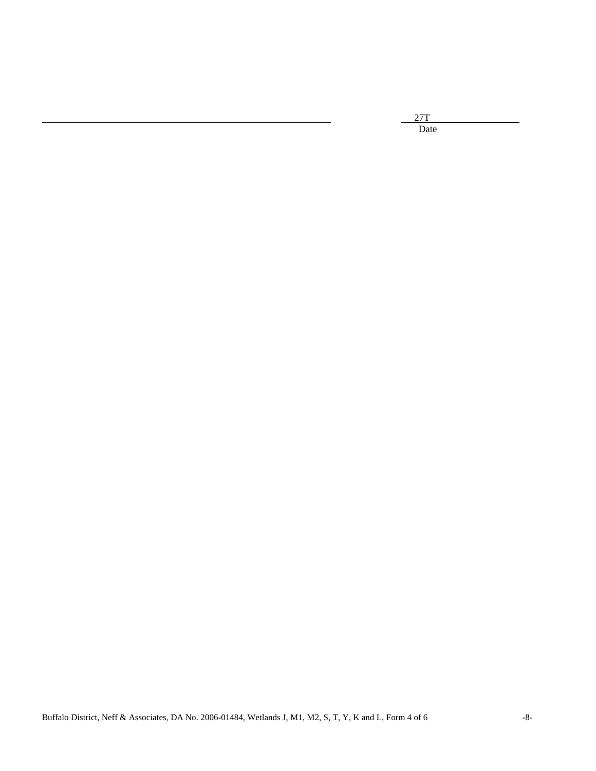27T Date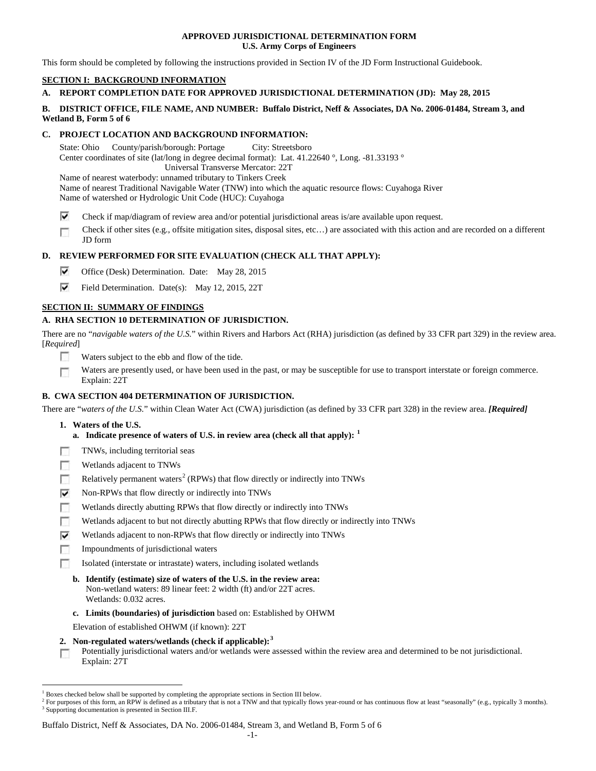## **APPROVED JURISDICTIONAL DETERMINATION FORM U.S. Army Corps of Engineers**

This form should be completed by following the instructions provided in Section IV of the JD Form Instructional Guidebook.

# **SECTION I: BACKGROUND INFORMATION**

# **A. REPORT COMPLETION DATE FOR APPROVED JURISDICTIONAL DETERMINATION (JD): May 28, 2015**

## **B. DISTRICT OFFICE, FILE NAME, AND NUMBER: Buffalo District, Neff & Associates, DA No. 2006-01484, Stream 3, and Wetland B, Form 5 of 6**

# **C. PROJECT LOCATION AND BACKGROUND INFORMATION:**

State: Ohio County/parish/borough: Portage City: Streetsboro Center coordinates of site (lat/long in degree decimal format): Lat. 41.22640 °, Long. -81.33193 ° Universal Transverse Mercator: 22T Name of nearest waterbody: unnamed tributary to Tinkers Creek Name of nearest Traditional Navigable Water (TNW) into which the aquatic resource flows: Cuyahoga River

Name of watershed or Hydrologic Unit Code (HUC): Cuyahoga

- ⊽ Check if map/diagram of review area and/or potential jurisdictional areas is/are available upon request.
- Check if other sites (e.g., offsite mitigation sites, disposal sites, etc…) are associated with this action and are recorded on a different Г JD form

# **D. REVIEW PERFORMED FOR SITE EVALUATION (CHECK ALL THAT APPLY):**

- ⊽ Office (Desk) Determination. Date: May 28, 2015
- ⊽ Field Determination. Date(s): May 12, 2015, 22T

# **SECTION II: SUMMARY OF FINDINGS**

# **A. RHA SECTION 10 DETERMINATION OF JURISDICTION.**

There are no "*navigable waters of the U.S.*" within Rivers and Harbors Act (RHA) jurisdiction (as defined by 33 CFR part 329) in the review area. [*Required*]

- n Waters subject to the ebb and flow of the tide.
- Waters are presently used, or have been used in the past, or may be susceptible for use to transport interstate or foreign commerce. Г Explain: 22T

# **B. CWA SECTION 404 DETERMINATION OF JURISDICTION.**

There are "*waters of the U.S.*" within Clean Water Act (CWA) jurisdiction (as defined by 33 CFR part 328) in the review area. *[Required]*

- **1. Waters of the U.S.**
	- **a. Indicate presence of waters of U.S. in review area (check all that apply): [1](#page-35-0)**
- TNWs, including territorial seas г
- Wetlands adjacent to TNWs п
- Relatively permanent waters<sup>[2](#page-35-1)</sup> (RPWs) that flow directly or indirectly into TNWs n
- ⊽ Non-RPWs that flow directly or indirectly into TNWs
- Wetlands directly abutting RPWs that flow directly or indirectly into TNWs п
- n Wetlands adjacent to but not directly abutting RPWs that flow directly or indirectly into TNWs
- ⊽ Wetlands adjacent to non-RPWs that flow directly or indirectly into TNWs
- г Impoundments of jurisdictional waters
- Isolated (interstate or intrastate) waters, including isolated wetlands n.
	- **b. Identify (estimate) size of waters of the U.S. in the review area:** Non-wetland waters: 89 linear feet: 2 width (ft) and/or 22T acres. Wetlands: 0.032 acres.
	- **c. Limits (boundaries) of jurisdiction** based on: Established by OHWM
	- Elevation of established OHWM (if known): 22T
- **2. Non-regulated waters/wetlands (check if applicable): [3](#page-35-2)**

Potentially jurisdictional waters and/or wetlands were assessed within the review area and determined to be not jurisdictional.  $\sim$ Explain: 27T

Buffalo District, Neff & Associates, DA No. 2006-01484, Stream 3, and Wetland B, Form 5 of 6

<span id="page-35-0"></span><sup>&</sup>lt;sup>1</sup> Boxes checked below shall be supported by completing the appropriate sections in Section III below.

<span id="page-35-2"></span><span id="page-35-1"></span><sup>&</sup>lt;sup>2</sup> For purposes of this form, an RPW is defined as a tributary that is not a TNW and that typically flows year-round or has continuous flow at least "seasonally" (e.g., typically 3 months). <sup>3</sup> Supporting documentation is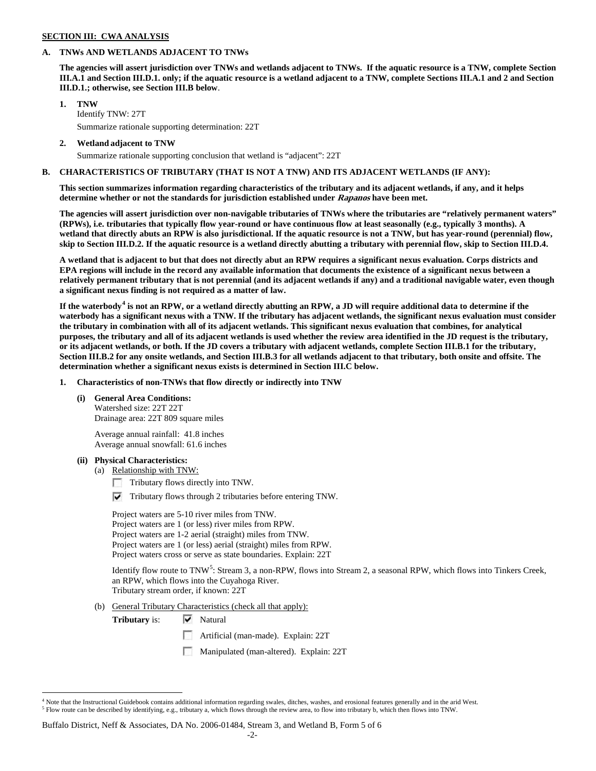### **SECTION III: CWA ANALYSIS**

## **A. TNWs AND WETLANDS ADJACENT TO TNWs**

**The agencies will assert jurisdiction over TNWs and wetlands adjacent to TNWs. If the aquatic resource is a TNW, complete Section III.A.1 and Section III.D.1. only; if the aquatic resource is a wetland adjacent to a TNW, complete Sections III.A.1 and 2 and Section III.D.1.; otherwise, see Section III.B below**.

- **1. TNW**  Identify TNW: 27T Summarize rationale supporting determination: 22T
- **2. Wetland adjacent to TNW** Summarize rationale supporting conclusion that wetland is "adjacent": 22T

### **B. CHARACTERISTICS OF TRIBUTARY (THAT IS NOT A TNW) AND ITS ADJACENT WETLANDS (IF ANY):**

**This section summarizes information regarding characteristics of the tributary and its adjacent wetlands, if any, and it helps determine whether or not the standards for jurisdiction established under Rapanos have been met.** 

**The agencies will assert jurisdiction over non-navigable tributaries of TNWs where the tributaries are "relatively permanent waters" (RPWs), i.e. tributaries that typically flow year-round or have continuous flow at least seasonally (e.g., typically 3 months). A wetland that directly abuts an RPW is also jurisdictional. If the aquatic resource is not a TNW, but has year-round (perennial) flow, skip to Section III.D.2. If the aquatic resource is a wetland directly abutting a tributary with perennial flow, skip to Section III.D.4.**

**A wetland that is adjacent to but that does not directly abut an RPW requires a significant nexus evaluation. Corps districts and EPA regions will include in the record any available information that documents the existence of a significant nexus between a relatively permanent tributary that is not perennial (and its adjacent wetlands if any) and a traditional navigable water, even though a significant nexus finding is not required as a matter of law.**

**If the waterbody[4](#page-36-0) is not an RPW, or a wetland directly abutting an RPW, a JD will require additional data to determine if the waterbody has a significant nexus with a TNW. If the tributary has adjacent wetlands, the significant nexus evaluation must consider the tributary in combination with all of its adjacent wetlands. This significant nexus evaluation that combines, for analytical purposes, the tributary and all of its adjacent wetlands is used whether the review area identified in the JD request is the tributary, or its adjacent wetlands, or both. If the JD covers a tributary with adjacent wetlands, complete Section III.B.1 for the tributary, Section III.B.2 for any onsite wetlands, and Section III.B.3 for all wetlands adjacent to that tributary, both onsite and offsite. The determination whether a significant nexus exists is determined in Section III.C below.**

**1. Characteristics of non-TNWs that flow directly or indirectly into TNW**

#### **(i) General Area Conditions:**

Watershed size: 22T 22T Drainage area: 22T 809 square miles

Average annual rainfall: 41.8 inches Average annual snowfall: 61.6 inches

### **(ii) Physical Characteristics:**

(a) Relationship with TNW:

Tributary flows directly into TNW.

 $\triangledown$  Tributary flows through 2 tributaries before entering TNW.

Project waters are 5-10 river miles from TNW. Project waters are 1 (or less) river miles from RPW. Project waters are 1-2 aerial (straight) miles from TNW. Project waters are 1 (or less) aerial (straight) miles from RPW. Project waters cross or serve as state boundaries. Explain: 22T

Identify flow route to TNW<sup>[5](#page-36-1)</sup>: Stream 3, a non-RPW, flows into Stream 2, a seasonal RPW, which flows into Tinkers Creek, an RPW, which flows into the Cuyahoga River. Tributary stream order, if known: 22T

(b) General Tributary Characteristics (check all that apply):

**Tributary** is: **▼** Natural

- Artificial (man-made). Explain: 22T
- Manipulated (man-altered). Explain: 22T

Buffalo District, Neff & Associates, DA No. 2006-01484, Stream 3, and Wetland B, Form 5 of 6

<span id="page-36-1"></span><span id="page-36-0"></span> $4$  Note that the Instructional Guidebook contains additional information regarding swales, ditches, washes, and erosional features generally and in the arid West.<br>  $5$  Flow route can be described by identifying, e.g., tr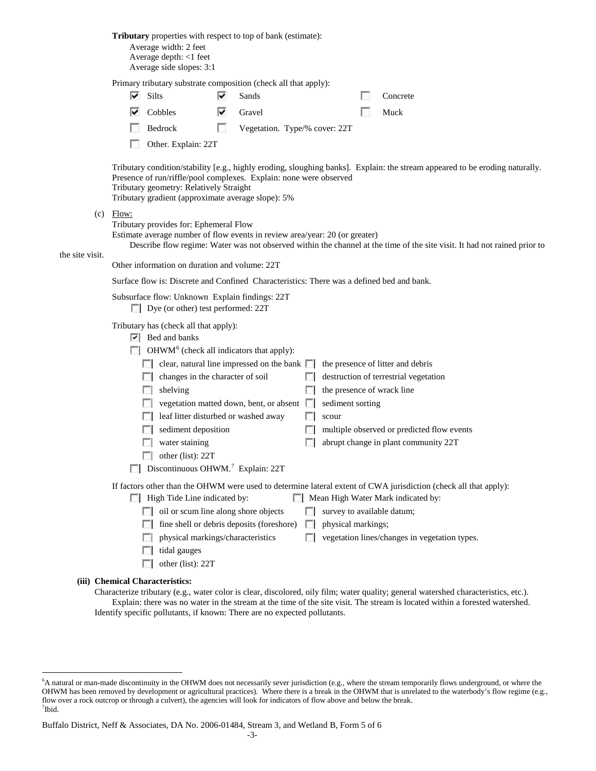**Tributary** properties with respect to top of bank (estimate): Average width: 2 feet Average depth: <1 feet

Average side slopes: 3:1

Primary tributary substrate composition (check all that apply):

| $\blacktriangleright$ Silts        | Sands                         | Concrete    |
|------------------------------------|-------------------------------|-------------|
| $\overline{\triangledown}$ Cobbles | $\blacktriangleright$ Gravel  | $\Box$ Muck |
| Bedrock                            | Vegetation. Type/% cover: 22T |             |

Other. Explain: 22T

Tributary condition/stability [e.g., highly eroding, sloughing banks]. Explain: the stream appeared to be eroding naturally. Presence of run/riffle/pool complexes. Explain: none were observed Tributary geometry: Relatively Straight Tributary gradient (approximate average slope): 5%

 $(c)$  Flow:

Tributary provides for: Ephemeral Flow

Estimate average number of flow events in review area/year: 20 (or greater)

Describe flow regime: Water was not observed within the channel at the time of the site visit. It had not rained prior to

## the site visit.

Other information on duration and volume: 22T

Surface flow is: Discrete and Confined Characteristics: There was a defined bed and bank.

Subsurface flow: Unknown Explain findings: 22T

Dye (or other) test performed: 22T

Tributary has (check all that apply):

| ⊽ | Bed and banks |  |  |
|---|---------------|--|--|
|---|---------------|--|--|

 $\Box$  OHWM<sup>[6](#page-37-0)</sup> (check all indicators that apply):

|  | clear, natural line impressed on the bank is the presence of litter and debris |  |
|--|--------------------------------------------------------------------------------|--|
|--|--------------------------------------------------------------------------------|--|

- changes in the character of soil destruction of terrestrial vegetation
	- $\Box$  shelving the presence of wrack line
- $\Box$  vegetation matted down, bent, or absent  $\Box$  sediment sorting
- $\Box$  leaf litter disturbed or washed away  $\Box$  scour
- $\Box$  sediment deposition  $\Box$  multiple observed or predicted flow events
- $\Box$  water staining  $\Box$  abrupt change in plant community 22T

 $\Box$  other (list): 22T

Discontinuous OHWM.<sup>[7](#page-37-1)</sup> Explain: 22T

If factors other than the OHWM were used to determine lateral extent of CWA jurisdiction (check all that apply):

- $\Box$  High Tide Line indicated by:  $\Box$  Mean High Water Mark indicated by:
	- oil or scum line along shore objects  $\Box$  survey to available datum;
	- $\Box$  fine shell or debris deposits (foreshore)  $\Box$  physical markings;
	- physical markings/characteristics  $\Box$  vegetation lines/changes in vegetation types.
	- $\Box$  tidal gauges
	- other (list):  $22T$

# **(iii) Chemical Characteristics:**

Characterize tributary (e.g., water color is clear, discolored, oily film; water quality; general watershed characteristics, etc.). Explain: there was no water in the stream at the time of the site visit. The stream is located within a forested watershed. Identify specific pollutants, if known: There are no expected pollutants.

<span id="page-37-1"></span>Buffalo District, Neff & Associates, DA No. 2006-01484, Stream 3, and Wetland B, Form 5 of 6

<span id="page-37-0"></span> <sup>6</sup> <sup>6</sup>A natural or man-made discontinuity in the OHWM does not necessarily sever jurisdiction (e.g., where the stream temporarily flows underground, or where the OHWM has been removed by development or agricultural practices). Where there is a break in the OHWM that is unrelated to the waterbody's flow regime (e.g., flow over a rock outcrop or through a culvert), the agencies will look for indicators of flow above and below the break. 7 Ibid.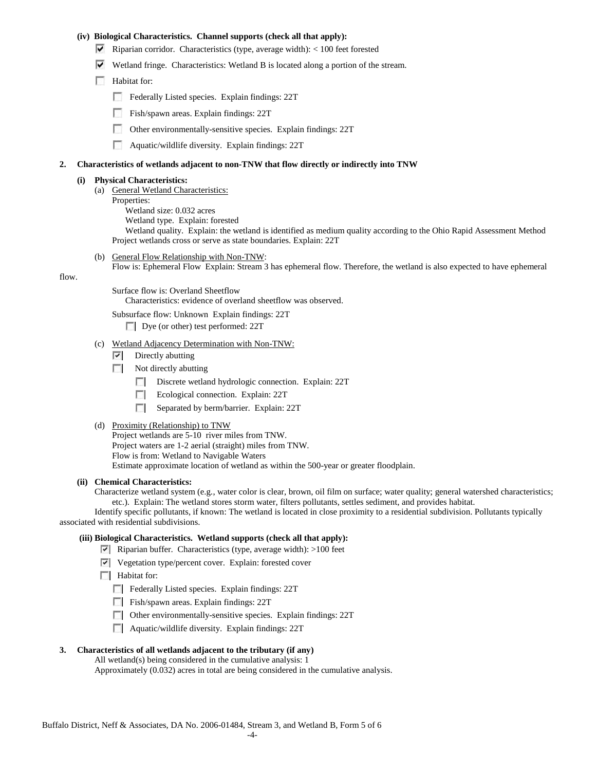## **(iv) Biological Characteristics. Channel supports (check all that apply):**

- $\blacktriangleright$  Riparian corridor. Characteristics (type, average width): < 100 feet forested
- Wetland fringe. Characteristics: Wetland B is located along a portion of the stream.
- Habitat for:
	- Federally Listed species. Explain findings: 22T
	- **Fish/spawn areas. Explain findings: 22T**
	- Other environmentally-sensitive species. Explain findings: 22T m.
	- n Aquatic/wildlife diversity. Explain findings: 22T

### **2. Characteristics of wetlands adjacent to non-TNW that flow directly or indirectly into TNW**

## **(i) Physical Characteristics:**

- (a) General Wetland Characteristics:
	- Properties:
		- Wetland size: 0.032 acres
		- Wetland type. Explain: forested

Wetland quality. Explain: the wetland is identified as medium quality according to the Ohio Rapid Assessment Method Project wetlands cross or serve as state boundaries. Explain: 22T

(b) General Flow Relationship with Non-TNW: Flow is: Ephemeral Flow Explain: Stream 3 has ephemeral flow. Therefore, the wetland is also expected to have ephemeral

flow.

Surface flow is: Overland Sheetflow

Characteristics: evidence of overland sheetflow was observed.

Subsurface flow: Unknown Explain findings: 22T

Dye (or other) test performed: 22T

- (c) Wetland Adjacency Determination with Non-TNW:
	- $\nabla$  Directly abutting
	- Not directly abutting

Discrete wetland hydrologic connection. Explain: 22T

- $\sim$ Ecological connection. Explain: 22T
- Separated by berm/barrier. Explain: 22T

### (d) Proximity (Relationship) to TNW

Project wetlands are 5-10 river miles from TNW. Project waters are 1-2 aerial (straight) miles from TNW. Flow is from: Wetland to Navigable Waters Estimate approximate location of wetland as within the 500-year or greater floodplain.

# **(ii) Chemical Characteristics:**

Characterize wetland system (e.g., water color is clear, brown, oil film on surface; water quality; general watershed characteristics; etc.). Explain: The wetland stores storm water, filters pollutants, settles sediment, and provides habitat.

Identify specific pollutants, if known: The wetland is located in close proximity to a residential subdivision. Pollutants typically associated with residential subdivisions.

### **(iii) Biological Characteristics. Wetland supports (check all that apply):**

- **Riparian buffer.** Characteristics (type, average width):  $>100$  feet
- Vegetation type/percent cover. Explain: forested cover
- $\Box$  Habitat for:
	- Federally Listed species. Explain findings: 22T
	- Fish/spawn areas. Explain findings: 22T
	- Other environmentally-sensitive species. Explain findings: 22T
	- **Aquatic/wildlife diversity. Explain findings: 22T**

# **3. Characteristics of all wetlands adjacent to the tributary (if any)**

All wetland(s) being considered in the cumulative analysis: 1 Approximately (0.032) acres in total are being considered in the cumulative analysis.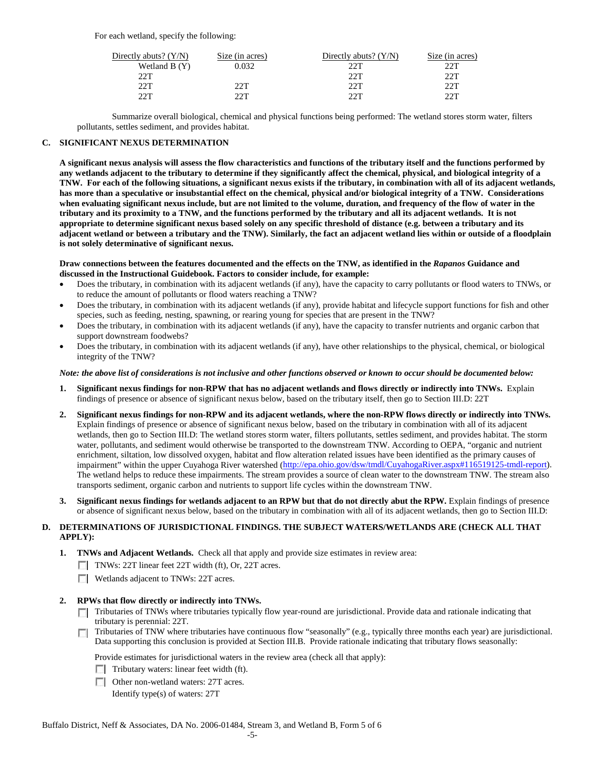For each wetland, specify the following:

| Directly abuts? $(Y/N)$ | Size (in acres) | Directly abuts? $(Y/N)$ | Size (in acres) |
|-------------------------|-----------------|-------------------------|-----------------|
| Wetland $B(Y)$          | 0.032           | 22T                     | 22T             |
| 22T                     |                 | 22T                     | 22T             |
| 22T                     | つつT             | 22T                     | 22T             |
| 22T                     | つつT             | 22T                     | 22T             |

Summarize overall biological, chemical and physical functions being performed: The wetland stores storm water, filters pollutants, settles sediment, and provides habitat.

## **C. SIGNIFICANT NEXUS DETERMINATION**

**A significant nexus analysis will assess the flow characteristics and functions of the tributary itself and the functions performed by any wetlands adjacent to the tributary to determine if they significantly affect the chemical, physical, and biological integrity of a TNW. For each of the following situations, a significant nexus exists if the tributary, in combination with all of its adjacent wetlands, has more than a speculative or insubstantial effect on the chemical, physical and/or biological integrity of a TNW. Considerations when evaluating significant nexus include, but are not limited to the volume, duration, and frequency of the flow of water in the tributary and its proximity to a TNW, and the functions performed by the tributary and all its adjacent wetlands. It is not appropriate to determine significant nexus based solely on any specific threshold of distance (e.g. between a tributary and its adjacent wetland or between a tributary and the TNW). Similarly, the fact an adjacent wetland lies within or outside of a floodplain is not solely determinative of significant nexus.** 

### **Draw connections between the features documented and the effects on the TNW, as identified in the** *Rapanos* **Guidance and discussed in the Instructional Guidebook. Factors to consider include, for example:**

- Does the tributary, in combination with its adjacent wetlands (if any), have the capacity to carry pollutants or flood waters to TNWs, or to reduce the amount of pollutants or flood waters reaching a TNW?
- Does the tributary, in combination with its adjacent wetlands (if any), provide habitat and lifecycle support functions for fish and other species, such as feeding, nesting, spawning, or rearing young for species that are present in the TNW?
- Does the tributary, in combination with its adjacent wetlands (if any), have the capacity to transfer nutrients and organic carbon that support downstream foodwebs?
- Does the tributary, in combination with its adjacent wetlands (if any), have other relationships to the physical, chemical, or biological integrity of the TNW?

## *Note: the above list of considerations is not inclusive and other functions observed or known to occur should be documented below:*

- **1. Significant nexus findings for non-RPW that has no adjacent wetlands and flows directly or indirectly into TNWs.** Explain findings of presence or absence of significant nexus below, based on the tributary itself, then go to Section III.D: 22T
- **2. Significant nexus findings for non-RPW and its adjacent wetlands, where the non-RPW flows directly or indirectly into TNWs.**  Explain findings of presence or absence of significant nexus below, based on the tributary in combination with all of its adjacent wetlands, then go to Section III.D: The wetland stores storm water, filters pollutants, settles sediment, and provides habitat. The storm water, pollutants, and sediment would otherwise be transported to the downstream TNW. According to OEPA, "organic and nutrient enrichment, siltation, low dissolved oxygen, habitat and flow alteration related issues have been identified as the primary causes of impairment" within the upper Cuyahoga River watershed [\(http://epa.ohio.gov/dsw/tmdl/CuyahogaRiver.aspx#116519125-tmdl-report\)](http://epa.ohio.gov/dsw/tmdl/CuyahogaRiver.aspx%23116519125-tmdl-report). The wetland helps to reduce these impairments. The stream provides a source of clean water to the downstream TNW. The stream also transports sediment, organic carbon and nutrients to support life cycles within the downstream TNW.
- **3. Significant nexus findings for wetlands adjacent to an RPW but that do not directly abut the RPW.** Explain findings of presence or absence of significant nexus below, based on the tributary in combination with all of its adjacent wetlands, then go to Section III.D:

# **D. DETERMINATIONS OF JURISDICTIONAL FINDINGS. THE SUBJECT WATERS/WETLANDS ARE (CHECK ALL THAT APPLY):**

- **1. TNWs and Adjacent Wetlands.** Check all that apply and provide size estimates in review area:
	- TNWs: 22T linear feet 22T width (ft), Or, 22T acres.
	- **Wetlands adjacent to TNWs: 22T acres.**

# **2. RPWs that flow directly or indirectly into TNWs.**

- Tributaries of TNWs where tributaries typically flow year-round are jurisdictional. Provide data and rationale indicating that tributary is perennial: 22T.
- Tributaries of TNW where tributaries have continuous flow "seasonally" (e.g., typically three months each year) are jurisdictional. Data supporting this conclusion is provided at Section III.B. Provide rationale indicating that tributary flows seasonally:

Provide estimates for jurisdictional waters in the review area (check all that apply):

- $\Box$  Tributary waters: linear feet width (ft).
- Other non-wetland waters: 27T acres.

Identify type(s) of waters: 27T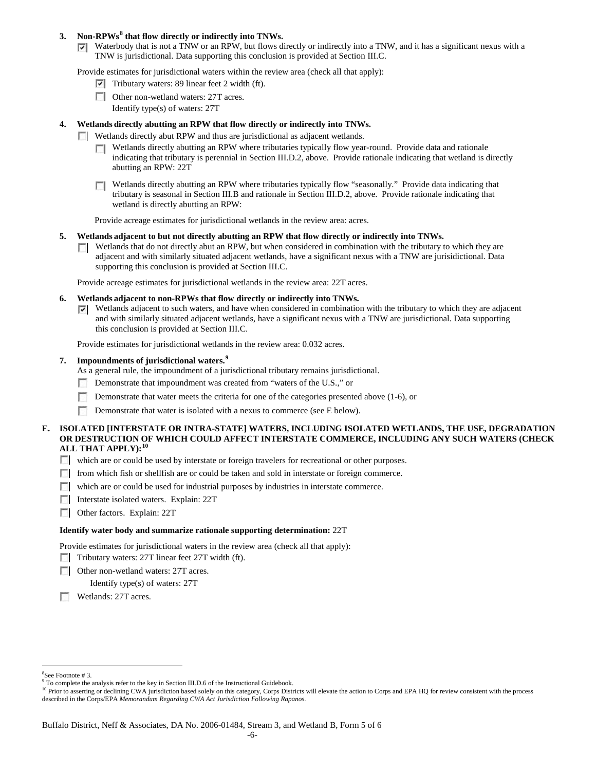# **3. Non-RPWs[8](#page-40-0) that flow directly or indirectly into TNWs.**

Waterbody that is not a TNW or an RPW, but flows directly or indirectly into a TNW, and it has a significant nexus with a TNW is jurisdictional. Data supporting this conclusion is provided at Section III.C.

Provide estimates for jurisdictional waters within the review area (check all that apply):

- $\triangledown$  Tributary waters: 89 linear feet 2 width (ft).
- Other non-wetland waters: 27T acres. Identify type(s) of waters: 27T
- 

# **4. Wetlands directly abutting an RPW that flow directly or indirectly into TNWs.**

- Wetlands directly abut RPW and thus are jurisdictional as adjacent wetlands.
	- $\Box$  Wetlands directly abutting an RPW where tributaries typically flow year-round. Provide data and rationale indicating that tributary is perennial in Section III.D.2, above. Provide rationale indicating that wetland is directly abutting an RPW: 22T
	- Wetlands directly abutting an RPW where tributaries typically flow "seasonally." Provide data indicating that tributary is seasonal in Section III.B and rationale in Section III.D.2, above. Provide rationale indicating that wetland is directly abutting an RPW:

Provide acreage estimates for jurisdictional wetlands in the review area: acres.

- **5. Wetlands adjacent to but not directly abutting an RPW that flow directly or indirectly into TNWs.**
	- $\Box$  Wetlands that do not directly abut an RPW, but when considered in combination with the tributary to which they are adjacent and with similarly situated adjacent wetlands, have a significant nexus with a TNW are jurisidictional. Data supporting this conclusion is provided at Section III.C.

Provide acreage estimates for jurisdictional wetlands in the review area: 22T acres.

- **6. Wetlands adjacent to non-RPWs that flow directly or indirectly into TNWs.** 
	- Wetlands adjacent to such waters, and have when considered in combination with the tributary to which they are adjacent and with similarly situated adjacent wetlands, have a significant nexus with a TNW are jurisdictional. Data supporting this conclusion is provided at Section III.C.

Provide estimates for jurisdictional wetlands in the review area: 0.032 acres.

# **7. Impoundments of jurisdictional waters. [9](#page-40-1)**

As a general rule, the impoundment of a jurisdictional tributary remains jurisdictional.

- Demonstrate that impoundment was created from "waters of the U.S.," or
- Demonstrate that water meets the criteria for one of the categories presented above (1-6), or
- n Demonstrate that water is isolated with a nexus to commerce (see E below).
- **E. ISOLATED [INTERSTATE OR INTRA-STATE] WATERS, INCLUDING ISOLATED WETLANDS, THE USE, DEGRADATION OR DESTRUCTION OF WHICH COULD AFFECT INTERSTATE COMMERCE, INCLUDING ANY SUCH WATERS (CHECK ALL THAT APPLY):[10](#page-40-2)**
	- which are or could be used by interstate or foreign travelers for recreational or other purposes.
	- from which fish or shellfish are or could be taken and sold in interstate or foreign commerce.
	- which are or could be used for industrial purposes by industries in interstate commerce.
	- **Interstate isolated waters. Explain: 22T**
	- Other factors.Explain: 22T

### **Identify water body and summarize rationale supporting determination:** 22T

Provide estimates for jurisdictional waters in the review area (check all that apply):

- Tributary waters: 27T linear feet 27T width (ft).
- Other non-wetland waters: 27T acres.

Identify type(s) of waters: 27T

Wetlands: 27T acres.

 $\frac{1}{8}$ See Footnote # 3.

<span id="page-40-1"></span><span id="page-40-0"></span><sup>&</sup>lt;sup>9</sup> To complete the analysis refer to the key in Section III.D.6 of the Instructional Guidebook.

<span id="page-40-2"></span><sup>&</sup>lt;sup>10</sup> Prior to asserting or declining CWA jurisdiction based solely on this category, Corps Districts will elevate the action to Corps and EPA HQ for review consistent with the process described in the Corps/EPA *Memorandum Regarding CWA Act Jurisdiction Following Rapanos.*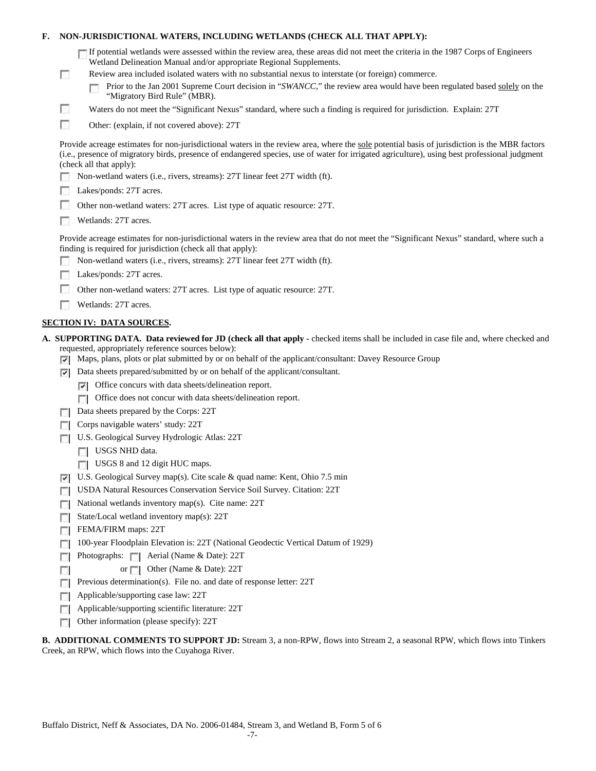| F. | NON-JURISDICTIONAL WATERS, INCLUDING WETLANDS (CHECK ALL THAT APPLY): |                                                                                                                                                                                                                                                                                                                           |  |  |
|----|-----------------------------------------------------------------------|---------------------------------------------------------------------------------------------------------------------------------------------------------------------------------------------------------------------------------------------------------------------------------------------------------------------------|--|--|
|    |                                                                       | If potential wetlands were assessed within the review area, these areas did not meet the criteria in the 1987 Corps of Engineers<br>Wetland Delineation Manual and/or appropriate Regional Supplements.                                                                                                                   |  |  |
|    | п                                                                     | Review area included isolated waters with no substantial nexus to interstate (or foreign) commerce.                                                                                                                                                                                                                       |  |  |
|    |                                                                       | Prior to the Jan 2001 Supreme Court decision in "SWANCC," the review area would have been regulated based solely on the<br>"Migratory Bird Rule" (MBR).                                                                                                                                                                   |  |  |
|    | n                                                                     | Waters do not meet the "Significant Nexus" standard, where such a finding is required for jurisdiction. Explain: 27T                                                                                                                                                                                                      |  |  |
|    | г                                                                     | Other: (explain, if not covered above): 27T                                                                                                                                                                                                                                                                               |  |  |
|    |                                                                       | Provide acreage estimates for non-jurisdictional waters in the review area, where the sole potential basis of jurisdiction is the MBR factors<br>(i.e., presence of migratory birds, presence of endangered species, use of water for irrigated agriculture), using best professional judgment<br>(check all that apply): |  |  |
|    |                                                                       | Non-wetland waters (i.e., rivers, streams): 27T linear feet 27T width (ft).                                                                                                                                                                                                                                               |  |  |
|    |                                                                       | Lakes/ponds: 27T acres.                                                                                                                                                                                                                                                                                                   |  |  |
|    |                                                                       | Other non-wetland waters: 27T acres. List type of aquatic resource: 27T.                                                                                                                                                                                                                                                  |  |  |
|    |                                                                       | Wetlands: 27T acres.                                                                                                                                                                                                                                                                                                      |  |  |
|    |                                                                       | Provide acreage estimates for non-jurisdictional waters in the review area that do not meet the "Significant Nexus" standard, where such a<br>finding is required for jurisdiction (check all that apply):<br>Non-wetland waters (i.e., rivers, streams): 27T linear feet 27T width (ft).                                 |  |  |
|    |                                                                       | Lakes/ponds: 27T acres.                                                                                                                                                                                                                                                                                                   |  |  |
|    |                                                                       | Other non-wetland waters: 27T acres. List type of aquatic resource: 27T.                                                                                                                                                                                                                                                  |  |  |
|    |                                                                       | Wetlands: 27T acres.                                                                                                                                                                                                                                                                                                      |  |  |
|    |                                                                       | <b>SECTION IV: DATA SOURCES.</b>                                                                                                                                                                                                                                                                                          |  |  |
|    |                                                                       | A. SUPPORTING DATA. Data reviewed for JD (check all that apply - checked items shall be included in case file and, where checked and                                                                                                                                                                                      |  |  |
|    | ☞                                                                     | requested, appropriately reference sources below):<br>Maps, plans, plots or plat submitted by or on behalf of the applicant/consultant: Davey Resource Group                                                                                                                                                              |  |  |
|    | ⊽                                                                     | Data sheets prepared/submitted by or on behalf of the applicant/consultant.                                                                                                                                                                                                                                               |  |  |
|    |                                                                       | Office concurs with data sheets/delineation report.<br>☞                                                                                                                                                                                                                                                                  |  |  |
|    |                                                                       | Office does not concur with data sheets/delineation report.                                                                                                                                                                                                                                                               |  |  |
|    |                                                                       | Data sheets prepared by the Corps: 22T                                                                                                                                                                                                                                                                                    |  |  |
|    |                                                                       | Corps navigable waters' study: 22T                                                                                                                                                                                                                                                                                        |  |  |
|    |                                                                       | U.S. Geological Survey Hydrologic Atlas: 22T                                                                                                                                                                                                                                                                              |  |  |
|    |                                                                       | USGS NHD data.                                                                                                                                                                                                                                                                                                            |  |  |
|    |                                                                       | USGS 8 and 12 digit HUC maps.                                                                                                                                                                                                                                                                                             |  |  |
|    | ⊽                                                                     | U.S. Geological Survey map(s). Cite scale & quad name: Kent, Ohio 7.5 min                                                                                                                                                                                                                                                 |  |  |
|    |                                                                       | USDA Natural Resources Conservation Service Soil Survey. Citation: 22T                                                                                                                                                                                                                                                    |  |  |
|    |                                                                       | National wetlands inventory map(s). Cite name: 22T                                                                                                                                                                                                                                                                        |  |  |
|    | Ð                                                                     | State/Local wetland inventory map(s): 22T                                                                                                                                                                                                                                                                                 |  |  |
|    |                                                                       | FEMA/FIRM maps: 22T                                                                                                                                                                                                                                                                                                       |  |  |
|    |                                                                       | 100-year Floodplain Elevation is: 22T (National Geodectic Vertical Datum of 1929)                                                                                                                                                                                                                                         |  |  |
|    |                                                                       | Photographs:   Aerial (Name & Date): 22T                                                                                                                                                                                                                                                                                  |  |  |
|    |                                                                       | Other (Name & Date): 22T<br>or $\Box$                                                                                                                                                                                                                                                                                     |  |  |
|    |                                                                       | Previous determination(s). File no. and date of response letter: 22T                                                                                                                                                                                                                                                      |  |  |
|    |                                                                       | Applicable/supporting case law: 22T                                                                                                                                                                                                                                                                                       |  |  |
|    | L                                                                     | Applicable/supporting scientific literature: 22T                                                                                                                                                                                                                                                                          |  |  |
|    |                                                                       | Other information (please specify): 22T                                                                                                                                                                                                                                                                                   |  |  |
|    |                                                                       |                                                                                                                                                                                                                                                                                                                           |  |  |

**B. ADDITIONAL COMMENTS TO SUPPORT JD:** Stream 3, a non-RPW, flows into Stream 2, a seasonal RPW, which flows into Tinkers Creek, an RPW, which flows into the Cuyahoga River.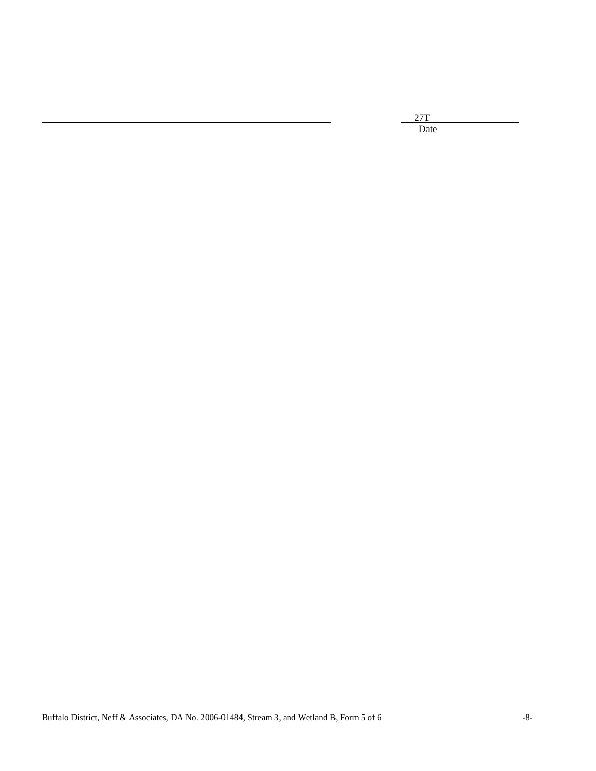27T Date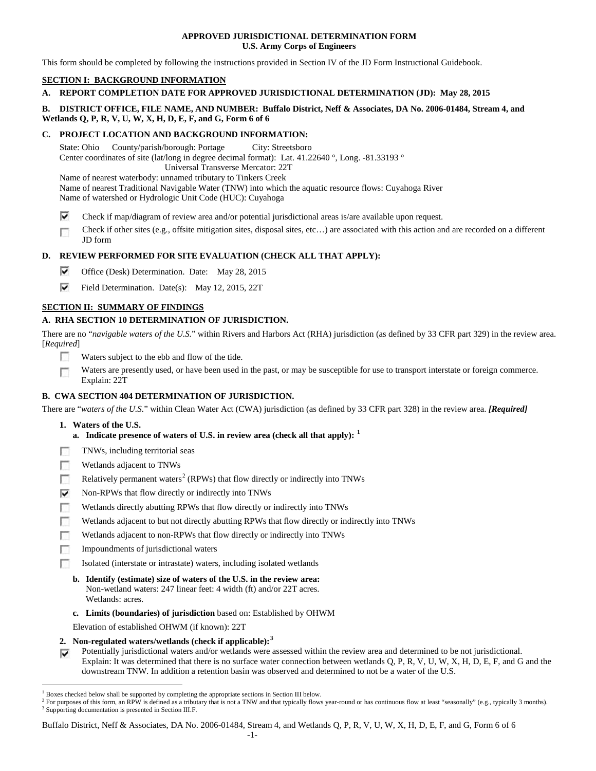## **APPROVED JURISDICTIONAL DETERMINATION FORM U.S. Army Corps of Engineers**

This form should be completed by following the instructions provided in Section IV of the JD Form Instructional Guidebook.

# **SECTION I: BACKGROUND INFORMATION**

# **A. REPORT COMPLETION DATE FOR APPROVED JURISDICTIONAL DETERMINATION (JD): May 28, 2015**

# **B. DISTRICT OFFICE, FILE NAME, AND NUMBER: Buffalo District, Neff & Associates, DA No. 2006-01484, Stream 4, and Wetlands Q, P, R, V, U, W, X, H, D, E, F, and G, Form 6 of 6**

### **C. PROJECT LOCATION AND BACKGROUND INFORMATION:**

State: Ohio County/parish/borough: Portage City: Streetsboro Center coordinates of site (lat/long in degree decimal format): Lat. 41.22640 °, Long. -81.33193 ° Universal Transverse Mercator: 22T Name of nearest waterbody: unnamed tributary to Tinkers Creek Name of nearest Traditional Navigable Water (TNW) into which the aquatic resource flows: Cuyahoga River Name of watershed or Hydrologic Unit Code (HUC): Cuyahoga

- ⊽ Check if map/diagram of review area and/or potential jurisdictional areas is/are available upon request.
- Check if other sites (e.g., offsite mitigation sites, disposal sites, etc…) are associated with this action and are recorded on a different Г JD form

# **D. REVIEW PERFORMED FOR SITE EVALUATION (CHECK ALL THAT APPLY):**

- ⊽ Office (Desk) Determination. Date: May 28, 2015
- ⊽ Field Determination. Date(s): May 12, 2015, 22T

# **SECTION II: SUMMARY OF FINDINGS**

# **A. RHA SECTION 10 DETERMINATION OF JURISDICTION.**

There are no "*navigable waters of the U.S.*" within Rivers and Harbors Act (RHA) jurisdiction (as defined by 33 CFR part 329) in the review area. [*Required*]

- n Waters subject to the ebb and flow of the tide.
- Waters are presently used, or have been used in the past, or may be susceptible for use to transport interstate or foreign commerce. Г Explain: 22T

# **B. CWA SECTION 404 DETERMINATION OF JURISDICTION.**

There are "*waters of the U.S.*" within Clean Water Act (CWA) jurisdiction (as defined by 33 CFR part 328) in the review area. *[Required]*

- **1. Waters of the U.S.**
	- **a. Indicate presence of waters of U.S. in review area (check all that apply): [1](#page-43-0)**
- TNWs, including territorial seas Е
- Wetlands adjacent to TNWs п
- Relatively permanent waters<sup>[2](#page-43-1)</sup> (RPWs) that flow directly or indirectly into TNWs n
- ⊽ Non-RPWs that flow directly or indirectly into TNWs
- Wetlands directly abutting RPWs that flow directly or indirectly into TNWs
- Wetlands adjacent to but not directly abutting RPWs that flow directly or indirectly into TNWs
- Wetlands adjacent to non-RPWs that flow directly or indirectly into TNWs в
- п Impoundments of jurisdictional waters
- Isolated (interstate or intrastate) waters, including isolated wetlands n.
	- **b. Identify (estimate) size of waters of the U.S. in the review area:** Non-wetland waters: 247 linear feet: 4 width (ft) and/or 22T acres. Wetlands: acres.
	- **c. Limits (boundaries) of jurisdiction** based on: Established by OHWM
	- Elevation of established OHWM (if known): 22T
- **2. Non-regulated waters/wetlands (check if applicable): [3](#page-43-2)**
- Potentially jurisdictional waters and/or wetlands were assessed within the review area and determined to be not jurisdictional. Explain: It was determined that there is no surface water connection between wetlands Q, P, R, V, U, W, X, H, D, E, F, and G and the downstream TNW. In addition a retention basin was observed and determined to not be a water of the U.S.

#### Buffalo District, Neff & Associates, DA No. 2006-01484, Stream 4, and Wetlands Q, P, R, V, U, W, X, H, D, E, F, and G, Form 6 of 6

<span id="page-43-0"></span><sup>&</sup>lt;sup>1</sup> Boxes checked below shall be supported by completing the appropriate sections in Section III below.

<span id="page-43-2"></span><span id="page-43-1"></span> $^2$  For purposes of this form, an RPW is defined as a tributary that is not a TNW and that typically flows year-round or has continuous flow at least "seasonally" (e.g., typically 3 months). 3 Supporting documentation is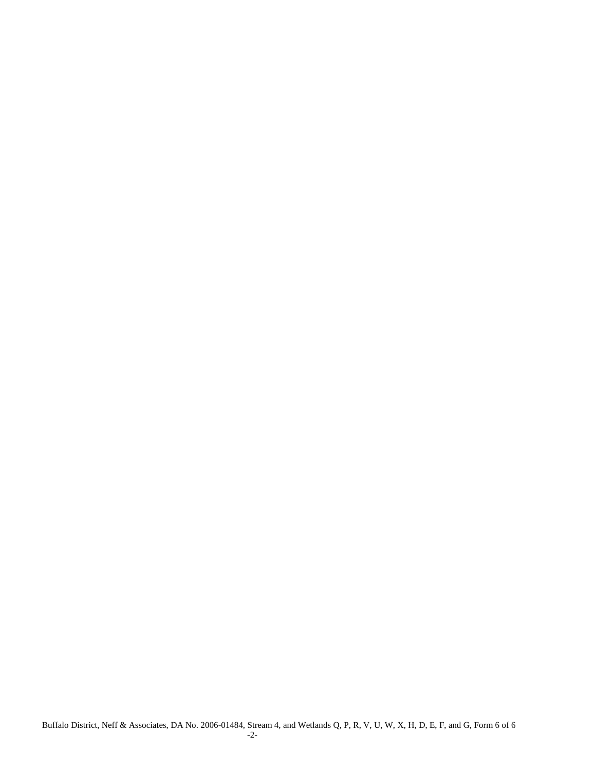Buffalo District, Neff & Associates, DA No. 2006-01484, Stream 4, and Wetlands Q, P, R, V, U, W, X, H, D, E, F, and G, Form 6 of 6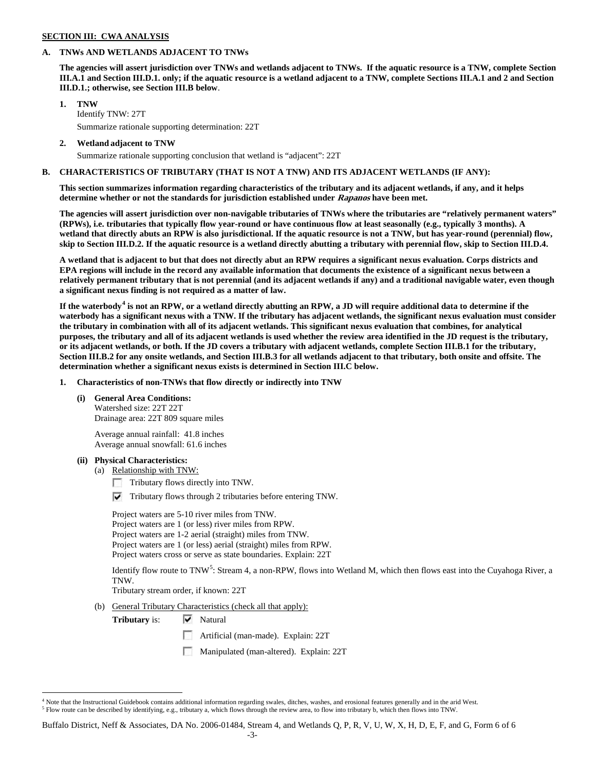### **SECTION III: CWA ANALYSIS**

### **A. TNWs AND WETLANDS ADJACENT TO TNWs**

**The agencies will assert jurisdiction over TNWs and wetlands adjacent to TNWs. If the aquatic resource is a TNW, complete Section III.A.1 and Section III.D.1. only; if the aquatic resource is a wetland adjacent to a TNW, complete Sections III.A.1 and 2 and Section III.D.1.; otherwise, see Section III.B below**.

- **1. TNW**  Identify TNW: 27T Summarize rationale supporting determination: 22T
- **2. Wetland adjacent to TNW** Summarize rationale supporting conclusion that wetland is "adjacent": 22T

# **B. CHARACTERISTICS OF TRIBUTARY (THAT IS NOT A TNW) AND ITS ADJACENT WETLANDS (IF ANY):**

**This section summarizes information regarding characteristics of the tributary and its adjacent wetlands, if any, and it helps determine whether or not the standards for jurisdiction established under Rapanos have been met.** 

**The agencies will assert jurisdiction over non-navigable tributaries of TNWs where the tributaries are "relatively permanent waters" (RPWs), i.e. tributaries that typically flow year-round or have continuous flow at least seasonally (e.g., typically 3 months). A wetland that directly abuts an RPW is also jurisdictional. If the aquatic resource is not a TNW, but has year-round (perennial) flow, skip to Section III.D.2. If the aquatic resource is a wetland directly abutting a tributary with perennial flow, skip to Section III.D.4.**

**A wetland that is adjacent to but that does not directly abut an RPW requires a significant nexus evaluation. Corps districts and EPA regions will include in the record any available information that documents the existence of a significant nexus between a relatively permanent tributary that is not perennial (and its adjacent wetlands if any) and a traditional navigable water, even though a significant nexus finding is not required as a matter of law.**

**If the waterbody[4](#page-45-0) is not an RPW, or a wetland directly abutting an RPW, a JD will require additional data to determine if the waterbody has a significant nexus with a TNW. If the tributary has adjacent wetlands, the significant nexus evaluation must consider the tributary in combination with all of its adjacent wetlands. This significant nexus evaluation that combines, for analytical purposes, the tributary and all of its adjacent wetlands is used whether the review area identified in the JD request is the tributary, or its adjacent wetlands, or both. If the JD covers a tributary with adjacent wetlands, complete Section III.B.1 for the tributary, Section III.B.2 for any onsite wetlands, and Section III.B.3 for all wetlands adjacent to that tributary, both onsite and offsite. The determination whether a significant nexus exists is determined in Section III.C below.**

**1. Characteristics of non-TNWs that flow directly or indirectly into TNW**

### **(i) General Area Conditions:**

Watershed size: 22T 22T Drainage area: 22T 809 square miles

Average annual rainfall: 41.8 inches Average annual snowfall: 61.6 inches

### **(ii) Physical Characteristics:**

(a) Relationship with TNW:

Tributary flows directly into TNW.

 $\triangledown$  Tributary flows through 2 tributaries before entering TNW.

Project waters are 5-10 river miles from TNW. Project waters are 1 (or less) river miles from RPW. Project waters are 1-2 aerial (straight) miles from TNW. Project waters are 1 (or less) aerial (straight) miles from RPW. Project waters cross or serve as state boundaries. Explain: 22T

Identify flow route to TNW<sup>[5](#page-45-1)</sup>: Stream 4, a non-RPW, flows into Wetland M, which then flows east into the Cuyahoga River, a TNW.

Tributary stream order, if known: 22T

(b) General Tributary Characteristics (check all that apply):

**Tributary** is: **▼** Natural

- Artificial (man-made). Explain: 22T
- Manipulated (man-altered). Explain: 22T

Buffalo District, Neff & Associates, DA No. 2006-01484, Stream 4, and Wetlands Q, P, R, V, U, W, X, H, D, E, F, and G, Form 6 of 6

<span id="page-45-1"></span><span id="page-45-0"></span> $4$  Note that the Instructional Guidebook contains additional information regarding swales, ditches, washes, and erosional features generally and in the arid West.<br> $5$  Flow route can be described by identifying, e.g., tri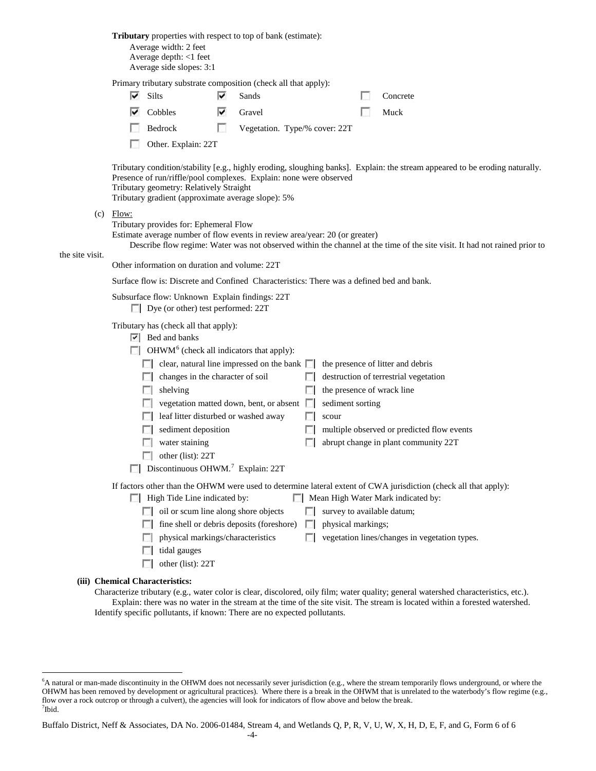**Tributary** properties with respect to top of bank (estimate): Average width: 2 feet Average depth: <1 feet

Average side slopes: 3:1

Primary tributary substrate composition (check all that apply):

| $\blacktriangleright$ Silts        | $\vee$ Sands                  | Concrete    |
|------------------------------------|-------------------------------|-------------|
| $\overline{\triangledown}$ Cobbles | $\blacktriangleright$ Gravel  | $\Box$ Muck |
| Bedrock                            | Vegetation. Type/% cover: 22T |             |

Other. Explain: 22T

Tributary condition/stability [e.g., highly eroding, sloughing banks]. Explain: the stream appeared to be eroding naturally. Presence of run/riffle/pool complexes. Explain: none were observed Tributary geometry: Relatively Straight Tributary gradient (approximate average slope): 5%

 $(c)$  Flow:

Tributary provides for: Ephemeral Flow

Estimate average number of flow events in review area/year: 20 (or greater)

Describe flow regime: Water was not observed within the channel at the time of the site visit. It had not rained prior to

## the site visit.

Other information on duration and volume: 22T

Surface flow is: Discrete and Confined Characteristics: There was a defined bed and bank.

Subsurface flow: Unknown Explain findings: 22T

Dye (or other) test performed: 22T

Tributary has (check all that apply):

| ⊽ | Bed and banks |  |  |
|---|---------------|--|--|
|---|---------------|--|--|

 $\Box$  OHWM<sup>[6](#page-46-0)</sup> (check all indicators that apply):

|  | clear, natural line impressed on the bank is the presence of litter and debris |  |
|--|--------------------------------------------------------------------------------|--|
|--|--------------------------------------------------------------------------------|--|

- changes in the character of soil destruction of terrestrial vegetation
	- $\Box$  shelving the presence of wrack line
- $\Box$  vegetation matted down, bent, or absent  $\Box$  sediment sorting
- $\Box$  leaf litter disturbed or washed away  $\Box$  scour
- $\Box$  sediment deposition  $\Box$  multiple observed or predicted flow events
- $\Box$  water staining  $\Box$  abrupt change in plant community 22T

 $\Box$  other (list): 22T

Discontinuous OHWM.<sup>[7](#page-46-1)</sup> Explain: 22T

If factors other than the OHWM were used to determine lateral extent of CWA jurisdiction (check all that apply):

- $\Box$  High Tide Line indicated by:  $\Box$  Mean High Water Mark indicated by:
	- oil or scum line along shore objects  $\Box$  survey to available datum;
	- $\Box$  fine shell or debris deposits (foreshore)  $\Box$  physical markings;
	- physical markings/characteristics  $\Box$  vegetation lines/changes in vegetation types.
	- $\Box$  tidal gauges
	- other (list):  $22T$

# **(iii) Chemical Characteristics:**

Characterize tributary (e.g., water color is clear, discolored, oily film; water quality; general watershed characteristics, etc.). Explain: there was no water in the stream at the time of the site visit. The stream is located within a forested watershed. Identify specific pollutants, if known: There are no expected pollutants.

<span id="page-46-1"></span><span id="page-46-0"></span> <sup>6</sup> <sup>6</sup>A natural or man-made discontinuity in the OHWM does not necessarily sever jurisdiction (e.g., where the stream temporarily flows underground, or where the OHWM has been removed by development or agricultural practices). Where there is a break in the OHWM that is unrelated to the waterbody's flow regime (e.g., flow over a rock outcrop or through a culvert), the agencies will look for indicators of flow above and below the break. 7 Ibid.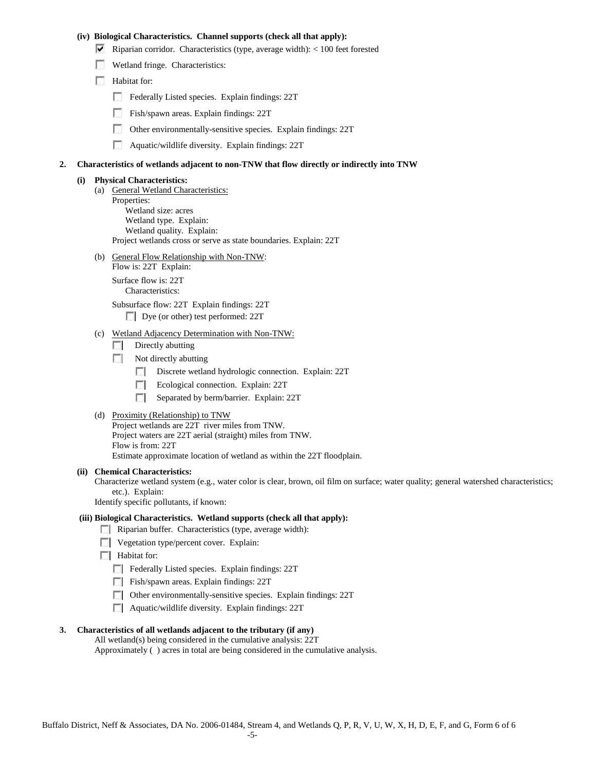### **(iv) Biological Characteristics. Channel supports (check all that apply):**

- $\blacktriangleright$  Riparian corridor. Characteristics (type, average width): < 100 feet forested
- Wetland fringe. Characteristics:
- Habitat for:
	- Federally Listed species. Explain findings: 22T
	- Fish/spawn areas. Explain findings: 22T
	- Other environmentally-sensitive species. Explain findings: 22T п.
	- Aquatic/wildlife diversity. Explain findings: 22T

#### **2. Characteristics of wetlands adjacent to non-TNW that flow directly or indirectly into TNW**

#### **(i) Physical Characteristics:**

- (a) General Wetland Characteristics:
	- Properties: Wetland size: acres Wetland type. Explain: Wetland quality. Explain: Project wetlands cross or serve as state boundaries. Explain: 22T
- (b) General Flow Relationship with Non-TNW: Flow is: 22T Explain:

Surface flow is: 22T Characteristics:

Subsurface flow: 22T Explain findings: 22T Dye (or other) test performed: 22T

- (c) Wetland Adjacency Determination with Non-TNW:
	- $\Box$  Directly abutting
	- Not directly abutting
		- Discrete wetland hydrologic connection. Explain: 22T
		- Ecological connection. Explain: 22T **The Contract of the Contract of the Contract of the Contract of the Contract of the Contract of the Contract of the Contract of the Contract of the Contract of the Contract of the Contract of the Contract of the Contract**
		- $\mathcal{L}$ Separated by berm/barrier. Explain: 22T
- (d) Proximity (Relationship) to TNW

Project wetlands are 22T river miles from TNW. Project waters are 22T aerial (straight) miles from TNW. Flow is from: 22T

Estimate approximate location of wetland as within the 22T floodplain.

### **(ii) Chemical Characteristics:**

Characterize wetland system (e.g., water color is clear, brown, oil film on surface; water quality; general watershed characteristics; etc.). Explain:

Identify specific pollutants, if known:

### **(iii) Biological Characteristics. Wetland supports (check all that apply):**

- Riparian buffer. Characteristics (type, average width):
- **Vegetation type/percent cover. Explain:**
- **Habitat for:** 
	- $\Box$  Federally Listed species. Explain findings: 22T
	- Fish/spawn areas. Explain findings: 22T
	- Other environmentally-sensitive species. Explain findings: 22T
	- Aquatic/wildlife diversity. Explain findings: 22T

### **3. Characteristics of all wetlands adjacent to the tributary (if any)**

All wetland(s) being considered in the cumulative analysis: 22T

Approximately ( ) acres in total are being considered in the cumulative analysis.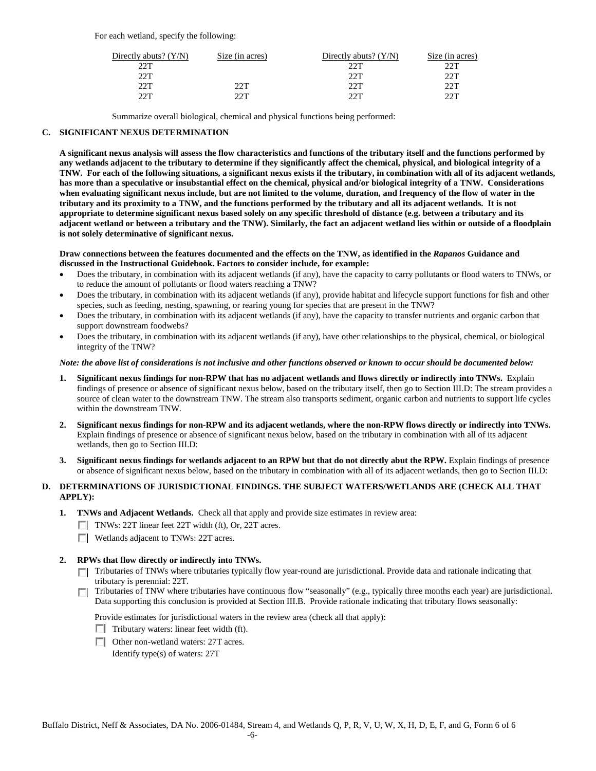For each wetland, specify the following:

| Directly abuts? $(Y/N)$ | Size (in acres) | Directly abuts? $(Y/N)$ | Size (in acres) |
|-------------------------|-----------------|-------------------------|-----------------|
| 22T                     |                 | 22T                     | 22T             |
| 22T                     |                 | 22T                     | 22T             |
| 22T                     | つつT             | 22T                     | 22T             |
| ንንT                     | ንንጥ             | フフT                     | つつT             |

Summarize overall biological, chemical and physical functions being performed:

## **C. SIGNIFICANT NEXUS DETERMINATION**

**A significant nexus analysis will assess the flow characteristics and functions of the tributary itself and the functions performed by any wetlands adjacent to the tributary to determine if they significantly affect the chemical, physical, and biological integrity of a TNW. For each of the following situations, a significant nexus exists if the tributary, in combination with all of its adjacent wetlands, has more than a speculative or insubstantial effect on the chemical, physical and/or biological integrity of a TNW. Considerations when evaluating significant nexus include, but are not limited to the volume, duration, and frequency of the flow of water in the tributary and its proximity to a TNW, and the functions performed by the tributary and all its adjacent wetlands. It is not appropriate to determine significant nexus based solely on any specific threshold of distance (e.g. between a tributary and its adjacent wetland or between a tributary and the TNW). Similarly, the fact an adjacent wetland lies within or outside of a floodplain is not solely determinative of significant nexus.** 

## **Draw connections between the features documented and the effects on the TNW, as identified in the** *Rapanos* **Guidance and discussed in the Instructional Guidebook. Factors to consider include, for example:**

- Does the tributary, in combination with its adjacent wetlands (if any), have the capacity to carry pollutants or flood waters to TNWs, or to reduce the amount of pollutants or flood waters reaching a TNW?
- Does the tributary, in combination with its adjacent wetlands (if any), provide habitat and lifecycle support functions for fish and other species, such as feeding, nesting, spawning, or rearing young for species that are present in the TNW?
- Does the tributary, in combination with its adjacent wetlands (if any), have the capacity to transfer nutrients and organic carbon that support downstream foodwebs?
- Does the tributary, in combination with its adjacent wetlands (if any), have other relationships to the physical, chemical, or biological integrity of the TNW?

# *Note: the above list of considerations is not inclusive and other functions observed or known to occur should be documented below:*

- **1. Significant nexus findings for non-RPW that has no adjacent wetlands and flows directly or indirectly into TNWs.** Explain findings of presence or absence of significant nexus below, based on the tributary itself, then go to Section III.D: The stream provides a source of clean water to the downstream TNW. The stream also transports sediment, organic carbon and nutrients to support life cycles within the downstream TNW.
- **2. Significant nexus findings for non-RPW and its adjacent wetlands, where the non-RPW flows directly or indirectly into TNWs.**  Explain findings of presence or absence of significant nexus below, based on the tributary in combination with all of its adjacent wetlands, then go to Section III.D:
- **3. Significant nexus findings for wetlands adjacent to an RPW but that do not directly abut the RPW.** Explain findings of presence or absence of significant nexus below, based on the tributary in combination with all of its adjacent wetlands, then go to Section III.D:

# **D. DETERMINATIONS OF JURISDICTIONAL FINDINGS. THE SUBJECT WATERS/WETLANDS ARE (CHECK ALL THAT APPLY):**

- **1. TNWs and Adjacent Wetlands.** Check all that apply and provide size estimates in review area:
	- TNWs: 22T linear feet 22T width (ft), Or, 22T acres.
	- **Wetlands adjacent to TNWs: 22T acres.**

# **2. RPWs that flow directly or indirectly into TNWs.**

- Tributaries of TNWs where tributaries typically flow year-round are jurisdictional. Provide data and rationale indicating that tributary is perennial: 22T.
- Tributaries of TNW where tributaries have continuous flow "seasonally" (e.g., typically three months each year) are jurisdictional. Data supporting this conclusion is provided at Section III.B. Provide rationale indicating that tributary flows seasonally:

Provide estimates for jurisdictional waters in the review area (check all that apply):

- $\Box$  Tributary waters: linear feet width (ft).
- Other non-wetland waters: 27T acres.

Identify type(s) of waters: 27T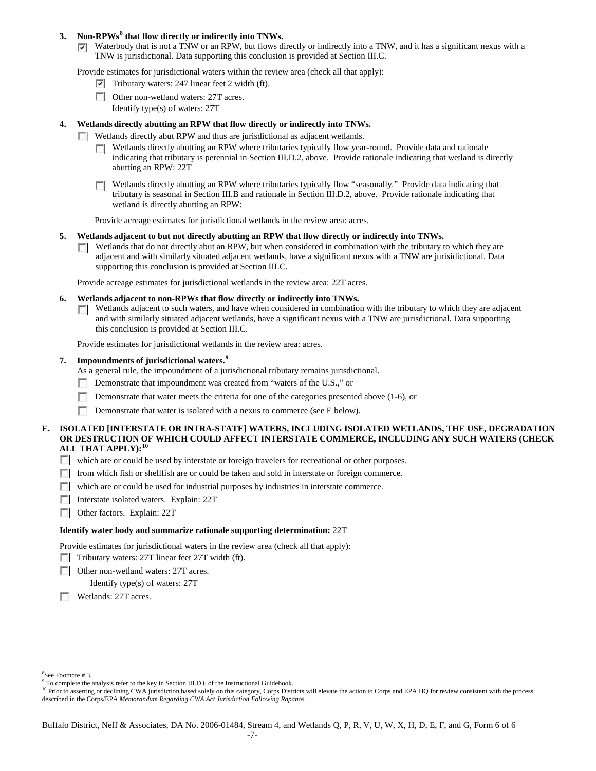# **3. Non-RPWs[8](#page-49-0) that flow directly or indirectly into TNWs.**

Waterbody that is not a TNW or an RPW, but flows directly or indirectly into a TNW, and it has a significant nexus with a TNW is jurisdictional. Data supporting this conclusion is provided at Section III.C.

Provide estimates for jurisdictional waters within the review area (check all that apply):

- $\triangledown$  Tributary waters: 247 linear feet 2 width (ft).
- Other non-wetland waters: 27T acres.
	- Identify type(s) of waters: 27T

# **4. Wetlands directly abutting an RPW that flow directly or indirectly into TNWs.**

- **Wetlands directly abut RPW and thus are jurisdictional as adjacent wetlands.** 
	- $\Box$  Wetlands directly abutting an RPW where tributaries typically flow year-round. Provide data and rationale indicating that tributary is perennial in Section III.D.2, above. Provide rationale indicating that wetland is directly abutting an RPW: 22T
	- Wetlands directly abutting an RPW where tributaries typically flow "seasonally." Provide data indicating that tributary is seasonal in Section III.B and rationale in Section III.D.2, above. Provide rationale indicating that wetland is directly abutting an RPW:

Provide acreage estimates for jurisdictional wetlands in the review area: acres.

### **5. Wetlands adjacent to but not directly abutting an RPW that flow directly or indirectly into TNWs.**

 $\Box$  Wetlands that do not directly abut an RPW, but when considered in combination with the tributary to which they are adjacent and with similarly situated adjacent wetlands, have a significant nexus with a TNW are jurisidictional. Data supporting this conclusion is provided at Section III.C.

Provide acreage estimates for jurisdictional wetlands in the review area: 22T acres.

- **6. Wetlands adjacent to non-RPWs that flow directly or indirectly into TNWs.** 
	- Wetlands adjacent to such waters, and have when considered in combination with the tributary to which they are adjacent  $\sim$ and with similarly situated adjacent wetlands, have a significant nexus with a TNW are jurisdictional. Data supporting this conclusion is provided at Section III.C.

Provide estimates for jurisdictional wetlands in the review area: acres.

# **7. Impoundments of jurisdictional waters. [9](#page-49-1)**

As a general rule, the impoundment of a jurisdictional tributary remains jurisdictional.

- Demonstrate that impoundment was created from "waters of the U.S.," or
- Demonstrate that water meets the criteria for one of the categories presented above (1-6), or
- n Demonstrate that water is isolated with a nexus to commerce (see E below).

# **E. ISOLATED [INTERSTATE OR INTRA-STATE] WATERS, INCLUDING ISOLATED WETLANDS, THE USE, DEGRADATION OR DESTRUCTION OF WHICH COULD AFFECT INTERSTATE COMMERCE, INCLUDING ANY SUCH WATERS (CHECK ALL THAT APPLY):[10](#page-49-2)**

which are or could be used by interstate or foreign travelers for recreational or other purposes.

- from which fish or shellfish are or could be taken and sold in interstate or foreign commerce.
- which are or could be used for industrial purposes by industries in interstate commerce.
- **Interstate isolated waters. Explain: 22T**
- Other factors.Explain: 22T

### **Identify water body and summarize rationale supporting determination:** 22T

Provide estimates for jurisdictional waters in the review area (check all that apply):

- Tributary waters: 27T linear feet 27T width (ft).
- Other non-wetland waters: 27T acres.

Identify type(s) of waters: 27T

Wetlands: 27T acres.

 $\frac{1}{8}$ See Footnote # 3.

<span id="page-49-1"></span><span id="page-49-0"></span><sup>&</sup>lt;sup>9</sup> To complete the analysis refer to the key in Section III.D.6 of the Instructional Guidebook.

<span id="page-49-2"></span><sup>&</sup>lt;sup>10</sup> Prior to asserting or declining CWA jurisdiction based solely on this category, Corps Districts will elevate the action to Corps and EPA HQ for review consistent with the process described in the Corps/EPA *Memorandum Regarding CWA Act Jurisdiction Following Rapanos.*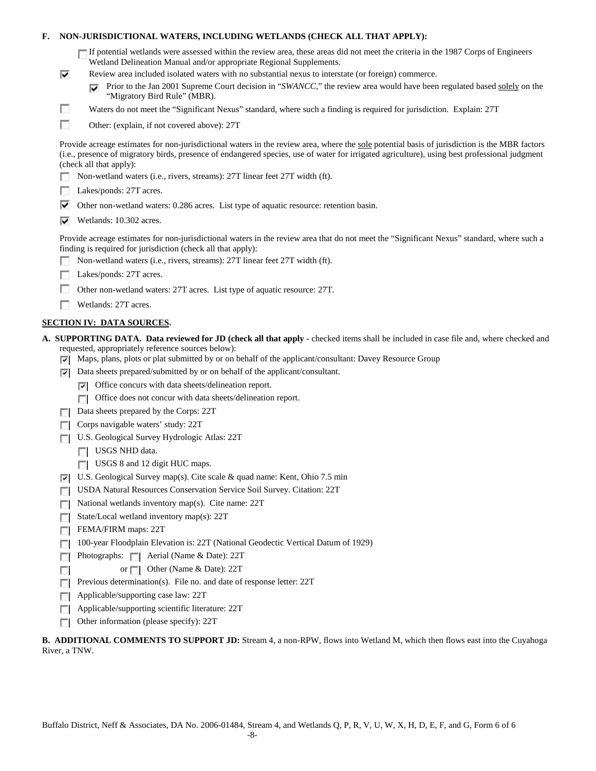# **F. NON-JURISDICTIONAL WATERS, INCLUDING WETLANDS (CHECK ALL THAT APPLY):**

| "If potential wetlands were assessed within the review area, these areas did not meet the criteria in the 1987 Corps of Engineers |
|-----------------------------------------------------------------------------------------------------------------------------------|
| Wetland Delineation Manual and/or appropriate Regional Supplements.                                                               |

- ⊽ Review area included isolated waters with no substantial nexus to interstate (or foreign) commerce.
	- **Prior to the Jan 2001 Supreme Court decision in "***SWANCC*," the review area would have been regulated based solely on the "Migratory Bird Rule" (MBR).
	- Waters do not meet the "Significant Nexus" standard, where such a finding is required for jurisdiction. Explain: 27T
- F Other: (explain, if not covered above): 27T

Provide acreage estimates for non-jurisdictional waters in the review area, where the sole potential basis of jurisdiction is the MBR factors (i.e., presence of migratory birds, presence of endangered species, use of water for irrigated agriculture), using best professional judgment (check all that apply):

- Non-wetland waters (i.e., rivers, streams): 27T linear feet 27T width (ft).
- Lakes/ponds: 27T acres.

п

- $\triangleright$  Other non-wetland waters: 0.286 acres. List type of aquatic resource: retention basin.
- Wetlands: 10.302 acres.

Provide acreage estimates for non-jurisdictional waters in the review area that do not meet the "Significant Nexus" standard, where such a finding is required for jurisdiction (check all that apply):

- Non-wetland waters (i.e., rivers, streams): 27T linear feet 27T width (ft).
- Lakes/ponds: 27T acres.
- **R** Other non-wetland waters: 27T acres. List type of aquatic resource: 27T.
- Wetlands: 27T acres.

## **SECTION IV: DATA SOURCES.**

- **A. SUPPORTING DATA. Data reviewed for JD (check all that apply -** checked items shall be included in case file and, where checked and requested, appropriately reference sources below):
	- Maps, plans, plots or plat submitted by or on behalf of the applicant/consultant: Davey Resource Group
	- $\nabla$  Data sheets prepared/submitted by or on behalf of the applicant/consultant.
		- Office concurs with data sheets/delineation report.
		- Office does not concur with data sheets/delineation report.
	- Data sheets prepared by the Corps: 22T
	- Corps navigable waters' study: 22T
	- U.S. Geological Survey Hydrologic Atlas: 22T
		- USGS NHD data.
		- USGS 8 and 12 digit HUC maps.
	- U.S. Geological Survey map(s). Cite scale & quad name: Kent, Ohio 7.5 min
	- USDA Natural Resources Conservation Service Soil Survey. Citation: 22T
	- National wetlands inventory map(s). Cite name: 22T п
	- State/Local wetland inventory map(s): 22T L.
	- FEMA/FIRM maps: 22T  $\Box$

п

- 100-year Floodplain Elevation is: 22T (National Geodectic Vertical Datum of 1929)
- Photographs: | Aerial (Name & Date): 22T
	- or **Other (Name & Date): 22T**
- **Previous determination(s).** File no. and date of response letter:  $22T$
- Applicable/supporting case law: 22T п
- Applicable/supporting scientific literature: 22T  $\overline{a}$
- Other information (please specify): 22T  $\overline{a}$

| <b>B. ADDITIONAL COMMENTS TO SUPPORT JD:</b> Stream 4, a non-RPW, flows into Wetland M, which then flows east into the Cuyahoga |  |
|---------------------------------------------------------------------------------------------------------------------------------|--|
| River, a TNW.                                                                                                                   |  |